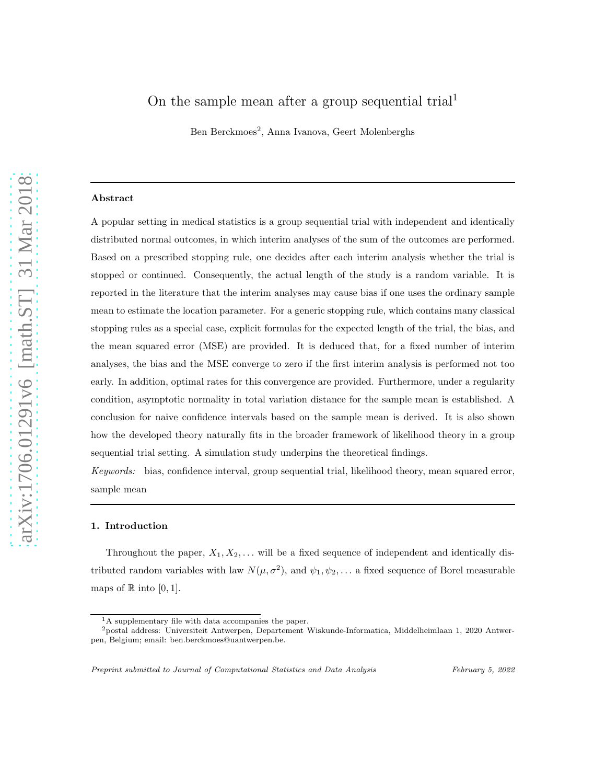# On the sample mean after a group sequential trial<sup>1</sup>

Ben Berckmoes<sup>2</sup>, Anna Ivanova, Geert Molenberghs

## Abstract

A popular setting in medical statistics is a group sequential trial with independent and identically distributed normal outcomes, in which interim analyses of the sum of the outcomes are performed. Based on a prescribed stopping rule, one decides after each interim analysis whether the trial is stopped or continued. Consequently, the actual length of the study is a random variable. It is reported in the literature that the interim analyses may cause bias if one uses the ordinary sample mean to estimate the location parameter. For a generic stopping rule, which contains many classical stopping rules as a special case, explicit formulas for the expected length of the trial, the bias, and the mean squared error (MSE) are provided. It is deduced that, for a fixed number of interim analyses, the bias and the MSE converge to zero if the first interim analysis is performed not too early. In addition, optimal rates for this convergence are provided. Furthermore, under a regularity condition, asymptotic normality in total variation distance for the sample mean is established. A conclusion for naive confidence intervals based on the sample mean is derived. It is also shown how the developed theory naturally fits in the broader framework of likelihood theory in a group sequential trial setting. A simulation study underpins the theoretical findings.

Keywords: bias, confidence interval, group sequential trial, likelihood theory, mean squared error, sample mean

#### 1. Introduction

Throughout the paper,  $X_1, X_2, \ldots$  will be a fixed sequence of independent and identically distributed random variables with law  $N(\mu, \sigma^2)$ , and  $\psi_1, \psi_2, \ldots$  a fixed sequence of Borel measurable maps of  $\mathbb R$  into [0, 1].

Preprint submitted to Journal of Computational Statistics and Data Analysis February 5, 2022

 ${}^{1}$ A supplementary file with data accompanies the paper.

<sup>2</sup>postal address: Universiteit Antwerpen, Departement Wiskunde-Informatica, Middelheimlaan 1, 2020 Antwerpen, Belgium; email: ben.berckmoes@uantwerpen.be.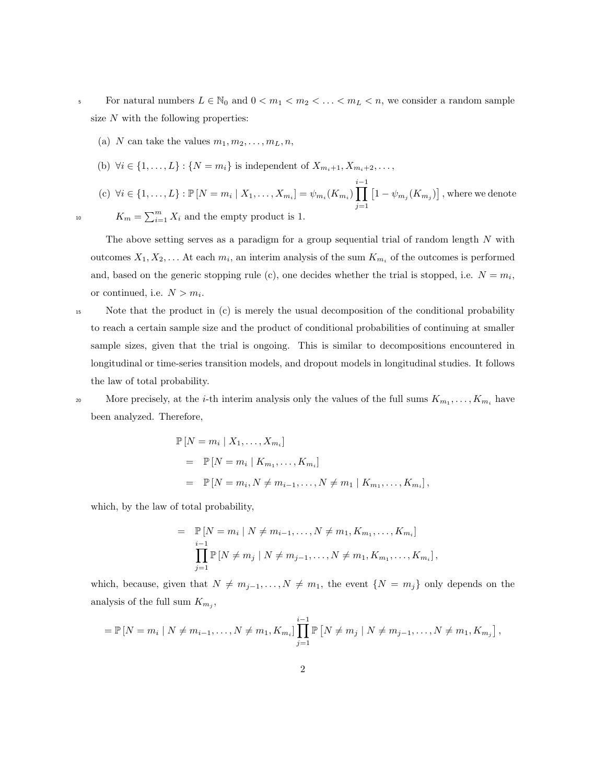- 5 For natural numbers  $L \in \mathbb{N}_0$  and  $0 < m_1 < m_2 < \ldots < m_L < n$ , we consider a random sample size  $N$  with the following properties:
	- (a) N can take the values  $m_1, m_2, \ldots, m_L, n$ ,
	- (b)  $\forall i \in \{1, ..., L\} : \{N = m_i\}$  is independent of  $X_{m_i+1}, X_{m_i+2}, \ldots$ ,
- (c)  $\forall i \in \{1, ..., L\} : \mathbb{P}[N = m_i | X_1, ..., X_{m_i}] = \psi_{m_i}(K_{m_i})$ i−1<br>∏  $j=1$  $\left[1-\psi_{m_j}(K_{m_j})\right]$  , where we denote <sup>10</sup>  $K_m = \sum_{i=1}^m X_i$  and the empty product is 1.

The above setting serves as a paradigm for a group sequential trial of random length  $N$  with outcomes  $X_1, X_2, \ldots$  At each  $m_i$ , an interim analysis of the sum  $K_{m_i}$  of the outcomes is performed and, based on the generic stopping rule (c), one decides whether the trial is stopped, i.e.  $N = m_i$ , or continued, i.e.  $N > m_i$ .

<sup>15</sup> Note that the product in (c) is merely the usual decomposition of the conditional probability to reach a certain sample size and the product of conditional probabilities of continuing at smaller sample sizes, given that the trial is ongoing. This is similar to decompositions encountered in longitudinal or time-series transition models, and dropout models in longitudinal studies. It follows the law of total probability.

20 More precisely, at the *i*-th interim analysis only the values of the full sums  $K_{m_1}, \ldots, K_{m_i}$  have been analyzed. Therefore,

$$
\mathbb{P}[N = m_i | X_1, ..., X_{m_i}]
$$
  
=  $\mathbb{P}[N = m_i | K_{m_1}, ..., K_{m_i}]$   
=  $\mathbb{P}[N = m_i, N \neq m_{i-1}, ..., N \neq m_1 | K_{m_1}, ..., K_{m_i}],$ 

which, by the law of total probability,

$$
= \mathbb{P}[N = m_i | N \neq m_{i-1},..., N \neq m_1, K_{m_1},..., K_{m_i}]
$$
  

$$
\prod_{j=1}^{i-1} \mathbb{P}[N \neq m_j | N \neq m_{j-1},..., N \neq m_1, K_{m_1},..., K_{m_i}],
$$

which, because, given that  $N \neq m_{j-1}, \ldots, N \neq m_1$ , the event  $\{N = m_j\}$  only depends on the analysis of the full sum  $K_{m_j}$ ,

$$
= \mathbb{P}\left[N = m_i \mid N \neq m_{i-1}, \ldots, N \neq m_1, K_{m_i}\right] \prod_{j=1}^{i-1} \mathbb{P}\left[N \neq m_j \mid N \neq m_{j-1}, \ldots, N \neq m_1, K_{m_j}\right],
$$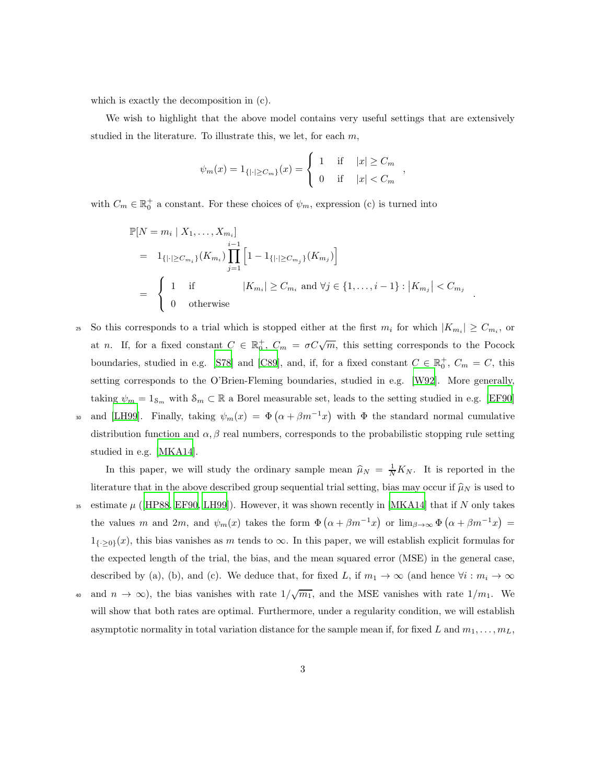which is exactly the decomposition in (c).

We wish to highlight that the above model contains very useful settings that are extensively studied in the literature. To illustrate this, we let, for each  $m$ ,

$$
\psi_m(x) = 1_{\{|\cdot| \ge C_m\}}(x) = \begin{cases}\n1 & \text{if } |x| \ge C_m \\
0 & \text{if } |x| < C_m\n\end{cases}
$$

with  $C_m \in \mathbb{R}_0^+$  a constant. For these choices of  $\psi_m$ , expression (c) is turned into

$$
\mathbb{P}[N = m_i | X_1, \dots, X_{m_i}]
$$
\n
$$
= 1_{\{|\cdot| \ge C_{m_i}\}} (K_{m_i}) \prod_{j=1}^{i-1} \left[ 1 - 1_{\{|\cdot| \ge C_{m_j}\}} (K_{m_j}) \right]
$$
\n
$$
= \begin{cases} 1 & \text{if } |K_{m_i}| \ge C_{m_i} \text{ and } \forall j \in \{1, \dots, i-1\} : |K_{m_j}| < C_{m_j} \\ 0 & \text{otherwise} \end{cases}
$$

.

 $S$  So this corresponds to a trial which is stopped either at the first  $m_i$  for which  $|K_{m_i}| \geq C_{m_i}$ , or at n. If, for a fixed constant  $C \in \mathbb{R}_0^+$ ,  $C_m = \sigma C \sqrt{m}$ , this setting corresponds to the Pocock boundaries, studied in e.g. [\[S78\]](#page-23-0) and [\[C89](#page-23-1)], and, if, for a fixed constant  $C \in \mathbb{R}_0^+$ ,  $C_m = C$ , this setting corresponds to the O'Brien-Fleming boundaries, studied in e.g. [\[W92](#page-23-2)]. More generally, taking  $\psi_m = 1_{\mathcal{S}_m}$  with  $\mathcal{S}_m \subset \mathbb{R}$  a Borel measurable set, leads to the setting studied in e.g. [\[EF90\]](#page-23-3) 30 and [\[LH99\]](#page-23-4). Finally, taking  $\psi_m(x) = \Phi\left(\alpha + \beta m^{-1}x\right)$  with  $\Phi$  the standard normal cumulative distribution function and  $\alpha, \beta$  real numbers, corresponds to the probabilistic stopping rule setting studied in e.g. [\[MKA14\]](#page-23-5).

In this paper, we will study the ordinary sample mean  $\hat{\mu}_N = \frac{1}{N}K_N$ . It is reported in the literature that in the above described group sequential trial setting, bias may occur if  $\hat{\mu}_N$  is used to 35 estimate  $\mu$  ([\[HP88](#page-23-6), [EF90,](#page-23-3) [LH99](#page-23-4)]). However, it was shown recently in [\[MKA14](#page-23-5)] that if N only takes the values m and 2m, and  $\psi_m(x)$  takes the form  $\Phi\left(\alpha+\beta m^{-1}x\right)$  or  $\lim_{\beta\to\infty}\Phi\left(\alpha+\beta m^{-1}x\right)$  =  $1_{\{-\geq 0\}}(x)$ , this bias vanishes as m tends to  $\infty$ . In this paper, we will establish explicit formulas for the expected length of the trial, the bias, and the mean squared error (MSE) in the general case, described by (a), (b), and (c). We deduce that, for fixed L, if  $m_1 \to \infty$  (and hence  $\forall i : m_i \to \infty$ and  $n \to \infty$ ), the bias vanishes with rate  $1/\sqrt{m_1}$ , and the MSE vanishes with rate  $1/m_1$ . We

will show that both rates are optimal. Furthermore, under a regularity condition, we will establish asymptotic normality in total variation distance for the sample mean if, for fixed L and  $m_1, \ldots, m_L$ ,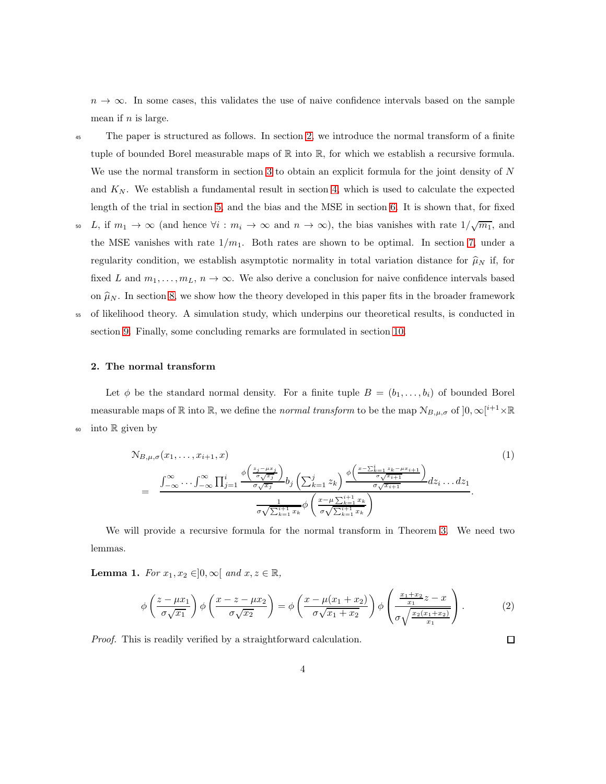$n \to \infty$ . In some cases, this validates the use of naive confidence intervals based on the sample mean if  $n$  is large.

- <sup>45</sup> The paper is structured as follows. In section [2,](#page-3-0) we introduce the normal transform of a finite tuple of bounded Borel measurable maps of  $\mathbb R$  into  $\mathbb R$ , for which we establish a recursive formula. We use the normal transform in section [3](#page-5-0) to obtain an explicit formula for the joint density of N and  $K_N$ . We establish a fundamental result in section [4,](#page-8-0) which is used to calculate the expected length of the trial in section [5,](#page-9-0) and the bias and the MSE in section [6.](#page-10-0) It is shown that, for fixed
- 50 L, if  $m_1 \to \infty$  (and hence  $\forall i : m_i \to \infty$  and  $n \to \infty$ ), the bias vanishes with rate  $1/\sqrt{m_1}$ , and the MSE vanishes with rate  $1/m_1$ . Both rates are shown to be optimal. In section [7,](#page-14-0) under a regularity condition, we establish asymptotic normality in total variation distance for  $\hat{\mu}_N$  if, for fixed L and  $m_1, \ldots, m_L, n \to \infty$ . We also derive a conclusion for naive confidence intervals based on  $\hat{\mu}_N$ . In section [8,](#page-16-0) we show how the theory developed in this paper fits in the broader framework <sup>55</sup> of likelihood theory. A simulation study, which underpins our theoretical results, is conducted in

section [9.](#page-20-0) Finally, some concluding remarks are formulated in section [10.](#page-21-0)

<span id="page-3-0"></span>

## 2. The normal transform

Let  $\phi$  be the standard normal density. For a finite tuple  $B = (b_1, \ldots, b_i)$  of bounded Borel measurable maps of  $\mathbb R$  into  $\mathbb R$ , we define the *normal transform* to be the map  $\mathcal{N}_{B,\mu,\sigma}$  of  $]0,\infty[^{i+1}\times\mathbb R$  $60$  into R given by

<span id="page-3-2"></span>
$$
\mathcal{N}_{B,\mu,\sigma}(x_1,\ldots,x_{i+1},x) \qquad (1)
$$
\n
$$
= \frac{\int_{-\infty}^{\infty} \cdots \int_{-\infty}^{\infty} \prod_{j=1}^{i} \frac{\phi\left(\frac{z_j - \mu x_j}{\sigma \sqrt{x_j}}\right)}{\phi\sqrt{x_j}} b_j \left(\sum_{k=1}^{j} z_k\right) \frac{\phi\left(\frac{x - \sum_{k=1}^{i} z_k - \mu x_{i+1}}{\sigma \sqrt{x_{i+1}}}\right)}{\phi\sqrt{x_{i+1}}} dz_i \ldots dz_1}{\phi\sqrt{\sum_{k=1}^{i+1} x_k}}.
$$
\n
$$
\frac{1}{\sigma \sqrt{\sum_{k=1}^{i+1} x_k}} \phi\left(\frac{x - \mu \sum_{k=1}^{i+1} x_k}{\sigma \sqrt{\sum_{k=1}^{i+1} x_k}}\right).
$$
\n
$$
(1)
$$

We will provide a recursive formula for the normal transform in Theorem [3.](#page-4-0) We need two lemmas.

Lemma 1. For  $x_1, x_2 \in ]0, \infty[$  and  $x, z \in \mathbb{R}$ ,

<span id="page-3-1"></span>
$$
\phi\left(\frac{z-\mu x_1}{\sigma\sqrt{x_1}}\right)\phi\left(\frac{x-z-\mu x_2}{\sigma\sqrt{x_2}}\right) = \phi\left(\frac{x-\mu(x_1+x_2)}{\sigma\sqrt{x_1+x_2}}\right)\phi\left(\frac{\frac{x_1+x_2}{x_1}}{\sigma\sqrt{\frac{x_2(x_1+x_2)}{x_1}}}\right). \tag{2}
$$

Proof. This is readily verified by a straightforward calculation.

 $\Box$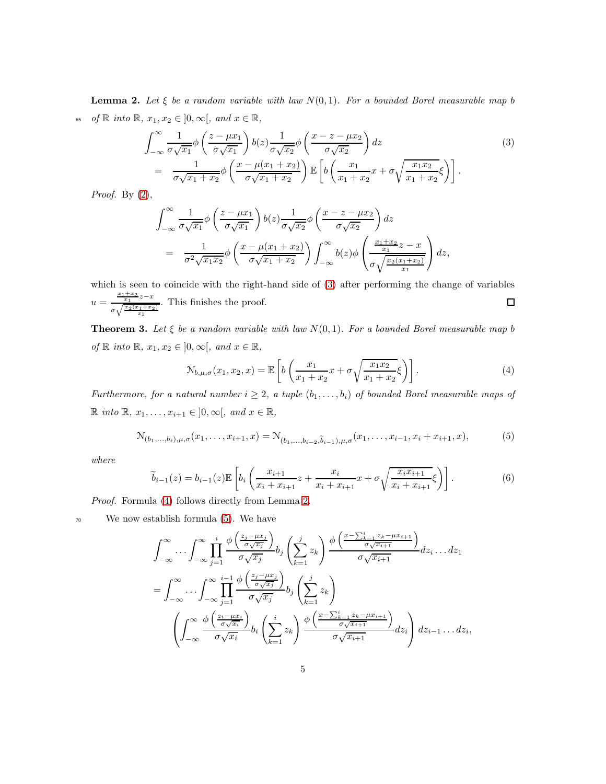<span id="page-4-3"></span>**Lemma 2.** Let  $\xi$  be a random variable with law  $N(0, 1)$ . For a bounded Borel measurable map b 65 of  $\mathbb R$  into  $\mathbb R$ ,  $x_1, x_2 \in ]0, \infty[$ , and  $x \in \mathbb R$ ,

<span id="page-4-1"></span>
$$
\int_{-\infty}^{\infty} \frac{1}{\sigma \sqrt{x_1}} \phi \left( \frac{z - \mu x_1}{\sigma \sqrt{x_1}} \right) b(z) \frac{1}{\sigma \sqrt{x_2}} \phi \left( \frac{x - z - \mu x_2}{\sigma \sqrt{x_2}} \right) dz
$$
\n
$$
= \frac{1}{\sigma \sqrt{x_1 + x_2}} \phi \left( \frac{x - \mu (x_1 + x_2)}{\sigma \sqrt{x_1 + x_2}} \right) \mathbb{E} \left[ b \left( \frac{x_1}{x_1 + x_2} x + \sigma \sqrt{\frac{x_1 x_2}{x_1 + x_2}} \xi \right) \right].
$$
\n(3)

*Proof.* By  $(2)$ ,

$$
\int_{-\infty}^{\infty} \frac{1}{\sigma \sqrt{x_1}} \phi \left( \frac{z - \mu x_1}{\sigma \sqrt{x_1}} \right) b(z) \frac{1}{\sigma \sqrt{x_2}} \phi \left( \frac{x - z - \mu x_2}{\sigma \sqrt{x_2}} \right) dz
$$
  
= 
$$
\frac{1}{\sigma^2 \sqrt{x_1 x_2}} \phi \left( \frac{x - \mu (x_1 + x_2)}{\sigma \sqrt{x_1 + x_2}} \right) \int_{-\infty}^{\infty} b(z) \phi \left( \frac{\frac{x_1 + x_2}{x_1}}{\sigma \sqrt{\frac{x_2 (x_1 + x_2)}{x_1}}} \right) dz,
$$

which is seen to coincide with the right-hand side of  $(3)$  after performing the change of variables  $u = \frac{\frac{x_1+x_2}{x_1}z-x}{\sqrt{\frac{x_2(x_1+x_2)}{x_1}}}}$  $\Box$ . This finishes the proof.  $\sigma\sqrt{\frac{x_2(x_1+x_2)}{x_1}}$ 

<span id="page-4-0"></span>**Theorem 3.** Let  $\xi$  be a random variable with law  $N(0, 1)$ . For a bounded Borel measurable map b of  $\mathbb R$  into  $\mathbb R$ ,  $x_1, x_2 \in ]0, \infty[$ , and  $x \in \mathbb R$ ,

<span id="page-4-4"></span><span id="page-4-2"></span>
$$
\mathcal{N}_{b,\mu,\sigma}(x_1,x_2,x) = \mathbb{E}\left[b\left(\frac{x_1}{x_1+x_2}x + \sigma\sqrt{\frac{x_1x_2}{x_1+x_2}}\xi\right)\right].\tag{4}
$$

Furthermore, for a natural number  $i \geq 2$ , a tuple  $(b_1, \ldots, b_i)$  of bounded Borel measurable maps of  $\mathbb R$  into  $\mathbb R$ ,  $x_1, \ldots, x_{i+1} \in ]0, \infty[,$  and  $x \in \mathbb R$ ,

<span id="page-4-5"></span>
$$
\mathcal{N}_{(b_1,\ldots,b_i),\mu,\sigma}(x_1,\ldots,x_{i+1},x) = \mathcal{N}_{(b_1,\ldots,b_{i-2},\widetilde{b}_{i-1}),\mu,\sigma}(x_1,\ldots,x_{i-1},x_i+x_{i+1},x),
$$
\n(5)

where

$$
\widetilde{b}_{i-1}(z) = b_{i-1}(z) \mathbb{E}\left[b_i\left(\frac{x_{i+1}}{x_i + x_{i+1}}z + \frac{x_i}{x_i + x_{i+1}}x + \sigma\sqrt{\frac{x_i x_{i+1}}{x_i + x_{i+1}}} \xi\right)\right].
$$
\n(6)

Proof. Formula [\(4\)](#page-4-2) follows directly from Lemma [2.](#page-4-3)

<sup>70</sup> We now establish formula [\(5\)](#page-4-4). We have

$$
\int_{-\infty}^{\infty} \cdots \int_{-\infty}^{\infty} \prod_{j=1}^{i} \frac{\phi\left(\frac{z_j - \mu x_j}{\sigma \sqrt{x_j}}\right)}{\sigma \sqrt{x_j}} b_j \left(\sum_{k=1}^{j} z_k\right) \frac{\phi\left(\frac{x - \sum_{k=1}^{i} z_k - \mu x_{i+1}}{\sigma \sqrt{x_{i+1}}}\right)}{\sigma \sqrt{x_{i+1}}} dz_i \dots dz_1
$$
  

$$
= \int_{-\infty}^{\infty} \cdots \int_{-\infty}^{\infty} \prod_{j=1}^{i-1} \frac{\phi\left(\frac{z_j - \mu x_j}{\sigma \sqrt{x_j}}\right)}{\sigma \sqrt{x_j}} b_j \left(\sum_{k=1}^{j} z_k\right)
$$
  

$$
\left(\int_{-\infty}^{\infty} \frac{\phi\left(\frac{z_i - \mu x_i}{\sigma \sqrt{x_i}}\right)}{\sigma \sqrt{x_i}} b_i \left(\sum_{k=1}^{i} z_k\right) \frac{\phi\left(\frac{x - \sum_{k=1}^{i} z_k - \mu x_{i+1}}{\sigma \sqrt{x_{i+1}}}\right)}{\sigma \sqrt{x_{i+1}}} dz_i\right) dz_{i-1} \dots dz_i,
$$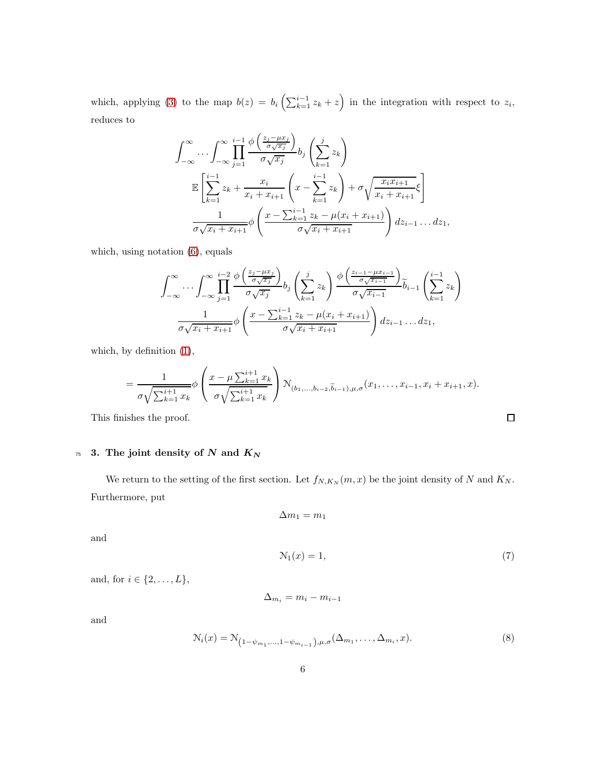which, applying [\(3\)](#page-4-1) to the map  $b(z) = b_i \left( \sum_{k=1}^{i-1} z_k + z \right)$  in the integration with respect to  $z_i$ , reduces to

$$
\int_{-\infty}^{\infty} \cdots \int_{-\infty}^{\infty} \prod_{j=1}^{i-1} \frac{\phi\left(\frac{z_j - \mu x_j}{\sigma \sqrt{x_j}}\right)}{\phi\sqrt{x_j}} b_j\left(\sum_{k=1}^j z_k\right)
$$
\n
$$
\mathbb{E}\left[\sum_{k=1}^{i-1} z_k + \frac{x_i}{x_i + x_{i+1}} \left(x - \sum_{k=1}^{i-1} z_k\right) + \sigma \sqrt{\frac{x_i x_{i+1}}{x_i + x_{i+1}}} \xi\right]
$$
\n
$$
\frac{1}{\sigma \sqrt{x_i + x_{i+1}}} \phi\left(\frac{x - \sum_{k=1}^{i-1} z_k - \mu(x_i + x_{i+1})}{\sigma \sqrt{x_i + x_{i+1}}}\right) dz_{i-1} \dots dz_1,
$$

which, using notation [\(6\)](#page-4-5), equals

$$
\int_{-\infty}^{\infty} \cdots \int_{-\infty}^{\infty} \prod_{j=1}^{i-2} \frac{\phi\left(\frac{z_j - \mu x_j}{\sigma \sqrt{x_j}}\right)}{\sigma \sqrt{x_j}} b_j \left(\sum_{k=1}^j z_k\right) \frac{\phi\left(\frac{z_{i-1} - \mu x_{i-1}}{\sigma \sqrt{x_{i-1}}}\right)}{\sigma \sqrt{x_{i-1}}} \tilde{b}_{i-1} \left(\sum_{k=1}^{i-1} z_k\right)
$$

$$
\frac{1}{\sigma \sqrt{x_i + x_{i+1}}} \phi\left(\frac{x - \sum_{k=1}^{i-1} z_k - \mu(x_i + x_{i+1})}{\sigma \sqrt{x_i + x_{i+1}}}\right) dz_{i-1} \dots dz_1,
$$

which, by definition [\(1\)](#page-3-2),

$$
= \frac{1}{\sigma\sqrt{\sum_{k=1}^{i+1}x_k}} \phi\left(\frac{x-\mu\sum_{k=1}^{i+1}x_k}{\sigma\sqrt{\sum_{k=1}^{i+1}x_k}}\right) \mathcal{N}_{(b_1,...,b_{i-2},\widetilde{b}_{i-1}),\mu,\sigma}(x_1,...,x_{i-1},x_i+x_{i+1},x).
$$

<span id="page-5-0"></span>This finishes the proof.

## $75$  3. The joint density of N and  $K_N$

We return to the setting of the first section. Let  $f_{N,K_N}(m, x)$  be the joint density of N and  $K_N$ . Furthermore, put

$$
\Delta m_1 = m_1
$$

<span id="page-5-1"></span>and

$$
\mathcal{N}_1(x) = 1,\tag{7}
$$

 $\Box$ 

and, for  $i \in \{2, \ldots, L\}$ ,

$$
\Delta_{m_i} = m_i - m_{i-1}
$$

<span id="page-5-2"></span>and

$$
\mathcal{N}_i(x) = \mathcal{N}_{(1-\psi_{m_1},...,1-\psi_{m_{i-1}}),\mu,\sigma}(\Delta_{m_1},...,\Delta_{m_i},x). \tag{8}
$$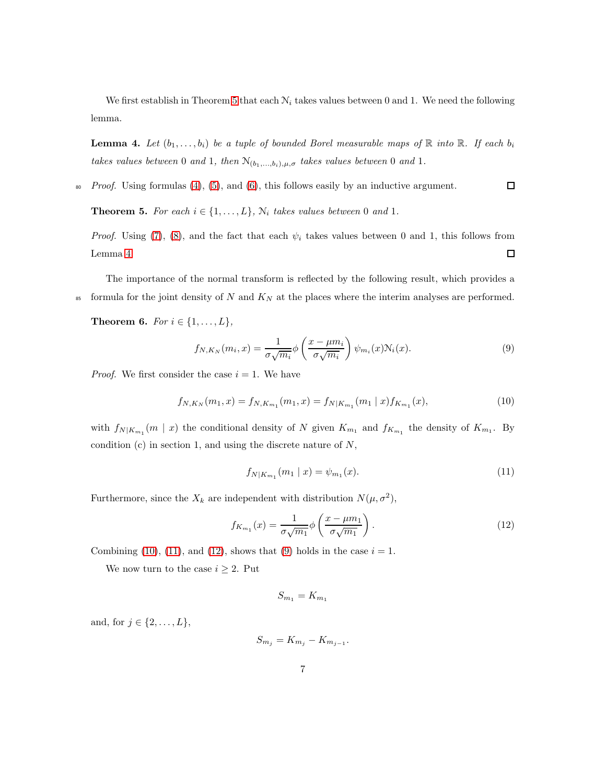We first establish in Theorem [5](#page-6-0) that each  $N_i$  takes values between 0 and 1. We need the following lemma.

<span id="page-6-1"></span>**Lemma 4.** Let  $(b_1, \ldots, b_i)$  be a tuple of bounded Borel measurable maps of  $\mathbb R$  into  $\mathbb R$ . If each  $b_i$ takes values between 0 and 1, then  $\mathcal{N}_{(b_1,...,b_i),\mu,\sigma}$  takes values between 0 and 1.

 $80$  Proof. Using formulas [\(4\)](#page-4-2), [\(5\)](#page-4-4), and [\(6\)](#page-4-5), this follows easily by an inductive argument.

<span id="page-6-0"></span>**Theorem 5.** For each  $i \in \{1, \ldots, L\}$ ,  $N_i$  takes values between 0 and 1.

*Proof.* Using [\(7\)](#page-5-1), [\(8\)](#page-5-2), and the fact that each  $\psi_i$  takes values between 0 and 1, this follows from Lemma [4.](#page-6-1)  $\Box$ 

The importance of the normal transform is reflected by the following result, which provides a <sup>85</sup> formula for the joint density of N and  $K_N$  at the places where the interim analyses are performed.

**Theorem 6.** For  $i \in \{1, ..., L\}$ ,

<span id="page-6-5"></span><span id="page-6-2"></span>
$$
f_{N,K_N}(m_i,x) = \frac{1}{\sigma\sqrt{m_i}}\phi\left(\frac{x-\mu m_i}{\sigma\sqrt{m_i}}\right)\psi_{m_i}(x)N_i(x). \tag{9}
$$

*Proof.* We first consider the case  $i = 1$ . We have

$$
f_{N,K_N}(m_1,x) = f_{N,K_{m_1}}(m_1,x) = f_{N|K_{m_1}}(m_1 \mid x) f_{K_{m_1}}(x), \tag{10}
$$

with  $f_{N|K_{m_1}}(m \mid x)$  the conditional density of N given  $K_{m_1}$  and  $f_{K_{m_1}}$  the density of  $K_{m_1}$ . By condition  $(c)$  in section 1, and using the discrete nature of  $N$ ,

<span id="page-6-4"></span><span id="page-6-3"></span>
$$
f_{N|K_{m_1}}(m_1 \mid x) = \psi_{m_1}(x). \tag{11}
$$

 $\Box$ 

Furthermore, since the  $X_k$  are independent with distribution  $N(\mu, \sigma^2)$ ,

$$
f_{K_{m_1}}(x) = \frac{1}{\sigma\sqrt{m_1}}\phi\left(\frac{x-\mu m_1}{\sigma\sqrt{m_1}}\right). \tag{12}
$$

Combining [\(10\)](#page-6-2), [\(11\)](#page-6-3), and [\(12\)](#page-6-4), shows that [\(9\)](#page-6-5) holds in the case  $i = 1$ .

We now turn to the case  $i \geq 2$ . Put

$$
S_{m_1}=K_{m_1}
$$

and, for  $j \in \{2, ..., L\},\$ 

$$
S_{m_j}=K_{m_j}-K_{m_{j-1}}.
$$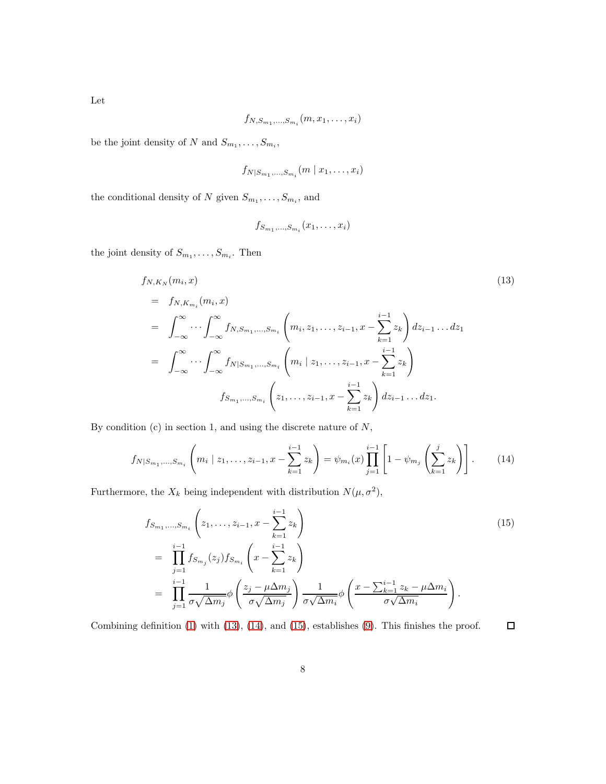$$
f_{N,S_{m_1},\ldots,S_{m_i}}(m,x_1,\ldots,x_i)
$$

be the joint density of N and  $S_{m_1}, \ldots, S_{m_i}$ ,

$$
f_{N|S_{m_1},\ldots,S_{m_i}}(m \mid x_1,\ldots,x_i)
$$

the conditional density of N given  $S_{m_1}, \ldots, S_{m_i}$ , and

<span id="page-7-1"></span>
$$
f_{S_{m_1},\ldots,S_{m_i}}(x_1,\ldots,x_i)
$$

the joint density of  $S_{m_1}, \ldots, S_{m_i}$ . Then

<span id="page-7-0"></span>
$$
f_{N,K_{N}}(m_{i}, x)
$$
\n
$$
= f_{N,K_{m_{i}}}(m_{i}, x)
$$
\n
$$
= \int_{-\infty}^{\infty} \cdots \int_{-\infty}^{\infty} f_{N,S_{m_{1}},...,S_{m_{i}}} \left( m_{i}, z_{1},..., z_{i-1}, x - \sum_{k=1}^{i-1} z_{k} \right) dz_{i-1}... dz_{1}
$$
\n
$$
= \int_{-\infty}^{\infty} \cdots \int_{-\infty}^{\infty} f_{N|S_{m_{1}},...,S_{m_{i}}} \left( m_{i} | z_{1},..., z_{i-1}, x - \sum_{k=1}^{i-1} z_{k} \right)
$$
\n
$$
f_{S_{m_{1}},...,S_{m_{i}}} \left( z_{1},..., z_{i-1}, x - \sum_{k=1}^{i-1} z_{k} \right) dz_{i-1}... dz_{1}.
$$
\n(13)

By condition  $(c)$  in section 1, and using the discrete nature of  $N$ ,

$$
f_{N|S_{m_1},...,S_{m_i}}\left(m_i \mid z_1,...,z_{i-1},x-\sum_{k=1}^{i-1} z_k\right) = \psi_{m_i}(x) \prod_{j=1}^{i-1} \left[1-\psi_{m_j}\left(\sum_{k=1}^j z_k\right)\right].
$$
 (14)

Furthermore, the  $X_k$  being independent with distribution  $N(\mu, \sigma^2)$ ,

<span id="page-7-2"></span>
$$
f_{S_{m_1},\ldots,S_{m_i}}\left(z_1,\ldots,z_{i-1},x-\sum_{k=1}^{i-1}z_k\right)
$$
  
\n
$$
=\prod_{j=1}^{i-1}f_{S_{m_j}}(z_j)f_{S_{m_i}}\left(x-\sum_{k=1}^{i-1}z_k\right)
$$
  
\n
$$
=\prod_{j=1}^{i-1}\frac{1}{\sigma\sqrt{\Delta m_j}}\phi\left(\frac{z_j-\mu\Delta m_j}{\sigma\sqrt{\Delta m_j}}\right)\frac{1}{\sigma\sqrt{\Delta m_i}}\phi\left(\frac{x-\sum_{k=1}^{i-1}z_k-\mu\Delta m_i}{\sigma\sqrt{\Delta m_i}}\right).
$$
\n(15)

Combining definition [\(1\)](#page-3-2) with [\(13\)](#page-7-0), [\(14\)](#page-7-1), and [\(15\)](#page-7-2), establishes [\(9\)](#page-6-5). This finishes the proof.  $\Box$ 

Let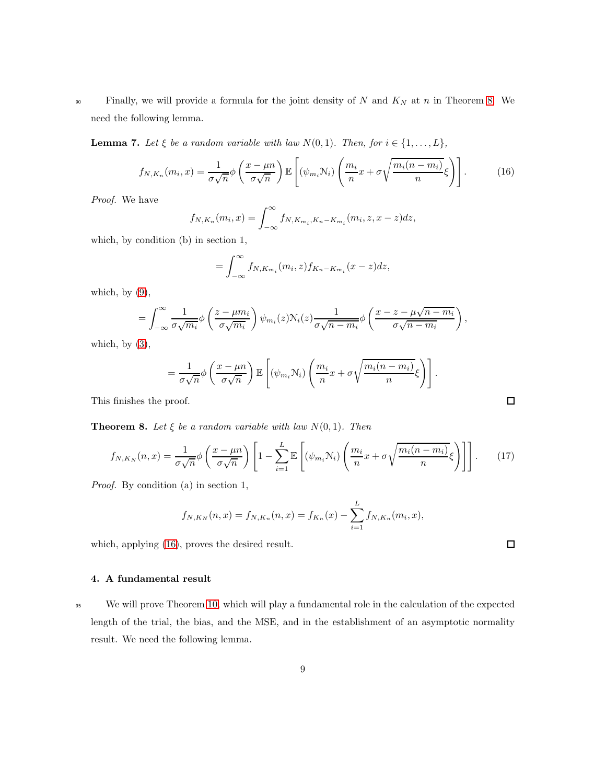90 Finally, we will provide a formula for the joint density of N and  $K_N$  at n in Theorem [8.](#page-8-1) We need the following lemma.

**Lemma 7.** Let  $\xi$  be a random variable with law  $N(0, 1)$ . Then, for  $i \in \{1, ..., L\}$ ,

$$
f_{N,K_n}(m_i,x) = \frac{1}{\sigma\sqrt{n}}\phi\left(\frac{x-\mu n}{\sigma\sqrt{n}}\right)\mathbb{E}\left[\left(\psi_{m_i}N_i\right)\left(\frac{m_i}{n}x+\sigma\sqrt{\frac{m_i(n-m_i)}{n}}\xi\right)\right].\tag{16}
$$

Proof. We have

$$
f_{N,K_n}(m_i, x) = \int_{-\infty}^{\infty} f_{N,K_{m_i}, K_n - K_{m_i}}(m_i, z, x - z) dz,
$$

which, by condition (b) in section 1,

<span id="page-8-2"></span>
$$
=\int_{-\infty}^{\infty}f_{N,K_{m_i}}(m_i,z)f_{K_n-K_{m_i}}(x-z)dz,
$$

which, by  $(9)$ ,

$$
= \int_{-\infty}^{\infty} \frac{1}{\sigma \sqrt{m_i}} \phi \left( \frac{z - \mu m_i}{\sigma \sqrt{m_i}} \right) \psi_{m_i}(z) \mathcal{N}_i(z) \frac{1}{\sigma \sqrt{n - m_i}} \phi \left( \frac{x - z - \mu \sqrt{n - m_i}}{\sigma \sqrt{n - m_i}} \right),
$$

which, by  $(3)$ ,

$$
= \frac{1}{\sigma\sqrt{n}} \phi\left(\frac{x-\mu n}{\sigma\sqrt{n}}\right) \mathbb{E}\left[ (\psi_{m_i} \mathcal{N}_i) \left(\frac{m_i}{n} x + \sigma \sqrt{\frac{m_i(n-m_i)}{n}} \xi \right) \right].
$$

This finishes the proof.

<span id="page-8-1"></span>**Theorem 8.** Let  $\xi$  be a random variable with law  $N(0, 1)$ . Then

$$
f_{N,K_N}(n,x) = \frac{1}{\sigma\sqrt{n}}\phi\left(\frac{x-\mu n}{\sigma\sqrt{n}}\right)\left[1-\sum_{i=1}^L\mathbb{E}\left[\left(\psi_{m_i}N_i\right)\left(\frac{m_i}{n}x+\sigma\sqrt{\frac{m_i(n-m_i)}{n}}\xi\right)\right]\right].\tag{17}
$$

Proof. By condition (a) in section 1,

$$
f_{N,K_N}(n,x) = f_{N,K_n}(n,x) = f_{K_n}(x) - \sum_{i=1}^{L} f_{N,K_n}(m_i,x),
$$

<span id="page-8-0"></span>which, applying [\(16\)](#page-8-2), proves the desired result.

## 4. A fundamental result

95 We will prove Theorem [10,](#page-9-1) which will play a fundamental role in the calculation of the expected length of the trial, the bias, and the MSE, and in the establishment of an asymptotic normality result. We need the following lemma.

 $\Box$ 

<span id="page-8-3"></span> $\Box$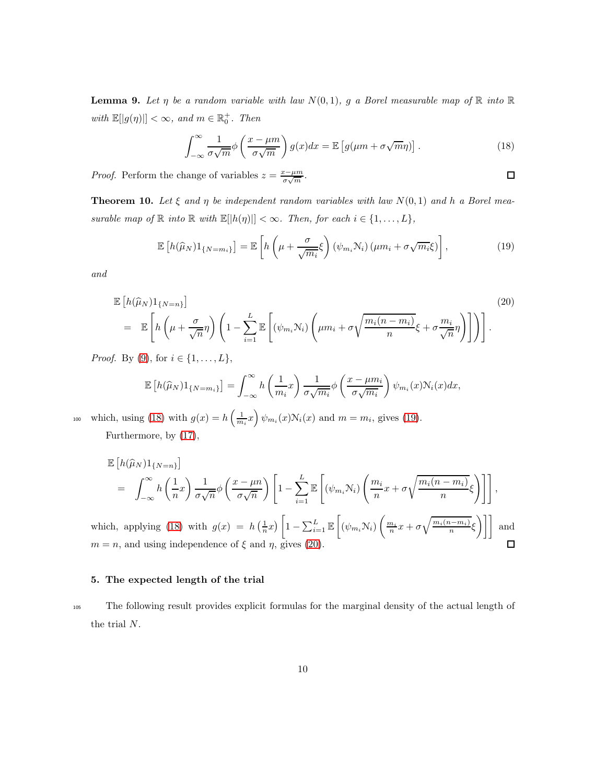**Lemma 9.** Let  $\eta$  be a random variable with law  $N(0, 1)$ , g a Borel measurable map of  $\mathbb{R}$  into  $\mathbb{R}$ with  $\mathbb{E}[|g(\eta)|] < \infty$ , and  $m \in \mathbb{R}_0^+$ . Then

<span id="page-9-2"></span>
$$
\int_{-\infty}^{\infty} \frac{1}{\sigma \sqrt{m}} \phi \left( \frac{x - \mu m}{\sigma \sqrt{m}} \right) g(x) dx = \mathbb{E} \left[ g(\mu m + \sigma \sqrt{m} \eta) \right]. \tag{18}
$$

*Proof.* Perform the change of variables  $z = \frac{x - \mu m}{\sigma \sqrt{m}}$ .

<span id="page-9-3"></span> $\Box$ 

<span id="page-9-1"></span>**Theorem 10.** Let  $\xi$  and  $\eta$  be independent random variables with law  $N(0, 1)$  and h a Borel measurable map of  $\mathbb R$  into  $\mathbb R$  with  $\mathbb E[|h(\eta)|]<\infty$ . Then, for each  $i\in\{1,\ldots,L\}$ ,

$$
\mathbb{E}\left[h(\widehat{\mu}_N)1_{\{N=m_i\}}\right] = \mathbb{E}\left[h\left(\mu + \frac{\sigma}{\sqrt{m_i}}\xi\right)\left(\psi_{m_i}\mathcal{N}_i\right)\left(\mu m_i + \sigma\sqrt{m_i}\xi\right)\right],\tag{19}
$$

and

<span id="page-9-4"></span>
$$
\mathbb{E}\left[h(\widehat{\mu}_N)1_{\{N=n\}}\right] \qquad (20)
$$
\n
$$
= \mathbb{E}\left[h\left(\mu + \frac{\sigma}{\sqrt{n}}\eta\right)\left(1 - \sum_{i=1}^L \mathbb{E}\left[(\psi_{m_i}\mathcal{N}_i)\left(\mu m_i + \sigma\sqrt{\frac{m_i(n-m_i)}{n}}\xi + \sigma\frac{m_i}{\sqrt{n}}\eta\right)\right]\right)\right].
$$

*Proof.* By [\(9\)](#page-6-5), for  $i \in \{1, \ldots, L\}$ ,

$$
\mathbb{E}\left[h(\widehat{\mu}_N)1_{\{N=m_i\}}\right] = \int_{-\infty}^{\infty} h\left(\frac{1}{m_i}x\right) \frac{1}{\sigma\sqrt{m_i}} \phi\left(\frac{x-\mu m_i}{\sigma\sqrt{m_i}}\right) \psi_{m_i}(x) N_i(x) dx,
$$

which, using [\(18\)](#page-9-2) with  $g(x) = h\left(\frac{1}{m_i}x\right)\psi_{m_i}(x)N_i(x)$  and  $m = m_i$ , gives [\(19\)](#page-9-3). Furthermore, by [\(17\)](#page-8-3),

$$
\mathbb{E}\left[h(\widehat{\mu}_N)1_{\{N=n\}}\right] = \int_{-\infty}^{\infty} h\left(\frac{1}{n}x\right) \frac{1}{\sigma\sqrt{n}} \phi\left(\frac{x-\mu n}{\sigma\sqrt{n}}\right) \left[1 - \sum_{i=1}^{L} \mathbb{E}\left[(\psi_{m_i}\mathcal{N}_i)\left(\frac{m_i}{n}x + \sigma\sqrt{\frac{m_i(n-m_i)}{n}}\xi\right)\right]\right],
$$

which, applying [\(18\)](#page-9-2) with  $g(x) = h\left(\frac{1}{n}x\right)$  $1 - \sum_{i=1}^{L} \mathbb{E}\left[ (\psi_{m_i} \mathcal{N}_i) \left( \frac{m_i}{n} x + \sigma \sqrt{\frac{m_i(n-m_i)}{n}} \xi \right) \right]$  and  $m = n$ , and using independence of  $\xi$  and  $\eta$ , gives [\(20\)](#page-9-4).

#### <span id="page-9-0"></span>5. The expected length of the trial

<sup>105</sup> The following result provides explicit formulas for the marginal density of the actual length of the trial N.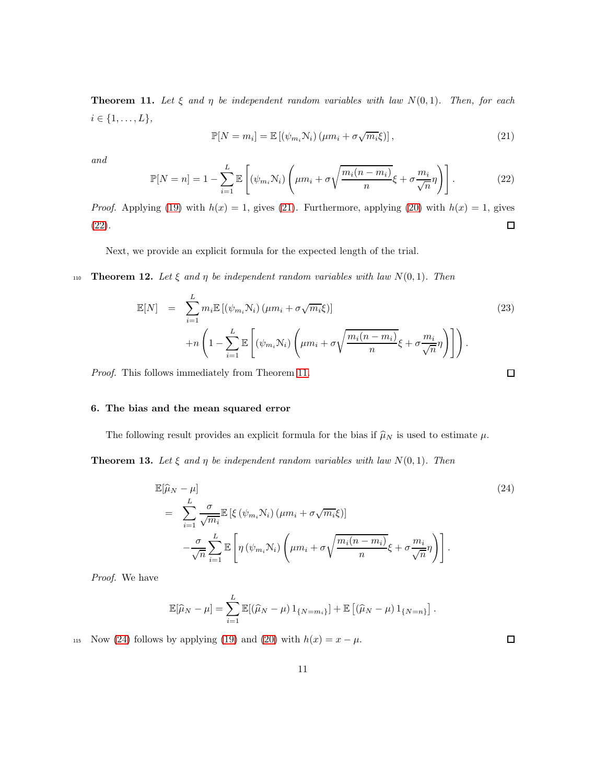<span id="page-10-3"></span>**Theorem 11.** Let  $\xi$  and  $\eta$  be independent random variables with law  $N(0, 1)$ . Then, for each  $i \in \{1, ..., L\},\$ 

$$
\mathbb{P}[N = m_i] = \mathbb{E}\left[\left(\psi_{m_i}\mathcal{N}_i\right)\left(\mu m_i + \sigma\sqrt{m_i}\xi\right)\right],\tag{21}
$$

<span id="page-10-2"></span>and

<span id="page-10-1"></span>
$$
\mathbb{P}[N=n] = 1 - \sum_{i=1}^{L} \mathbb{E}\left[ (\psi_{m_i} N_i) \left( \mu m_i + \sigma \sqrt{\frac{m_i(n-m_i)}{n}} \xi + \sigma \frac{m_i}{\sqrt{n}} \eta \right) \right].
$$
 (22)

*Proof.* Applying [\(19\)](#page-9-3) with  $h(x) = 1$ , gives [\(21\)](#page-10-1). Furthermore, applying [\(20\)](#page-9-4) with  $h(x) = 1$ , gives [\(22\)](#page-10-2).  $\Box$ 

Next, we provide an explicit formula for the expected length of the trial.

110 **Theorem 12.** Let  $\xi$  and  $\eta$  be independent random variables with law  $N(0, 1)$ . Then

<span id="page-10-6"></span>
$$
\mathbb{E}[N] = \sum_{i=1}^{L} m_i \mathbb{E}[(\psi_{m_i} N_i) (\mu m_i + \sigma \sqrt{m_i \xi})]
$$
\n
$$
+ n \left( 1 - \sum_{i=1}^{L} \mathbb{E}\left[ (\psi_{m_i} N_i) \left( \mu m_i + \sigma \sqrt{\frac{m_i (n - m_i)}{n}} \xi + \sigma \frac{m_i}{\sqrt{n}} \eta \right) \right] \right).
$$
\n(23)

\nis follows immediately from Theorem 11.

<span id="page-10-0"></span>Proof. This follows immediately from Theorem [11.](#page-10-3)

## 6. The bias and the mean squared error

The following result provides an explicit formula for the bias if  $\hat{\mu}_N$  is used to estimate  $\mu$ .

<span id="page-10-5"></span>**Theorem 13.** Let  $\xi$  and  $\eta$  be independent random variables with law  $N(0, 1)$ . Then

<span id="page-10-4"></span>
$$
\mathbb{E}[\widehat{\mu}_N - \mu] \tag{24}
$$
\n
$$
= \sum_{i=1}^L \frac{\sigma}{\sqrt{m_i}} \mathbb{E} \left[ \xi \left( \psi_{m_i} \mathcal{N}_i \right) \left( \mu m_i + \sigma \sqrt{m_i} \xi \right) \right]
$$
\n
$$
- \frac{\sigma}{\sqrt{n}} \sum_{i=1}^L \mathbb{E} \left[ \eta \left( \psi_{m_i} \mathcal{N}_i \right) \left( \mu m_i + \sigma \sqrt{\frac{m_i(n - m_i)}{n}} \xi + \sigma \frac{m_i}{\sqrt{n}} \eta \right) \right].
$$

Proof. We have

$$
\mathbb{E}[\hat{\mu}_N - \mu] = \sum_{i=1}^L \mathbb{E}[(\hat{\mu}_N - \mu) 1_{\{N = m_i\}}] + \mathbb{E}[(\hat{\mu}_N - \mu) 1_{\{N = n\}}].
$$

115 Now [\(24\)](#page-10-4) follows by applying [\(19\)](#page-9-3) and [\(20\)](#page-9-4) with  $h(x) = x - \mu$ .

 $\Box$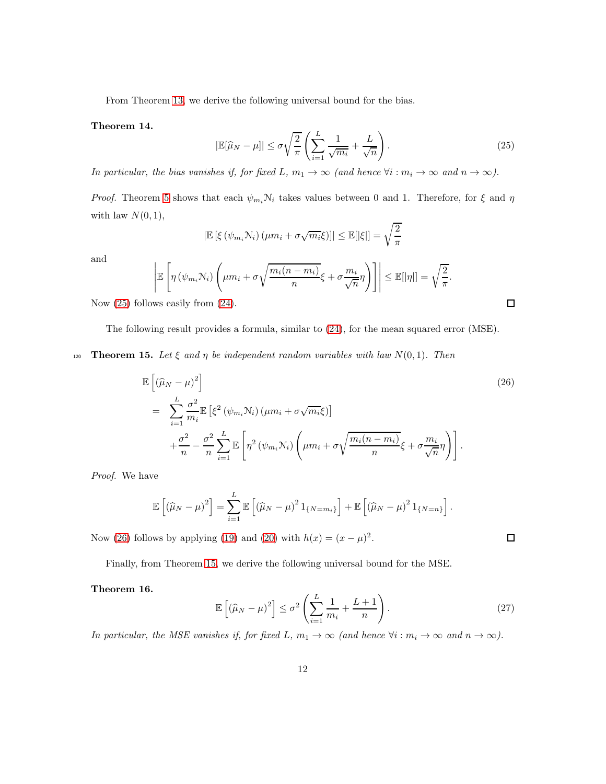<span id="page-11-0"></span>From Theorem [13,](#page-10-5) we derive the following universal bound for the bias.

<span id="page-11-3"></span>Theorem 14.

$$
|\mathbb{E}[\widehat{\mu}_N - \mu]| \le \sigma \sqrt{\frac{2}{\pi}} \left( \sum_{i=1}^L \frac{1}{\sqrt{m_i}} + \frac{L}{\sqrt{n}} \right). \tag{25}
$$

In particular, the bias vanishes if, for fixed L,  $m_1 \to \infty$  (and hence  $\forall i : m_i \to \infty$  and  $n \to \infty$ ).

*Proof.* Theorem [5](#page-6-0) shows that each  $\psi_{m_i} \mathcal{N}_i$  takes values between 0 and 1. Therefore, for  $\xi$  and  $\eta$ with law  $N(0, 1)$ ,

$$
\left| \mathbb{E}\left[\xi\left(\psi_{m_i}\mathbf{N}_i\right)\left(\mu m_i + \sigma\sqrt{m_i}\xi\right)\right] \right| \leq \mathbb{E}[|\xi|] = \sqrt{\frac{2}{\pi}}
$$

and

$$
\left| \mathbb{E}\left[\eta\left(\psi_{m_i}\mathcal{N}_i\right)\left(\mu m_i + \sigma\sqrt{\frac{m_i(n-m_i)}{n}}\xi + \sigma\frac{m_i}{\sqrt{n}}\eta\right) \right] \right| \leq \mathbb{E}[|\eta|] = \sqrt{\frac{2}{\pi}}.
$$

Now [\(25\)](#page-11-0) follows easily from [\(24\)](#page-10-4).

The following result provides a formula, similar to [\(24\)](#page-10-4), for the mean squared error (MSE).

<span id="page-11-2"></span>120 **Theorem 15.** Let  $\xi$  and  $\eta$  be independent random variables with law  $N(0, 1)$ . Then

<span id="page-11-1"></span>
$$
\mathbb{E}\left[\left(\widehat{\mu}_{N}-\mu\right)^{2}\right]
$$
\n
$$
=\sum_{i=1}^{L} \frac{\sigma^{2}}{m_{i}} \mathbb{E}\left[\xi^{2}\left(\psi_{m_{i}}N_{i}\right)\left(\mu m_{i}+\sigma\sqrt{m_{i}}\xi\right)\right]
$$
\n
$$
+\frac{\sigma^{2}}{n}-\frac{\sigma^{2}}{n}\sum_{i=1}^{L} \mathbb{E}\left[\eta^{2}\left(\psi_{m_{i}}N_{i}\right)\left(\mu m_{i}+\sigma\sqrt{\frac{m_{i}(n-m_{i})}{n}}\xi+\sigma\frac{m_{i}}{\sqrt{n}}\eta\right)\right].
$$
\n(26)

Proof. We have

$$
\mathbb{E}\left[\left(\widehat{\mu}_N-\mu\right)^2\right] = \sum_{i=1}^L \mathbb{E}\left[\left(\widehat{\mu}_N-\mu\right)^2 1_{\{N=m_i\}}\right] + \mathbb{E}\left[\left(\widehat{\mu}_N-\mu\right)^2 1_{\{N=n\}}\right].
$$

Now [\(26\)](#page-11-1) follows by applying [\(19\)](#page-9-3) and [\(20\)](#page-9-4) with  $h(x) = (x - \mu)^2$ .

<span id="page-11-4"></span>Finally, from Theorem [15,](#page-11-2) we derive the following universal bound for the MSE.

## Theorem 16.

$$
\mathbb{E}\left[\left(\widehat{\mu}_N - \mu\right)^2\right] \le \sigma^2 \left(\sum_{i=1}^L \frac{1}{m_i} + \frac{L+1}{n}\right). \tag{27}
$$

In particular, the MSE vanishes if, for fixed L,  $m_1 \to \infty$  (and hence  $\forall i : m_i \to \infty$  and  $n \to \infty$ ).

 $\Box$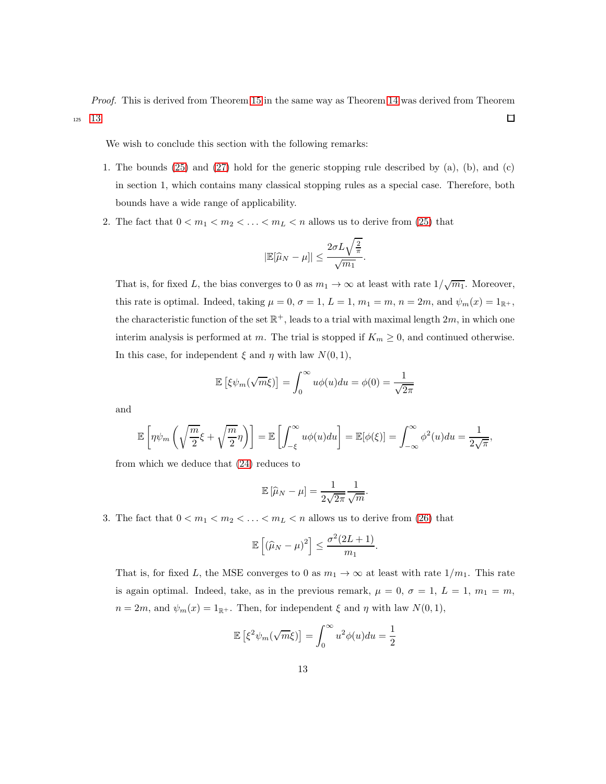Proof. This is derived from Theorem [15](#page-11-2) in the same way as Theorem [14](#page-11-3) was derived from Theorem <sup>125</sup> [13.](#page-10-5)  $\Box$ 

We wish to conclude this section with the following remarks:

- 1. The bounds [\(25\)](#page-11-0) and [\(27\)](#page-11-4) hold for the generic stopping rule described by (a), (b), and (c) in section 1, which contains many classical stopping rules as a special case. Therefore, both bounds have a wide range of applicability.
- 2. The fact that  $0 < m_1 < m_2 < \ldots < m_L < n$  allows us to derive from [\(25\)](#page-11-0) that

$$
|\mathbb{E}[\widehat{\mu}_N - \mu]| \leq \frac{2\sigma L\sqrt{\frac{2}{\pi}}}{\sqrt{m_1}}.
$$

That is, for fixed L, the bias converges to 0 as  $m_1 \to \infty$  at least with rate  $1/\sqrt{m_1}$ . Moreover, this rate is optimal. Indeed, taking  $\mu = 0$ ,  $\sigma = 1$ ,  $L = 1$ ,  $m_1 = m$ ,  $n = 2m$ , and  $\psi_m(x) = 1_{\mathbb{R}^+}$ , the characteristic function of the set  $\mathbb{R}^+$ , leads to a trial with maximal length  $2m$ , in which one interim analysis is performed at m. The trial is stopped if  $K_m \geq 0$ , and continued otherwise. In this case, for independent  $\xi$  and  $\eta$  with law  $N(0, 1)$ ,

$$
\mathbb{E}\left[\xi\psi_m(\sqrt{m}\xi)\right] = \int_0^\infty u\phi(u)du = \phi(0) = \frac{1}{\sqrt{2\pi}}
$$

and

$$
\mathbb{E}\left[\eta\psi_m\left(\sqrt{\frac{m}{2}}\xi+\sqrt{\frac{m}{2}}\eta\right)\right]=\mathbb{E}\left[\int_{-\xi}^{\infty}u\phi(u)du\right]=\mathbb{E}[\phi(\xi)]=\int_{-\infty}^{\infty}\phi^2(u)du=\frac{1}{2\sqrt{\pi}},
$$

from which we deduce that [\(24\)](#page-10-4) reduces to

$$
\mathbb{E}\left[\widehat{\mu}_N - \mu\right] = \frac{1}{2\sqrt{2\pi}} \frac{1}{\sqrt{m}}
$$

.

3. The fact that  $0 < m_1 < m_2 < \ldots < m_L < n$  allows us to derive from [\(26\)](#page-11-1) that

$$
\mathbb{E}\left[\left(\widehat{\mu}_N-\mu\right)^2\right] \leq \frac{\sigma^2(2L+1)}{m_1}.
$$

That is, for fixed L, the MSE converges to 0 as  $m_1 \rightarrow \infty$  at least with rate  $1/m_1$ . This rate is again optimal. Indeed, take, as in the previous remark,  $\mu = 0, \sigma = 1, L = 1, m_1 = m$ ,  $n = 2m$ , and  $\psi_m(x) = 1_{\mathbb{R}^+}$ . Then, for independent  $\xi$  and  $\eta$  with law  $N(0, 1)$ ,

$$
\mathbb{E}\left[\xi^2\psi_m(\sqrt{m}\xi)\right] = \int_0^\infty u^2\phi(u)du = \frac{1}{2}
$$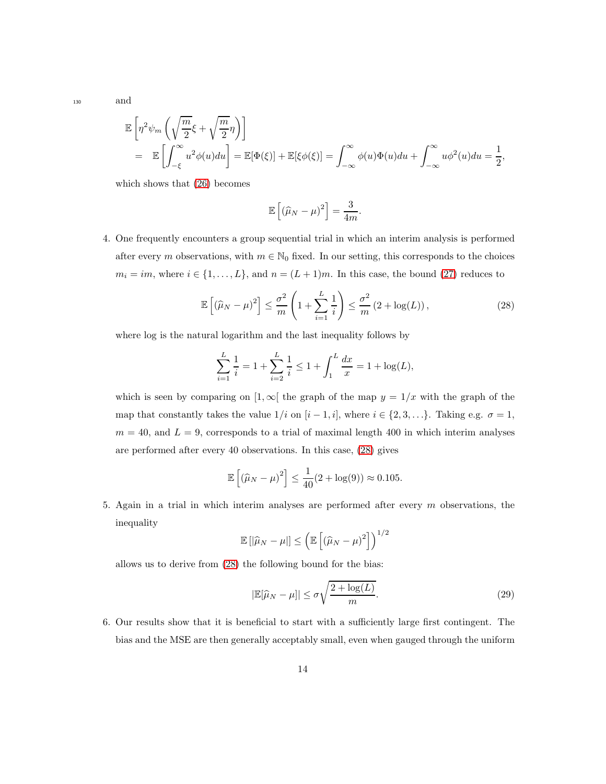<sup>130</sup> and

$$
\mathbb{E}\left[\eta^2\psi_m\left(\sqrt{\frac{m}{2}}\xi+\sqrt{\frac{m}{2}}\eta\right)\right]
$$
  
= 
$$
\mathbb{E}\left[\int_{-\xi}^{\infty}u^2\phi(u)du\right]=\mathbb{E}[\Phi(\xi)]+\mathbb{E}[\xi\phi(\xi)]=\int_{-\infty}^{\infty}\phi(u)\Phi(u)du+\int_{-\infty}^{\infty}u\phi^2(u)du=\frac{1}{2},
$$

which shows that [\(26\)](#page-11-1) becomes

<span id="page-13-0"></span>
$$
\mathbb{E}\left[\left(\widehat{\mu}_N-\mu\right)^2\right]=\frac{3}{4m}.
$$

4. One frequently encounters a group sequential trial in which an interim analysis is performed after every m observations, with  $m \in \mathbb{N}_0$  fixed. In our setting, this corresponds to the choices  $m_i = im$ , where  $i \in \{1, ..., L\}$ , and  $n = (L + 1)m$ . In this case, the bound [\(27\)](#page-11-4) reduces to

$$
\mathbb{E}\left[\left(\widehat{\mu}_N-\mu\right)^2\right] \leq \frac{\sigma^2}{m}\left(1+\sum_{i=1}^L\frac{1}{i}\right) \leq \frac{\sigma^2}{m}\left(2+\log(L)\right),\tag{28}
$$

where log is the natural logarithm and the last inequality follows by

$$
\sum_{i=1}^{L} \frac{1}{i} = 1 + \sum_{i=2}^{L} \frac{1}{i} \le 1 + \int_{1}^{L} \frac{dx}{x} = 1 + \log(L),
$$

which is seen by comparing on [1,  $\infty$ ] the graph of the map  $y = 1/x$  with the graph of the map that constantly takes the value  $1/i$  on  $[i - 1, i]$ , where  $i \in \{2, 3, \ldots\}$ . Taking e.g.  $\sigma = 1$ ,  $m = 40$ , and  $L = 9$ , corresponds to a trial of maximal length 400 in which interim analyses are performed after every 40 observations. In this case, [\(28\)](#page-13-0) gives

$$
\mathbb{E}\left[\left(\widehat{\mu}_N-\mu\right)^2\right] \le \frac{1}{40}(2+\log(9)) \approx 0.105.
$$

5. Again in a trial in which interim analyses are performed after every  $m$  observations, the inequality

$$
\mathbb{E}\left[|\widehat{\mu}_N - \mu|\right] \leq \left(\mathbb{E}\left[\left(\widehat{\mu}_N - \mu\right)^2\right]\right)^{1/2}
$$

allows us to derive from [\(28\)](#page-13-0) the following bound for the bias:

<span id="page-13-1"></span>
$$
|\mathbb{E}[\widehat{\mu}_N - \mu]| \le \sigma \sqrt{\frac{2 + \log(L)}{m}}.\tag{29}
$$

6. Our results show that it is beneficial to start with a sufficiently large first contingent. The bias and the MSE are then generally acceptably small, even when gauged through the uniform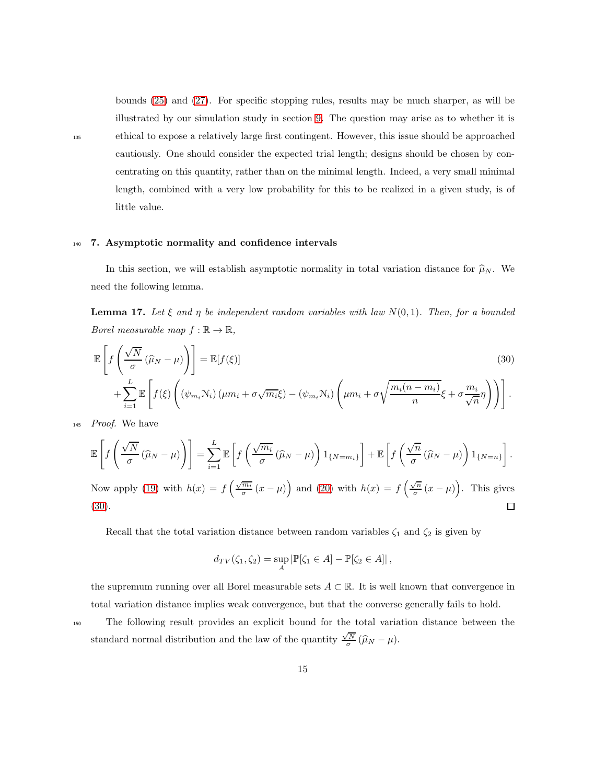bounds [\(25\)](#page-11-0) and [\(27\)](#page-11-4). For specific stopping rules, results may be much sharper, as will be illustrated by our simulation study in section [9.](#page-20-0) The question may arise as to whether it is <sup>135</sup> ethical to expose a relatively large first contingent. However, this issue should be approached cautiously. One should consider the expected trial length; designs should be chosen by concentrating on this quantity, rather than on the minimal length. Indeed, a very small minimal length, combined with a very low probability for this to be realized in a given study, is of little value.

#### <span id="page-14-0"></span><sup>140</sup> 7. Asymptotic normality and confidence intervals

In this section, we will establish asymptotic normality in total variation distance for  $\hat{\mu}_N$ . We need the following lemma.

**Lemma 17.** Let  $\xi$  and  $\eta$  be independent random variables with law  $N(0, 1)$ . Then, for a bounded Borel measurable map  $f : \mathbb{R} \to \mathbb{R}$ ,

<span id="page-14-1"></span>
$$
\mathbb{E}\left[f\left(\frac{\sqrt{N}}{\sigma}(\widehat{\mu}_N-\mu)\right)\right]=\mathbb{E}[f(\xi)]\tag{30}
$$
\n
$$
+\sum_{i=1}^L \mathbb{E}\left[f(\xi)\left((\psi_{m_i}\mathcal{N}_i)(\mu m_i+\sigma\sqrt{m_i}\xi)-(\psi_{m_i}\mathcal{N}_i)\left(\mu m_i+\sigma\sqrt{\frac{m_i(n-m_i)}{n}}\xi+\sigma\frac{m_i}{\sqrt{n}}\eta\right)\right)\right].
$$

<sup>145</sup> Proof. We have

$$
\mathbb{E}\left[f\left(\frac{\sqrt{N}}{\sigma}(\widehat{\mu}_N-\mu)\right)\right]=\sum_{i=1}^L\mathbb{E}\left[f\left(\frac{\sqrt{m_i}}{\sigma}(\widehat{\mu}_N-\mu)\right)1_{\{N=m_i\}}\right]+\mathbb{E}\left[f\left(\frac{\sqrt{n}}{\sigma}(\widehat{\mu}_N-\mu)\right)1_{\{N=n\}}\right].
$$

Now apply [\(19\)](#page-9-3) with  $h(x) = f\left(\frac{\sqrt{m_i}}{\sigma}\right)$  $\frac{\overline{m_i}}{\sigma}(x-\mu)$  and [\(20\)](#page-9-4) with  $h(x) = f\left(\frac{\sqrt{n}}{\sigma}\right)$  $\sqrt{\frac{n}{\sigma}}(x-\mu)$ . This gives [\(30\)](#page-14-1).  $\Box$ 

Recall that the total variation distance between random variables  $\zeta_1$  and  $\zeta_2$  is given by

$$
d_{TV}(\zeta_1, \zeta_2) = \sup_A |\mathbb{P}[\zeta_1 \in A] - \mathbb{P}[\zeta_2 \in A]|,
$$

the supremum running over all Borel measurable sets  $A \subset \mathbb{R}$ . It is well known that convergence in total variation distance implies weak convergence, but that the converse generally fails to hold.

The following result provides an explicit bound for the total variation distance between the standard normal distribution and the law of the quantity 
$$
\frac{\sqrt{N}}{\sigma}(\hat{\mu}_N - \mu)
$$
.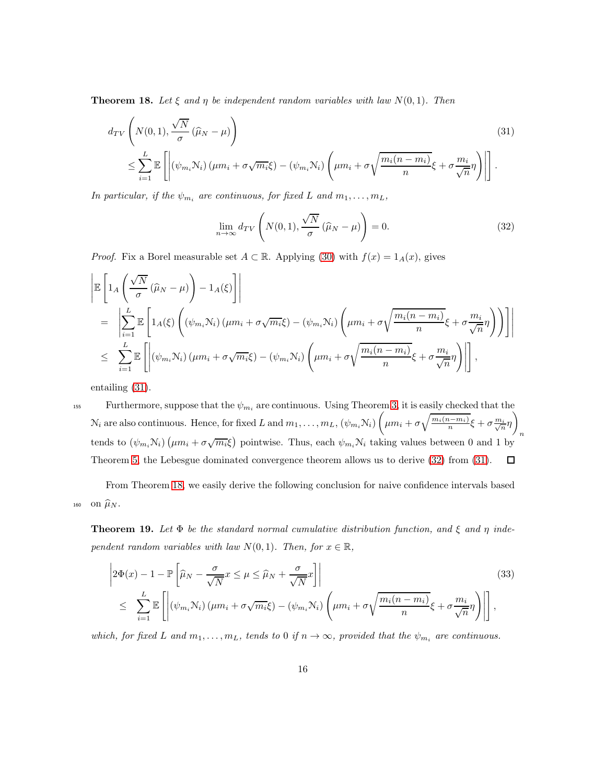<span id="page-15-2"></span>**Theorem 18.** Let  $\xi$  and  $\eta$  be independent random variables with law  $N(0, 1)$ . Then

<span id="page-15-0"></span>
$$
d_{TV}\left(N(0,1), \frac{\sqrt{N}}{\sigma}(\widehat{\mu}_N - \mu)\right)
$$
\n
$$
\leq \sum_{i=1}^L \mathbb{E}\left[\left|\left(\psi_{m_i} N_i\right)\left(\mu m_i + \sigma \sqrt{m_i}\xi\right) - \left(\psi_{m_i} N_i\right)\left(\mu m_i + \sigma \sqrt{\frac{m_i(n-m_i)}{n}}\xi + \sigma \frac{m_i}{\sqrt{n}}\eta\right)\right|\right].
$$
\n(31)

In particular, if the  $\psi_{m_i}$  are continuous, for fixed L and  $m_1, \ldots, m_L$ ,

<span id="page-15-1"></span>
$$
\lim_{n \to \infty} d_{TV}\left(N(0, 1), \frac{\sqrt{N}}{\sigma} (\widehat{\mu}_N - \mu)\right) = 0.
$$
\n(32)

*Proof.* Fix a Borel measurable set  $A \subset \mathbb{R}$ . Applying [\(30\)](#page-14-1) with  $f(x) = 1_A(x)$ , gives

$$
\begin{split}\n&\left|\mathbb{E}\left[\mathbf{1}_{A}\left(\frac{\sqrt{N}}{\sigma}(\widehat{\mu}_{N}-\mu)\right)-\mathbf{1}_{A}(\xi)\right]\right| \\
&= \left|\sum_{i=1}^{L}\mathbb{E}\left[\mathbf{1}_{A}(\xi)\left((\psi_{m_{i}}N_{i})(\mu m_{i}+\sigma\sqrt{m_{i}}\xi)-(\psi_{m_{i}}N_{i})\left(\mu m_{i}+\sigma\sqrt{\frac{m_{i}(n-m_{i})}{n}}\xi+\sigma\frac{m_{i}}{\sqrt{n}}\eta\right)\right)\right]\right| \\
&\leq \sum_{i=1}^{L}\mathbb{E}\left[\left|(\psi_{m_{i}}N_{i})(\mu m_{i}+\sigma\sqrt{m_{i}}\xi)-(\psi_{m_{i}}N_{i})\left(\mu m_{i}+\sigma\sqrt{\frac{m_{i}(n-m_{i})}{n}}\xi+\sigma\frac{m_{i}}{\sqrt{n}}\eta\right)\right|\right],\n\end{split}
$$

entailing [\(31\)](#page-15-0).

155 Furthermore, suppose that the  $\psi_{m_i}$  are continuous. Using Theorem [3,](#page-4-0) it is easily checked that the  $\mathcal{N}_i$  are also continuous. Hence, for fixed L and  $m_1, \ldots, m_L, (\psi_{m_i}, \mathcal{N}_i)$  $\setminus$  $\mu m_i + \sigma \sqrt{\frac{m_i(n-m_i)}{n}} \xi + \sigma \frac{m_i}{\sqrt{n}} \eta$ n tends to  $(\psi_{m_i}N_i)(\mu m_i + \sigma \sqrt{m_i \xi})$  pointwise. Thus, each  $\psi_{m_i}N_i$  taking values between 0 and 1 by Theorem [5,](#page-6-0) the Lebesgue dominated convergence theorem allows us to derive [\(32\)](#page-15-1) from [\(31\)](#page-15-0).  $\Box$ 

From Theorem [18,](#page-15-2) we easily derive the following conclusion for naive confidence intervals based 160 on  $\widehat{\mu}_N$ .

<span id="page-15-4"></span>**Theorem 19.** Let  $\Phi$  be the standard normal cumulative distribution function, and  $\xi$  and  $\eta$  independent random variables with law  $N(0, 1)$ . Then, for  $x \in \mathbb{R}$ ,

<span id="page-15-3"></span>
$$
\left| 2\Phi(x) - 1 - \mathbb{P}\left[ \widehat{\mu}_N - \frac{\sigma}{\sqrt{N}} x \le \mu \le \widehat{\mu}_N + \frac{\sigma}{\sqrt{N}} x \right] \right|
$$
\n
$$
\le \sum_{i=1}^L \mathbb{E}\left[ \left| \left( \psi_{m_i} \mathcal{N}_i \right) \left( \mu m_i + \sigma \sqrt{m_i} \xi \right) - \left( \psi_{m_i} \mathcal{N}_i \right) \left( \mu m_i + \sigma \sqrt{\frac{m_i (n - m_i)}{n}} \xi + \sigma \frac{m_i}{\sqrt{n}} \eta \right) \right| \right],
$$
\n(33)

which, for fixed L and  $m_1, \ldots, m_L$ , tends to 0 if  $n \to \infty$ , provided that the  $\psi_{m_i}$  are continuous.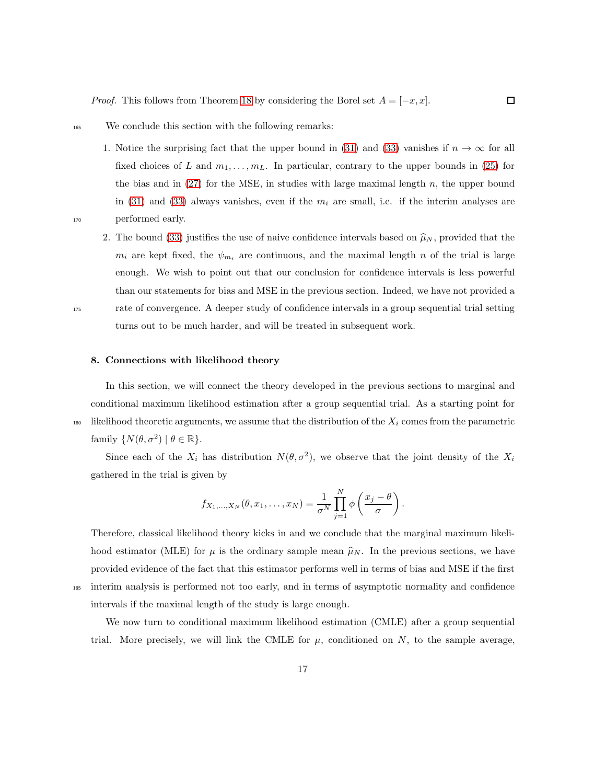<sup>165</sup> We conclude this section with the following remarks:

1. Notice the surprising fact that the upper bound in [\(31\)](#page-15-0) and [\(33\)](#page-15-3) vanishes if  $n \to \infty$  for all fixed choices of L and  $m_1, \ldots, m_L$ . In particular, contrary to the upper bounds in [\(25\)](#page-11-0) for the bias and in  $(27)$  for the MSE, in studies with large maximal length n, the upper bound in [\(31\)](#page-15-0) and [\(33\)](#page-15-3) always vanishes, even if the  $m_i$  are small, i.e. if the interim analyses are <sup>170</sup> performed early.

 $\Box$ 

- 
- 2. The bound [\(33\)](#page-15-3) justifies the use of naive confidence intervals based on  $\hat{\mu}_N$ , provided that the  $m_i$  are kept fixed, the  $\psi_{m_i}$  are continuous, and the maximal length n of the trial is large enough. We wish to point out that our conclusion for confidence intervals is less powerful than our statements for bias and MSE in the previous section. Indeed, we have not provided a <sup>175</sup> rate of convergence. A deeper study of confidence intervals in a group sequential trial setting turns out to be much harder, and will be treated in subsequent work.

#### <span id="page-16-0"></span>8. Connections with likelihood theory

In this section, we will connect the theory developed in the previous sections to marginal and conditional maximum likelihood estimation after a group sequential trial. As a starting point for 180 likelihood theoretic arguments, we assume that the distribution of the  $X_i$  comes from the parametric family  $\{N(\theta, \sigma^2) | \theta \in \mathbb{R}\}.$ 

Since each of the  $X_i$  has distribution  $N(\theta, \sigma^2)$ , we observe that the joint density of the  $X_i$ gathered in the trial is given by

$$
f_{X_1,...,X_N}(\theta, x_1,..., x_N) = \frac{1}{\sigma^N} \prod_{j=1}^N \phi\left(\frac{x_j - \theta}{\sigma}\right).
$$

Therefore, classical likelihood theory kicks in and we conclude that the marginal maximum likelihood estimator (MLE) for  $\mu$  is the ordinary sample mean  $\hat{\mu}_N$ . In the previous sections, we have provided evidence of the fact that this estimator performs well in terms of bias and MSE if the first <sup>185</sup> interim analysis is performed not too early, and in terms of asymptotic normality and confidence intervals if the maximal length of the study is large enough.

We now turn to conditional maximum likelihood estimation (CMLE) after a group sequential trial. More precisely, we will link the CMLE for  $\mu$ , conditioned on N, to the sample average,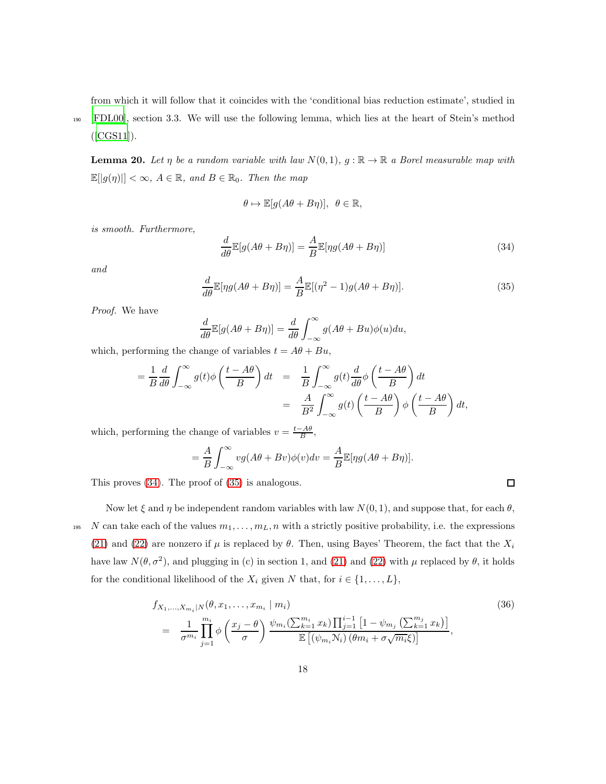from which it will follow that it coincides with the 'conditional bias reduction estimate', studied in

<sup>190</sup> [\[FDL00\]](#page-23-7), section 3.3. We will use the following lemma, which lies at the heart of Stein's method ([\[CGS11](#page-23-8)]).

**Lemma 20.** Let  $\eta$  be a random variable with law  $N(0, 1)$ ,  $g : \mathbb{R} \to \mathbb{R}$  a Borel measurable map with  $\mathbb{E}[|g(\eta)|] < \infty$ ,  $A \in \mathbb{R}$ , and  $B \in \mathbb{R}_0$ . Then the map

$$
\theta \mapsto \mathbb{E}[g(A\theta + B\eta)], \ \theta \in \mathbb{R},
$$

is smooth. Furthermore,

<span id="page-17-0"></span>
$$
\frac{d}{d\theta} \mathbb{E}[g(A\theta + B\eta)] = \frac{A}{B} \mathbb{E}[\eta g(A\theta + B\eta)]
$$
\n(34)

 $\Box$ 

<span id="page-17-1"></span>and

$$
\frac{d}{d\theta}\mathbb{E}[\eta g(A\theta + B\eta)] = \frac{A}{B}\mathbb{E}[(\eta^2 - 1)g(A\theta + B\eta)].
$$
\n(35)

Proof. We have

$$
\frac{d}{d\theta} \mathbb{E}[g(A\theta + B\eta)] = \frac{d}{d\theta} \int_{-\infty}^{\infty} g(A\theta + Bu)\phi(u)du,
$$

which, performing the change of variables  $t = A\theta + Bu$ ,

$$
= \frac{1}{B} \frac{d}{d\theta} \int_{-\infty}^{\infty} g(t) \phi\left(\frac{t - A\theta}{B}\right) dt = \frac{1}{B} \int_{-\infty}^{\infty} g(t) \frac{d}{d\theta} \phi\left(\frac{t - A\theta}{B}\right) dt
$$

$$
= \frac{A}{B^2} \int_{-\infty}^{\infty} g(t) \left(\frac{t - A\theta}{B}\right) \phi\left(\frac{t - A\theta}{B}\right) dt,
$$

which, performing the change of variables  $v = \frac{t - A\theta}{B}$ ,

$$
= \frac{A}{B} \int_{-\infty}^{\infty} v g(A\theta + Bv) \phi(v) dv = \frac{A}{B} \mathbb{E}[\eta g(A\theta + B\eta)].
$$

This proves [\(34\)](#page-17-0). The proof of [\(35\)](#page-17-1) is analogous.

Now let  $\xi$  and  $\eta$  be independent random variables with law  $N(0, 1)$ , and suppose that, for each  $\theta$ , <sup>195</sup> N can take each of the values  $m_1, \ldots, m_L, n$  with a strictly positive probability, i.e. the expressions [\(21\)](#page-10-1) and [\(22\)](#page-10-2) are nonzero if  $\mu$  is replaced by  $\theta$ . Then, using Bayes' Theorem, the fact that the  $X_i$ have law  $N(\theta, \sigma^2)$ , and plugging in (c) in section 1, and [\(21\)](#page-10-1) and [\(22\)](#page-10-2) with  $\mu$  replaced by  $\theta$ , it holds for the conditional likelihood of the  $X_i$  given N that, for  $i \in \{1, \ldots, L\}$ ,

$$
f_{X_1,...,X_{m_i}|N}(\theta, x_1,...,x_{m_i} | m_i)
$$
\n
$$
= \frac{1}{\sigma^{m_i}} \prod_{j=1}^{m_i} \phi\left(\frac{x_j - \theta}{\sigma}\right) \frac{\psi_{m_i}(\sum_{k=1}^{m_i} x_k) \prod_{j=1}^{i-1} \left[1 - \psi_{m_j}\left(\sum_{k=1}^{m_j} x_k\right)\right]}{\mathbb{E}\left[(\psi_{m_i} N_i) \left(\theta m_i + \sigma \sqrt{m_i} \xi\right)\right]},
$$
\n(36)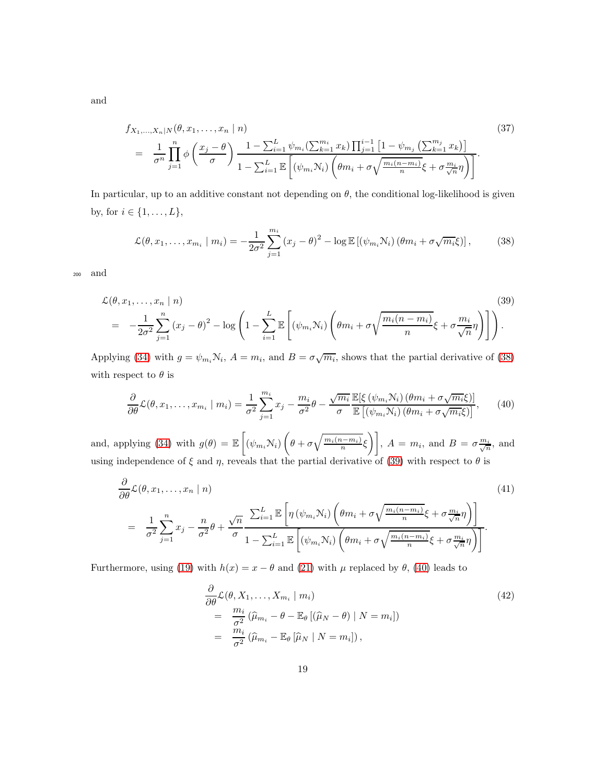and

$$
f_{X_1,...,X_n|N}(\theta, x_1,...,x_n | n)
$$
\n
$$
= \frac{1}{\sigma^n} \prod_{j=1}^n \phi\left(\frac{x_j - \theta}{\sigma}\right) \frac{1 - \sum_{i=1}^L \psi_{m_i}(\sum_{k=1}^{m_i} x_k) \prod_{j=1}^{i-1} \left[1 - \psi_{m_j} \left(\sum_{k=1}^{m_j} x_k\right)\right]}{1 - \sum_{i=1}^L \mathbb{E}\left[(\psi_{m_i} N_i) \left(\theta m_i + \sigma \sqrt{\frac{m_i(n-m_i)}{n}} \xi + \sigma \frac{m_i}{\sqrt{n}} \eta\right)\right]}.
$$
\n(37)

In particular, up to an additive constant not depending on  $\theta$ , the conditional log-likelihood is given by, for  $i \in \{1, ..., L\},\$ 

<span id="page-18-0"></span>
$$
\mathcal{L}(\theta, x_1, \dots, x_{m_i} \mid m_i) = -\frac{1}{2\sigma^2} \sum_{j=1}^{m_i} (x_j - \theta)^2 - \log \mathbb{E} \left[ (\psi_{m_i} N_i) \left( \theta m_i + \sigma \sqrt{m_i \xi} \right) \right],\tag{38}
$$

<sup>200</sup> and

<span id="page-18-1"></span>
$$
\mathcal{L}(\theta, x_1, \dots, x_n | n) \tag{39}
$$
\n
$$
= -\frac{1}{2\sigma^2} \sum_{j=1}^n (x_j - \theta)^2 - \log \left( 1 - \sum_{i=1}^L \mathbb{E} \left[ (\psi_{m_i} N_i) \left( \theta m_i + \sigma \sqrt{\frac{m_i (n - m_i)}{n}} \xi + \sigma \frac{m_i}{\sqrt{n}} \eta \right) \right] \right).
$$

Applying [\(34\)](#page-17-0) with  $g = \psi_{m_i} \mathcal{N}_i$ ,  $A = m_i$ , and  $B = \sigma \sqrt{m_i}$ , shows that the partial derivative of [\(38\)](#page-18-0) with respect to  $\theta$  is

<span id="page-18-2"></span>
$$
\frac{\partial}{\partial \theta} \mathcal{L}(\theta, x_1, \dots, x_{m_i} \mid m_i) = \frac{1}{\sigma^2} \sum_{j=1}^{m_i} x_j - \frac{m_i}{\sigma^2} \theta - \frac{\sqrt{m_i}}{\sigma} \frac{\mathbb{E}[\xi(\psi_{m_i} \mathcal{N}_i) (\theta m_i + \sigma \sqrt{m_i} \xi)]}{\mathbb{E}[(\psi_{m_i} \mathcal{N}_i) (\theta m_i + \sigma \sqrt{m_i} \xi)]}, \quad (40)
$$

and, applying [\(34\)](#page-17-0) with  $g(\theta) = \mathbb{E}\left[\left(\psi_{m_i} \mathcal{N}_i\right) \left(\right)$  $\left[\theta + \sigma \sqrt{\frac{m_i(n-m_i)}{n}} \xi\right]$ ,  $A = m_i$ , and  $B = \sigma \frac{m_i}{\sqrt{n}}$ , and using independence of  $\xi$  and  $\eta$ , reveals that the partial derivative of [\(39\)](#page-18-1) with respect to  $\theta$  is

<span id="page-18-3"></span>
$$
\frac{\partial}{\partial \theta} \mathcal{L}(\theta, x_1, \dots, x_n | n) \tag{41}
$$
\n
$$
= \frac{1}{\sigma^2} \sum_{j=1}^n x_j - \frac{n}{\sigma^2} \theta + \frac{\sqrt{n}}{\sigma} \frac{\sum_{i=1}^L \mathbb{E}\left[\eta\left(\psi_{m_i} \mathcal{N}_i\right) \left(\theta m_i + \sigma \sqrt{\frac{m_i(n-m_i)}{n}} \xi + \sigma \frac{m_i}{\sqrt{n}} \eta\right)\right]}{1 - \sum_{i=1}^L \mathbb{E}\left[\left(\psi_{m_i} \mathcal{N}_i\right) \left(\theta m_i + \sigma \sqrt{\frac{m_i(n-m_i)}{n}} \xi + \sigma \frac{m_i}{\sqrt{n}} \eta\right)\right]}.
$$
\n
$$
(41)
$$

Furthermore, using [\(19\)](#page-9-3) with  $h(x) = x - \theta$  and [\(21\)](#page-10-1) with  $\mu$  replaced by  $\theta$ , [\(40\)](#page-18-2) leads to

<span id="page-18-4"></span>
$$
\frac{\partial}{\partial \theta} \mathcal{L}(\theta, X_1, \dots, X_{m_i} \mid m_i)
$$
\n
$$
= \frac{m_i}{\sigma^2} (\hat{\mu}_{m_i} - \theta - \mathbb{E}_{\theta} [(\hat{\mu}_N - \theta) \mid N = m_i])
$$
\n
$$
= \frac{m_i}{\sigma^2} (\hat{\mu}_{m_i} - \mathbb{E}_{\theta} [\hat{\mu}_N \mid N = m_i]),
$$
\n(42)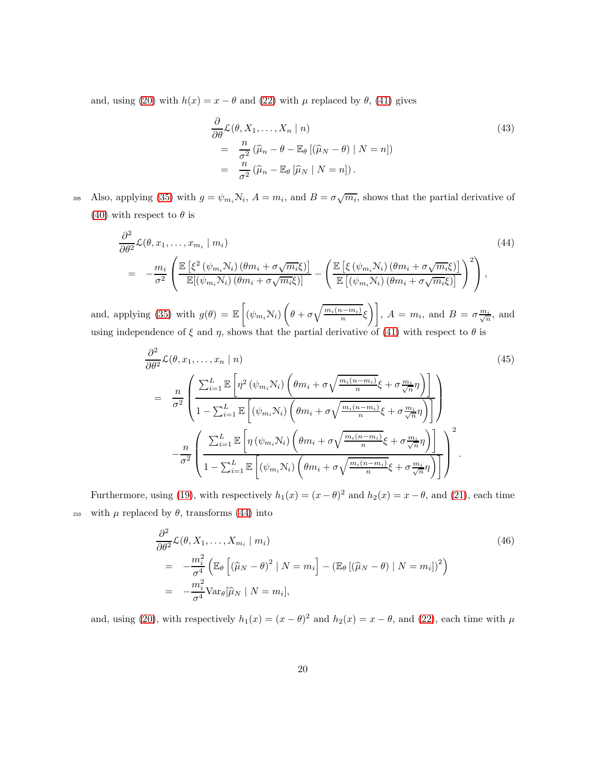and, using [\(20\)](#page-9-4) with  $h(x) = x - \theta$  and [\(22\)](#page-10-2) with  $\mu$  replaced by  $\theta$ , [\(41\)](#page-18-3) gives

<span id="page-19-2"></span>
$$
\frac{\partial}{\partial \theta} \mathcal{L}(\theta, X_1, \dots, X_n | n)
$$
\n
$$
= \frac{n}{\sigma^2} (\hat{\mu}_n - \theta - \mathbb{E}_{\theta} [(\hat{\mu}_N - \theta) | N = n])
$$
\n
$$
= \frac{n}{\sigma^2} (\hat{\mu}_n - \mathbb{E}_{\theta} [\hat{\mu}_N | N = n]).
$$
\n(43)

205 Also, applying [\(35\)](#page-17-1) with  $g = \psi_{m_i} N_i$ ,  $A = m_i$ , and  $B = \sigma \sqrt{m_i}$ , shows that the partial derivative of [\(40\)](#page-18-2) with respect to  $\theta$  is

<span id="page-19-0"></span>
$$
\frac{\partial^2}{\partial \theta^2} \mathcal{L}(\theta, x_1, \dots, x_{m_i} \mid m_i) \tag{44}
$$
\n
$$
= -\frac{m_i}{\sigma^2} \left( \frac{\mathbb{E} \left[ \xi^2 \left( \psi_{m_i} N_i \right) \left( \theta m_i + \sigma \sqrt{m_i} \xi \right) \right]}{\mathbb{E} \left[ \left( \psi_{m_i} N_i \right) \left( \theta m_i + \sigma \sqrt{m_i} \xi \right) \right]} - \left( \frac{\mathbb{E} \left[ \xi \left( \psi_{m_i} N_i \right) \left( \theta m_i + \sigma \sqrt{m_i} \xi \right) \right]}{\mathbb{E} \left[ \left( \psi_{m_i} N_i \right) \left( \theta m_i + \sigma \sqrt{m_i} \xi \right) \right]} \right)^2 \right),
$$
\n(44)

and, applying [\(35\)](#page-17-1) with  $g(\theta) = \mathbb{E}\left[\left(\psi_{m_i} \mathcal{N}_i\right) \left(\right)$  $\left[\theta + \sigma \sqrt{\frac{m_i(n-m_i)}{n}} \xi\right]$ ,  $A = m_i$ , and  $B = \sigma \frac{m_i}{\sqrt{n}}$ , and using independence of  $\xi$  and  $\eta$ , shows that the partial derivative of [\(41\)](#page-18-3) with respect to  $\theta$  is

<span id="page-19-1"></span>
$$
\frac{\partial^2}{\partial \theta^2} \mathcal{L}(\theta, x_1, \dots, x_n \mid n) \tag{45}
$$
\n
$$
= \frac{n}{\sigma^2} \left( \frac{\sum_{i=1}^L \mathbb{E}\left[\eta^2 \left(\psi_{m_i} \mathcal{N}_i\right) \left(\theta m_i + \sigma \sqrt{\frac{m_i (n - m_i)}{n}} \xi + \sigma \frac{m_i}{\sqrt{n}} \eta\right)\right]}{1 - \sum_{i=1}^L \mathbb{E}\left[\left(\psi_{m_i} \mathcal{N}_i\right) \left(\theta m_i + \sigma \sqrt{\frac{m_i (n - m_i)}{n}} \xi + \sigma \frac{m_i}{\sqrt{n}} \eta\right)\right]}\right)}
$$
\n
$$
- \frac{n}{\sigma^2} \left( \frac{\sum_{i=1}^L \mathbb{E}\left[\eta \left(\psi_{m_i} \mathcal{N}_i\right) \left(\theta m_i + \sigma \sqrt{\frac{m_i (n - m_i)}{n}} \xi + \sigma \frac{m_i}{\sqrt{n}} \eta\right)\right]}{1 - \sum_{i=1}^L \mathbb{E}\left[\left(\psi_{m_i} \mathcal{N}_i\right) \left(\theta m_i + \sigma \sqrt{\frac{m_i (n - m_i)}{n}} \xi + \sigma \frac{m_i}{\sqrt{n}} \eta\right)\right]}\right)^2.
$$
\n
$$
(45)
$$

Furthermore, using [\(19\)](#page-9-3), with respectively  $h_1(x) = (x - \theta)^2$  and  $h_2(x) = x - \theta$ , and [\(21\)](#page-10-1), each time <sup>210</sup> with  $\mu$  replaced by  $\theta$ , transforms [\(44\)](#page-19-0) into

<span id="page-19-3"></span>
$$
\frac{\partial^2}{\partial \theta^2} \mathcal{L}(\theta, X_1, \dots, X_{m_i} \mid m_i)
$$
\n
$$
= -\frac{m_i^2}{\sigma^4} \left( \mathbb{E}_{\theta} \left[ (\widehat{\mu}_N - \theta)^2 \mid N = m_i \right] - (\mathbb{E}_{\theta} \left[ (\widehat{\mu}_N - \theta) \mid N = m_i \right])^2 \right)
$$
\n
$$
= -\frac{m_i^2}{\sigma^4} \text{Var}_{\theta} [\widehat{\mu}_N \mid N = m_i],
$$
\n(46)

and, using [\(20\)](#page-9-4), with respectively  $h_1(x) = (x - \theta)^2$  and  $h_2(x) = x - \theta$ , and [\(22\)](#page-10-2), each time with  $\mu$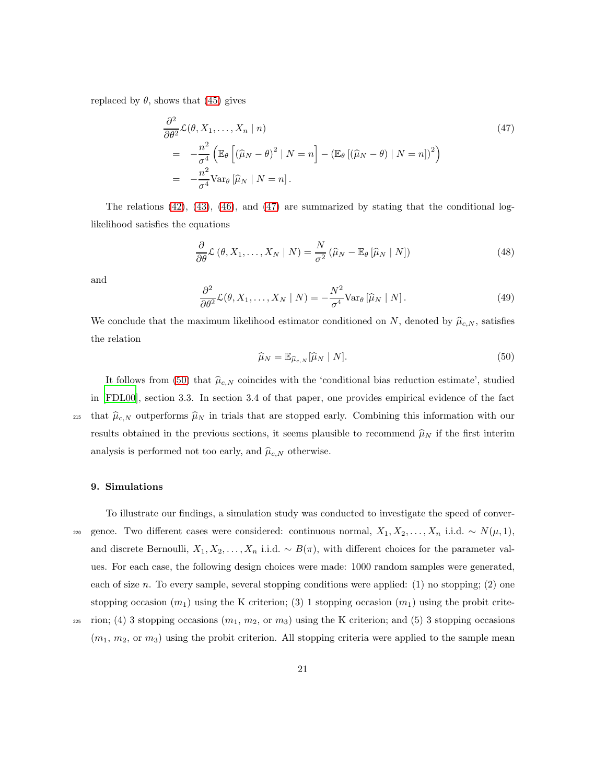replaced by  $\theta$ , shows that [\(45\)](#page-19-1) gives

<span id="page-20-1"></span>
$$
\frac{\partial^2}{\partial \theta^2} \mathcal{L}(\theta, X_1, \dots, X_n | n)
$$
\n
$$
= -\frac{n^2}{\sigma^4} \left( \mathbb{E}_{\theta} \left[ (\widehat{\mu}_N - \theta)^2 | N = n \right] - (\mathbb{E}_{\theta} \left[ (\widehat{\mu}_N - \theta) | N = n \right] )^2 \right)
$$
\n
$$
= -\frac{n^2}{\sigma^4} \text{Var}_{\theta} \left[ \widehat{\mu}_N | N = n \right].
$$
\n(47)

The relations [\(42\)](#page-18-4), [\(43\)](#page-19-2), [\(46\)](#page-19-3), and [\(47\)](#page-20-1) are summarized by stating that the conditional loglikelihood satisfies the equations

$$
\frac{\partial}{\partial \theta} \mathcal{L} \left( \theta, X_1, \dots, X_N \mid N \right) = \frac{N}{\sigma^2} \left( \widehat{\mu}_N - \mathbb{E}_{\theta} \left[ \widehat{\mu}_N \mid N \right] \right) \tag{48}
$$

and

$$
\frac{\partial^2}{\partial \theta^2} \mathcal{L}(\theta, X_1, \dots, X_N \mid N) = -\frac{N^2}{\sigma^4} \text{Var}_{\theta} \left[ \hat{\mu}_N \mid N \right]. \tag{49}
$$

<span id="page-20-2"></span>We conclude that the maximum likelihood estimator conditioned on N, denoted by  $\hat{\mu}_{c,N}$ , satisfies the relation

$$
\widehat{\mu}_N = \mathbb{E}_{\widehat{\mu}_{c,N}}[\widehat{\mu}_N \mid N]. \tag{50}
$$

It follows from [\(50\)](#page-20-2) that  $\hat{\mu}_{c,N}$  coincides with the 'conditional bias reduction estimate', studied in [\[FDL00](#page-23-7)], section 3.3. In section 3.4 of that paper, one provides empirical evidence of the fact <sup>215</sup> that  $\hat{\mu}_{c,N}$  outperforms  $\hat{\mu}_N$  in trials that are stopped early. Combining this information with our results obtained in the previous sections, it seems plausible to recommend  $\hat{\mu}_N$  if the first interim analysis is performed not too early, and  $\hat{\mu}_{c,N}$  otherwise.

## <span id="page-20-0"></span>9. Simulations

- To illustrate our findings, a simulation study was conducted to investigate the speed of conver-220 gence. Two different cases were considered: continuous normal,  $X_1, X_2, \ldots, X_n$  i.i.d. ~  $N(\mu, 1)$ , and discrete Bernoulli,  $X_1, X_2, \ldots, X_n$  i.i.d.  $\sim B(\pi)$ , with different choices for the parameter values. For each case, the following design choices were made: 1000 random samples were generated, each of size n. To every sample, several stopping conditions were applied:  $(1)$  no stopping;  $(2)$  one stopping occasion  $(m_1)$  using the K criterion; (3) 1 stopping occasion  $(m_1)$  using the probit crite-
- $_{225}$  rion; (4) 3 stopping occasions  $(m_1, m_2, \text{or } m_3)$  using the K criterion; and (5) 3 stopping occasions  $(m_1, m_2, \text{or } m_3)$  using the probit criterion. All stopping criteria were applied to the sample mean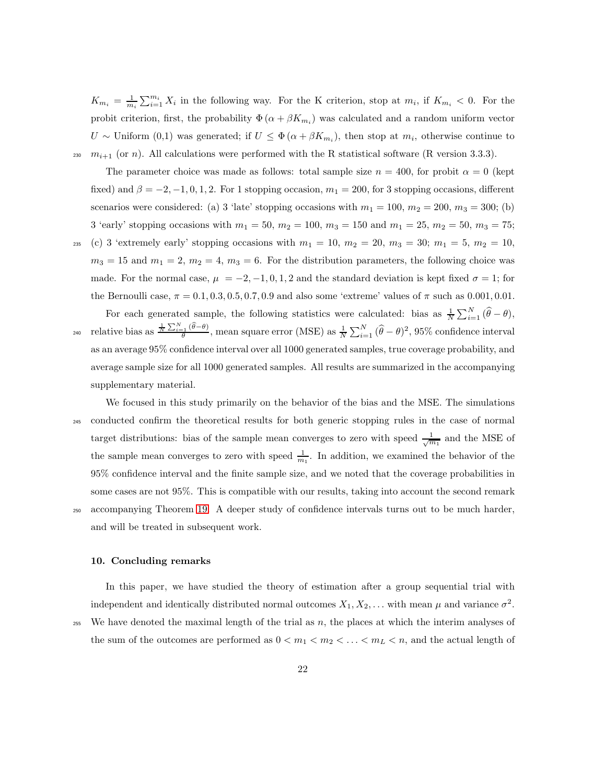$K_{m_i} = \frac{1}{m_i} \sum_{i=1}^{m_i} X_i$  in the following way. For the K criterion, stop at  $m_i$ , if  $K_{m_i} < 0$ . For the probit criterion, first, the probability  $\Phi(\alpha + \beta K_{m_i})$  was calculated and a random uniform vector U ~ Uniform (0,1) was generated; if  $U \leq \Phi(\alpha + \beta K_{m_i})$ , then stop at  $m_i$ , otherwise continue to <sup>230</sup>  $m_{i+1}$  (or n). All calculations were performed with the R statistical software (R version 3.3.3).

The parameter choice was made as follows: total sample size  $n = 400$ , for probit  $\alpha = 0$  (kept fixed) and  $\beta = -2, -1, 0, 1, 2$ . For 1 stopping occasion,  $m_1 = 200$ , for 3 stopping occasions, different scenarios were considered: (a) 3 'late' stopping occasions with  $m_1 = 100$ ,  $m_2 = 200$ ,  $m_3 = 300$ ; (b) 3 'early' stopping occasions with  $m_1 = 50$ ,  $m_2 = 100$ ,  $m_3 = 150$  and  $m_1 = 25$ ,  $m_2 = 50$ ,  $m_3 = 75$ ; 235 (c) 3 'extremely early' stopping occasions with  $m_1 = 10, m_2 = 20, m_3 = 30; m_1 = 5, m_2 = 10,$  $m_3 = 15$  and  $m_1 = 2$ ,  $m_2 = 4$ ,  $m_3 = 6$ . For the distribution parameters, the following choice was made. For the normal case,  $\mu = -2, -1, 0, 1, 2$  and the standard deviation is kept fixed  $\sigma = 1$ ; for the Bernoulli case,  $\pi = 0.1, 0.3, 0.5, 0.7, 0.9$  and also some 'extreme' values of  $\pi$  such as 0.001, 0.01.

For each generated sample, the following statistics were calculated: bias as  $\frac{1}{N} \sum_{i=1}^{N} (\hat{\theta} - \theta)$ , <sup>240</sup> relative bias as  $\frac{\frac{1}{N}\sum_{i=1}^{N}(\widehat{\theta}-\theta)}{\theta}$ , mean square error (MSE) as  $\frac{1}{N}\sum_{i=1}^{N}(\widehat{\theta}-\theta)^2$ , 95% confidence interval as an average 95% confidence interval over all 1000 generated samples, true coverage probability, and average sample size for all 1000 generated samples. All results are summarized in the accompanying supplementary material.

We focused in this study primarily on the behavior of the bias and the MSE. The simulations <sup>245</sup> conducted confirm the theoretical results for both generic stopping rules in the case of normal target distributions: bias of the sample mean converges to zero with speed  $\frac{1}{\sqrt{m_1}}$  and the MSE of the sample mean converges to zero with speed  $\frac{1}{m_1}$ . In addition, we examined the behavior of the 95% confidence interval and the finite sample size, and we noted that the coverage probabilities in some cases are not 95%. This is compatible with our results, taking into account the second remark <sup>250</sup> accompanying Theorem [19.](#page-15-4) A deeper study of confidence intervals turns out to be much harder, and will be treated in subsequent work.

#### <span id="page-21-0"></span>10. Concluding remarks

In this paper, we have studied the theory of estimation after a group sequential trial with independent and identically distributed normal outcomes  $X_1, X_2, \ldots$  with mean  $\mu$  and variance  $\sigma^2$ .

 $255$  We have denoted the maximal length of the trial as n, the places at which the interim analyses of

the sum of the outcomes are performed as  $0 < m_1 < m_2 < \ldots < m_L < n$ , and the actual length of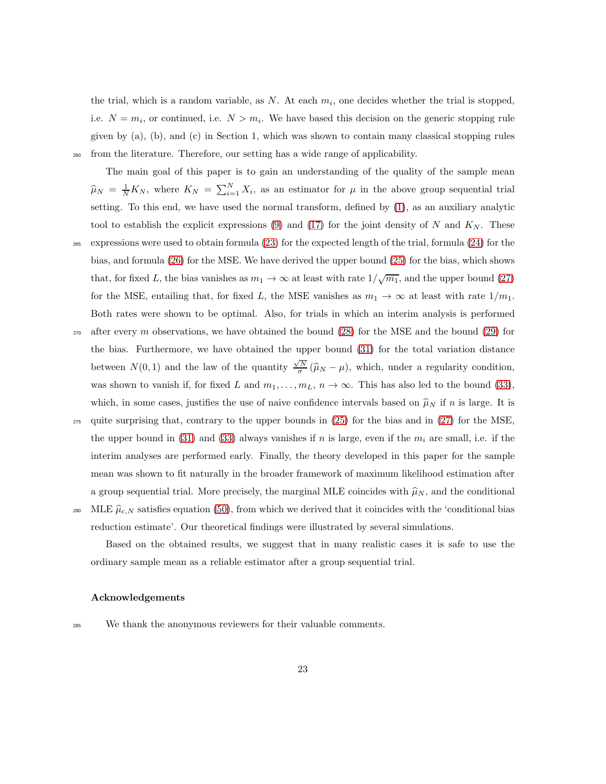the trial, which is a random variable, as N. At each  $m_i$ , one decides whether the trial is stopped, i.e.  $N = m_i$ , or continued, i.e.  $N > m_i$ . We have based this decision on the generic stopping rule given by (a), (b), and (c) in Section 1, which was shown to contain many classical stopping rules <sup>260</sup> from the literature. Therefore, our setting has a wide range of applicability.

The main goal of this paper is to gain an understanding of the quality of the sample mean  $\widehat{\mu}_N = \frac{1}{N} K_N$ , where  $K_N = \sum_{i=1}^N X_i$ , as an estimator for  $\mu$  in the above group sequential trial setting. To this end, we have used the normal transform, defined by [\(1\)](#page-3-2), as an auxiliary analytic tool to establish the explicit expressions  $(9)$  and  $(17)$  for the joint density of N and  $K_N$ . These <sup>265</sup> expressions were used to obtain formula [\(23\)](#page-10-6) for the expected length of the trial, formula [\(24\)](#page-10-4) for the bias, and formula [\(26\)](#page-11-1) for the MSE. We have derived the upper bound [\(25\)](#page-11-0) for the bias, which shows that, for fixed L, the bias vanishes as  $m_1 \to \infty$  at least with rate  $1/\sqrt{m_1}$ , and the upper bound [\(27\)](#page-11-4) for the MSE, entailing that, for fixed L, the MSE vanishes as  $m_1 \to \infty$  at least with rate  $1/m_1$ . Both rates were shown to be optimal. Also, for trials in which an interim analysis is performed  $270$  after every m observations, we have obtained the bound  $(28)$  for the MSE and the bound  $(29)$  for the bias. Furthermore, we have obtained the upper bound [\(31\)](#page-15-0) for the total variation distance between  $N(0, 1)$  and the law of the quantity  $\frac{\sqrt{N}}{\sigma}(\hat{\mu}_N - \mu)$ , which, under a regularity condition,

- was shown to vanish if, for fixed L and  $m_1, \ldots, m_L, n \to \infty$ . This has also led to the bound [\(33\)](#page-15-3), which, in some cases, justifies the use of naive confidence intervals based on  $\hat{\mu}_N$  if n is large. It is <sup>275</sup> quite surprising that, contrary to the upper bounds in [\(25\)](#page-11-0) for the bias and in [\(27\)](#page-11-4) for the MSE, the upper bound in [\(31\)](#page-15-0) and [\(33\)](#page-15-3) always vanishes if n is large, even if the  $m_i$  are small, i.e. if the interim analyses are performed early. Finally, the theory developed in this paper for the sample mean was shown to fit naturally in the broader framework of maximum likelihood estimation after a group sequential trial. More precisely, the marginal MLE coincides with  $\widehat{\mu}_N$ , and the conditional
- <sup>280</sup> MLE  $\hat{\mu}_{c,N}$  satisfies equation [\(50\)](#page-20-2), from which we derived that it coincides with the 'conditional bias reduction estimate'. Our theoretical findings were illustrated by several simulations.

Based on the obtained results, we suggest that in many realistic cases it is safe to use the ordinary sample mean as a reliable estimator after a group sequential trial.

## Acknowledgements

<sup>285</sup> We thank the anonymous reviewers for their valuable comments.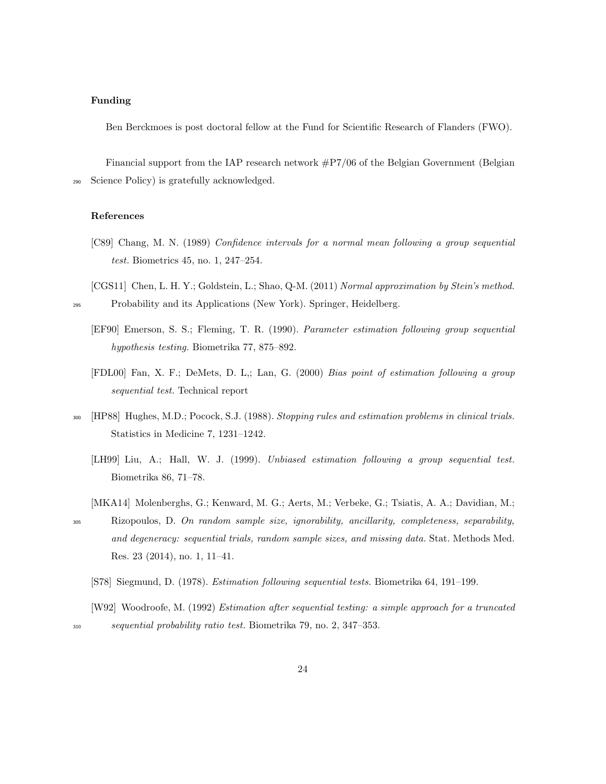## Funding

Ben Berckmoes is post doctoral fellow at the Fund for Scientific Research of Flanders (FWO).

Financial support from the IAP research network #P7/06 of the Belgian Government (Belgian <sup>290</sup> Science Policy) is gratefully acknowledged.

#### References

- <span id="page-23-1"></span>[C89] Chang, M. N. (1989) Confidence intervals for a normal mean following a group sequential test. Biometrics 45, no. 1, 247–254.
- <span id="page-23-8"></span><span id="page-23-3"></span>[CGS11] Chen, L. H. Y.; Goldstein, L.; Shao, Q-M. (2011) Normal approximation by Stein's method. <sup>295</sup> Probability and its Applications (New York). Springer, Heidelberg.
	- [EF90] Emerson, S. S.; Fleming, T. R. (1990). Parameter estimation following group sequential hypothesis testing. Biometrika 77, 875–892.
	- [FDL00] Fan, X. F.; DeMets, D. L,; Lan, G. (2000) Bias point of estimation following a group sequential test. Technical report
- <span id="page-23-7"></span><span id="page-23-6"></span><span id="page-23-4"></span><sup>300</sup> [HP88] Hughes, M.D.; Pocock, S.J. (1988). Stopping rules and estimation problems in clinical trials. Statistics in Medicine 7, 1231–1242.
	- [LH99] Liu, A.; Hall, W. J. (1999). Unbiased estimation following a group sequential test. Biometrika 86, 71–78.
- <span id="page-23-5"></span>[MKA14] Molenberghs, G.; Kenward, M. G.; Aerts, M.; Verbeke, G.; Tsiatis, A. A.; Davidian, M.; <sup>305</sup> Rizopoulos, D. On random sample size, ignorability, ancillarity, completeness, separability, and degeneracy: sequential trials, random sample sizes, and missing data. Stat. Methods Med. Res. 23 (2014), no. 1, 11–41.
	- [S78] Siegmund, D. (1978). Estimation following sequential tests. Biometrika 64, 191–199.
- <span id="page-23-2"></span><span id="page-23-0"></span>[W92] Woodroofe, M. (1992) Estimation after sequential testing: a simple approach for a truncated <sup>310</sup> sequential probability ratio test. Biometrika 79, no. 2, 347–353.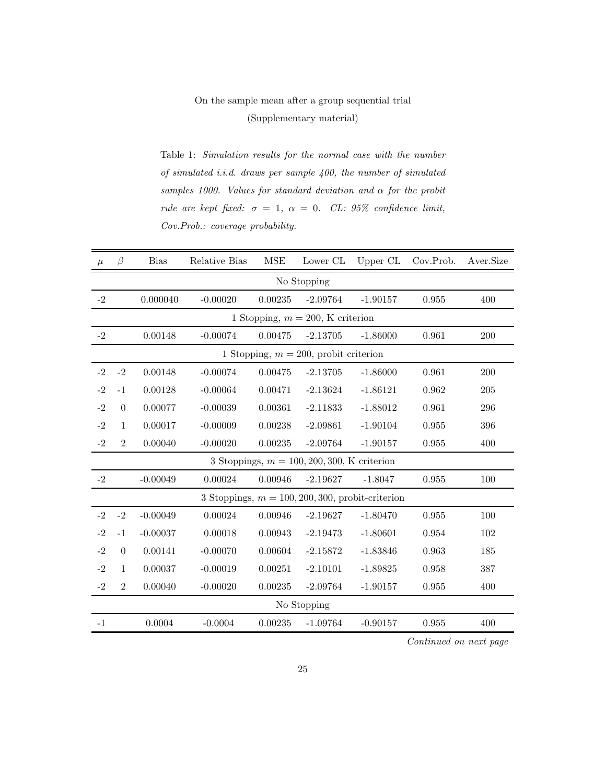## On the sample mean after a group sequential trial (Supplementary material)

Table 1: Simulation results for the normal case with the number of simulated i.i.d. draws per sample 400, the number of simulated samples 1000. Values for standard deviation and  $\alpha$  for the probit rule are kept fixed:  $\sigma = 1, \alpha = 0$ . CL: 95% confidence limit, Cov.Prob.: coverage probability.

| $\mu$ | $\beta$        | <b>Bias</b> | Relative Bias | <b>MSE</b> | Lower CL                                      | Upper CL                                            | Cov.Prob. | Aver.Size |
|-------|----------------|-------------|---------------|------------|-----------------------------------------------|-----------------------------------------------------|-----------|-----------|
|       |                |             |               |            | No Stopping                                   |                                                     |           |           |
| $-2$  |                | 0.000040    | $-0.00020$    | 0.00235    | $-2.09764$                                    | $-1.90157$                                          | 0.955     | 400       |
|       |                |             |               |            | 1 Stopping, $m = 200$ , K criterion           |                                                     |           |           |
| $-2$  |                | 0.00148     | $-0.00074$    | 0.00475    | $-2.13705$                                    | $-1.86000$                                          | 0.961     | 200       |
|       |                |             |               |            | 1 Stopping, $m = 200$ , probit criterion      |                                                     |           |           |
| $-2$  | $-2$           | 0.00148     | $-0.00074$    | 0.00475    | $-2.13705$                                    | $-1.86000$                                          | 0.961     | 200       |
| $-2$  | $-1$           | 0.00128     | $-0.00064$    | 0.00471    | $-2.13624$                                    | $-1.86121$                                          | 0.962     | $205\,$   |
| $-2$  | $\theta$       | 0.00077     | $-0.00039$    | 0.00361    | $-2.11833$                                    | $-1.88012$                                          | 0.961     | 296       |
| $-2$  | $\mathbf{1}$   | 0.00017     | $-0.00009$    | 0.00238    | $-2.09861$                                    | $-1.90104$                                          | 0.955     | 396       |
| $-2$  | $\overline{2}$ | 0.00040     | $-0.00020$    | 0.00235    | $-2.09764$                                    | $-1.90157$                                          | 0.955     | 400       |
|       |                |             |               |            | 3 Stoppings, $m = 100, 200, 300, K$ criterion |                                                     |           |           |
| $-2$  |                | $-0.00049$  | 0.00024       | 0.00946    | $-2.19627$                                    | $-1.8047$                                           | 0.955     | 100       |
|       |                |             |               |            |                                               | 3 Stoppings, $m = 100, 200, 300$ , probit-criterion |           |           |
| $-2$  | $-2$           | $-0.00049$  | 0.00024       | 0.00946    | $-2.19627$                                    | $-1.80470$                                          | 0.955     | 100       |
| $-2$  | $-1$           | $-0.00037$  | 0.00018       | 0.00943    | $-2.19473$                                    | $-1.80601$                                          | 0.954     | 102       |
| $-2$  | $\overline{0}$ | 0.00141     | $-0.00070$    | 0.00604    | $-2.15872$                                    | $-1.83846$                                          | 0.963     | 185       |
| $-2$  | $\mathbf{1}$   | 0.00037     | $-0.00019$    | 0.00251    | $-2.10101$                                    | $-1.89825$                                          | 0.958     | 387       |
| $-2$  | $\overline{2}$ | 0.00040     | $-0.00020$    | 0.00235    | $-2.09764$                                    | $-1.90157$                                          | 0.955     | 400       |
|       |                |             |               |            | No Stopping                                   |                                                     |           |           |
| $-1$  |                | 0.0004      | $-0.0004$     | 0.00235    | $-1.09764$                                    | $-0.90157$                                          | 0.955     | 400       |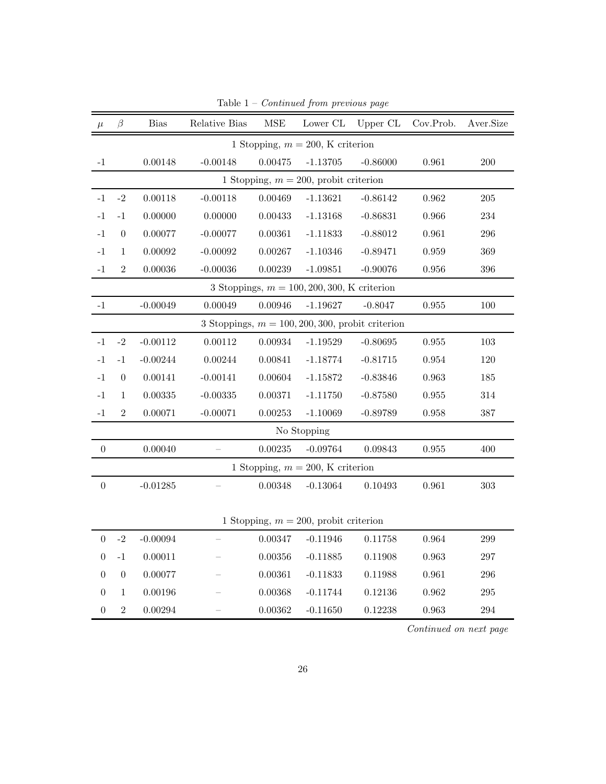| $\mu$            | β                | <b>Bias</b>    | Relative Bias | $\operatorname{MSE}$ | Lower CL                                      | Upper CL                                            | Cov.Prob.   | Aver.Size |
|------------------|------------------|----------------|---------------|----------------------|-----------------------------------------------|-----------------------------------------------------|-------------|-----------|
|                  |                  |                |               |                      | 1 Stopping, $m = 200$ , K criterion           |                                                     |             |           |
| $^{\rm -1}$      |                  | 0.00148        | $-0.00148$    | 0.00475              | $-1.13705$                                    | $-0.86000$                                          | 0.961       | 200       |
|                  |                  |                |               |                      | 1 Stopping, $m = 200$ , probit criterion      |                                                     |             |           |
| $-1$             | $-2$             | 0.00118        | $-0.00118$    | 0.00469              | $-1.13621$                                    | $-0.86142$                                          | 0.962       | $205\,$   |
| $-1$             | $-1$             | 0.00000        | 0.00000       | 0.00433              | $-1.13168$                                    | $-0.86831$                                          | 0.966       | 234       |
| $-1$             | $\theta$         | 0.00077        | $-0.00077$    | 0.00361              | $-1.11833$                                    | $-0.88012$                                          | 0.961       | 296       |
| $-1$             | $\mathbf{1}$     | 0.00092        | $-0.00092$    | 0.00267              | $-1.10346$                                    | $-0.89471$                                          | 0.959       | 369       |
| $-1$             | $\overline{2}$   | 0.00036        | $-0.00036$    | 0.00239              | $-1.09851$                                    | $-0.90076$                                          | 0.956       | 396       |
|                  |                  |                |               |                      | 3 Stoppings, $m = 100, 200, 300, K$ criterion |                                                     |             |           |
| $-1$             |                  | $-0.00049$     | 0.00049       | 0.00946              | $-1.19627$                                    | $-0.8047$                                           | $\,0.955\,$ | $100\,$   |
|                  |                  |                |               |                      |                                               | 3 Stoppings, $m = 100, 200, 300$ , probit criterion |             |           |
| $-1$             | $-2$             | $-0.00112$     | 0.00112       | 0.00934              | $-1.19529$                                    | $-0.80695$                                          | 0.955       | 103       |
| $-1$             | $-1$             | $-0.00244$     | 0.00244       | 0.00841              | $-1.18774$                                    | $-0.81715$                                          | 0.954       | 120       |
| $-1$             | $\theta$         | 0.00141        | $-0.00141$    | 0.00604              | $-1.15872$                                    | $-0.83846$                                          | 0.963       | 185       |
| $-1$             | $\mathbf{1}$     | $\, 0.00335\,$ | $-0.00335$    | 0.00371              | $-1.11750$                                    | $-0.87580$                                          | 0.955       | 314       |
| $-1$             | $\overline{2}$   | 0.00071        | $-0.00071$    | 0.00253              | $-1.10069$                                    | $-0.89789$                                          | 0.958       | 387       |
|                  |                  |                |               |                      | No Stopping                                   |                                                     |             |           |
| $\boldsymbol{0}$ |                  | 0.00040        |               | 0.00235              | $-0.09764$                                    | 0.09843                                             | $\,0.955\,$ | 400       |
|                  |                  |                |               |                      | 1 Stopping, $m = 200$ , K criterion           |                                                     |             |           |
| $\boldsymbol{0}$ |                  | $-0.01285$     |               | 0.00348              | $-0.13064$                                    | 0.10493                                             | 0.961       | 303       |
|                  |                  |                |               |                      |                                               |                                                     |             |           |
|                  |                  |                |               |                      | 1 Stopping, $m = 200$ , probit criterion      |                                                     |             |           |
| $\boldsymbol{0}$ | $-2$             | $-0.00094$     |               | 0.00347              | $-0.11946$                                    | 0.11758                                             | 0.964       | 299       |
| $\boldsymbol{0}$ | $-1$             | 0.00011        |               | 0.00356              | $-0.11885$                                    | 0.11908                                             | 0.963       | $297\,$   |
| $\boldsymbol{0}$ | $\boldsymbol{0}$ | 0.00077        |               | 0.00361              | $-0.11833$                                    | 0.11988                                             | 0.961       | 296       |
| $\theta$         | 1                | 0.00196        |               | 0.00368              | $-0.11744$                                    | 0.12136                                             | 0.962       | $\,295$   |
| $\boldsymbol{0}$ | $\overline{2}$   | 0.00294        |               | 0.00362              | $-0.11650$                                    | 0.12238                                             | 0.963       | 294       |

Table  $1$  –  $Continued$  from previous page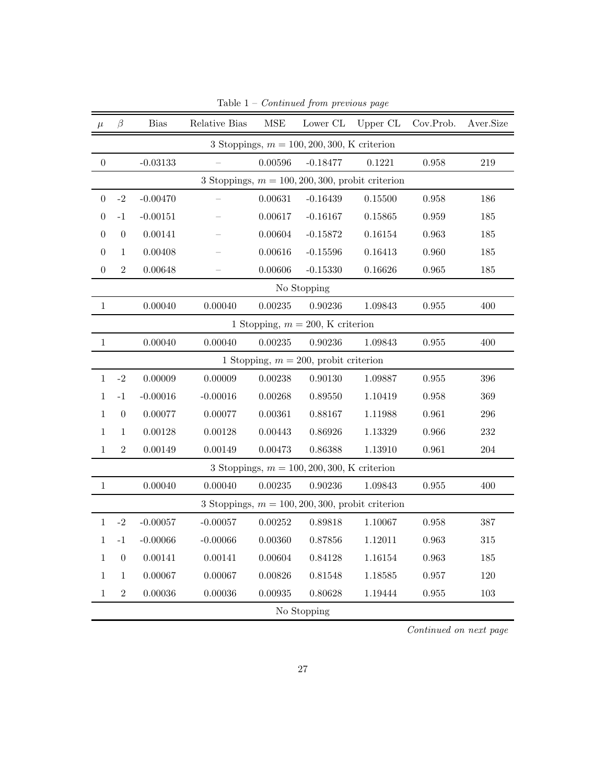| $\mu$            | $\beta$          | <b>Bias</b> | Relative Bias | $\operatorname{MSE}$ | Lower CL                                      | Upper CL                                            | Cov.Prob.   | Aver.Size |
|------------------|------------------|-------------|---------------|----------------------|-----------------------------------------------|-----------------------------------------------------|-------------|-----------|
|                  |                  |             |               |                      | 3 Stoppings, $m = 100, 200, 300, K$ criterion |                                                     |             |           |
| $\theta$         |                  | $-0.03133$  |               | 0.00596              | $-0.18477$                                    | 0.1221                                              | 0.958       | 219       |
|                  |                  |             |               |                      |                                               | 3 Stoppings, $m = 100, 200, 300$ , probit criterion |             |           |
| $\boldsymbol{0}$ | $-2$             | $-0.00470$  |               | 0.00631              | $-0.16439$                                    | 0.15500                                             | 0.958       | 186       |
| $\overline{0}$   | $-1$             | $-0.00151$  |               | 0.00617              | $-0.16167$                                    | 0.15865                                             | 0.959       | 185       |
| $\overline{0}$   | $\boldsymbol{0}$ | 0.00141     |               | 0.00604              | $-0.15872$                                    | 0.16154                                             | 0.963       | 185       |
| $\boldsymbol{0}$ | $\mathbf{1}$     | 0.00408     |               | 0.00616              | $-0.15596$                                    | 0.16413                                             | 0.960       | 185       |
| $\boldsymbol{0}$ | $\overline{2}$   | 0.00648     |               | 0.00606              | $-0.15330$                                    | 0.16626                                             | $\,0.965\,$ | 185       |
|                  |                  |             |               |                      | No Stopping                                   |                                                     |             |           |
| $1\,$            |                  | 0.00040     | 0.00040       | 0.00235              | 0.90236                                       | 1.09843                                             | 0.955       | 400       |
|                  |                  |             |               |                      | 1 Stopping, $m = 200$ , K criterion           |                                                     |             |           |
| $\,1\,$          |                  | 0.00040     | 0.00040       | 0.00235              | 0.90236                                       | 1.09843                                             | 0.955       | 400       |
|                  |                  |             |               |                      | 1 Stopping, $m = 200$ , probit criterion      |                                                     |             |           |
| $\mathbf{1}$     | $-2$             | 0.00009     | 0.00009       | 0.00238              | 0.90130                                       | 1.09887                                             | 0.955       | 396       |
| $\mathbf{1}$     | $-1$             | $-0.00016$  | $-0.00016$    | 0.00268              | 0.89550                                       | 1.10419                                             | 0.958       | 369       |
| $\,1\,$          | $\overline{0}$   | 0.00077     | 0.00077       | 0.00361              | 0.88167                                       | 1.11988                                             | 0.961       | 296       |
| 1                | $\mathbf{1}$     | 0.00128     | 0.00128       | 0.00443              | 0.86926                                       | 1.13329                                             | 0.966       | 232       |
| $\mathbf{1}$     | $\overline{2}$   | 0.00149     | 0.00149       | 0.00473              | 0.86388                                       | 1.13910                                             | 0.961       | 204       |
|                  |                  |             |               |                      | 3 Stoppings, $m = 100, 200, 300, K$ criterion |                                                     |             |           |
| $\,1\,$          |                  | 0.00040     | 0.00040       | 0.00235              | 0.90236                                       | 1.09843                                             | 0.955       | 400       |
|                  |                  |             |               |                      |                                               | 3 Stoppings, $m = 100, 200, 300$ , probit criterion |             |           |
| $\mathbf{1}$     | $-2$             | $-0.00057$  | $-0.00057$    | 0.00252              | 0.89818                                       | 1.10067                                             | $\,0.958\,$ | 387       |
| $\mathbf{1}$     | $-1$             | $-0.00066$  | $-0.00066$    | 0.00360              | 0.87856                                       | 1.12011                                             | 0.963       | $315\,$   |
| $\mathbf{1}$     | $\boldsymbol{0}$ | 0.00141     | 0.00141       | 0.00604              | 0.84128                                       | 1.16154                                             | 0.963       | 185       |
| $\mathbf{1}$     | $\mathbf{1}$     | 0.00067     | 0.00067       | 0.00826              | 0.81548                                       | 1.18585                                             | 0.957       | 120       |
| $1\,$            | $\sqrt{2}$       | 0.00036     | 0.00036       | 0.00935              | 0.80628                                       | 1.19444                                             | 0.955       | 103       |
|                  |                  |             |               |                      | No Stopping                                   |                                                     |             |           |

Table  $1$  –  $Continued$  from previous page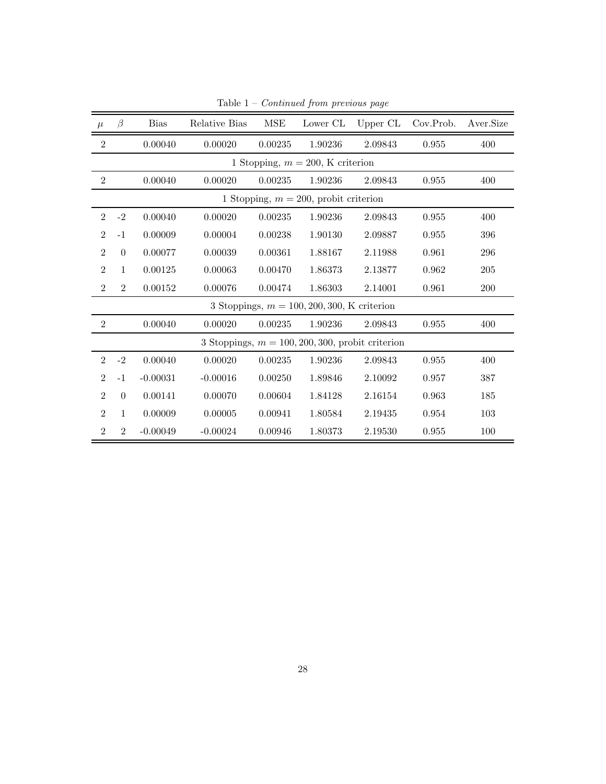| $\mu$          | $\beta$        | <b>Bias</b> | Relative Bias | <b>MSE</b> | Lower CL                                            | Upper CL | Cov.Prob. | Aver.Size |
|----------------|----------------|-------------|---------------|------------|-----------------------------------------------------|----------|-----------|-----------|
| $\overline{2}$ |                | 0.00040     | 0.00020       | 0.00235    | 1.90236                                             | 2.09843  | 0.955     | 400       |
|                |                |             |               |            | 1 Stopping, $m = 200$ , K criterion                 |          |           |           |
| $\overline{2}$ |                | 0.00040     | 0.00020       | 0.00235    | 1.90236                                             | 2.09843  | 0.955     | 400       |
|                |                |             |               |            | 1 Stopping, $m = 200$ , probit criterion            |          |           |           |
| $\overline{2}$ | $-2$           | 0.00040     | 0.00020       | 0.00235    | 1.90236                                             | 2.09843  | 0.955     | 400       |
| $\overline{2}$ | $-1$           | 0.00009     | 0.00004       | 0.00238    | 1.90130                                             | 2.09887  | 0.955     | 396       |
| $\overline{2}$ | $\theta$       | 0.00077     | 0.00039       | 0.00361    | 1.88167                                             | 2.11988  | 0.961     | 296       |
| $\overline{2}$ | $\mathbf{1}$   | 0.00125     | 0.00063       | 0.00470    | 1.86373                                             | 2.13877  | 0.962     | 205       |
| $\overline{2}$ | $\overline{2}$ | 0.00152     | 0.00076       | 0.00474    | 1.86303                                             | 2.14001  | 0.961     | 200       |
|                |                |             |               |            | 3 Stoppings, $m = 100, 200, 300, K$ criterion       |          |           |           |
| $\overline{2}$ |                | 0.00040     | 0.00020       | 0.00235    | 1.90236                                             | 2.09843  | 0.955     | 400       |
|                |                |             |               |            | 3 Stoppings, $m = 100, 200, 300$ , probit criterion |          |           |           |
| $\overline{2}$ | $-2$           | 0.00040     | 0.00020       | 0.00235    | 1.90236                                             | 2.09843  | 0.955     | 400       |
| $\overline{2}$ | $-1$           | $-0.00031$  | $-0.00016$    | 0.00250    | 1.89846                                             | 2.10092  | 0.957     | 387       |
| $\overline{2}$ | $\Omega$       | 0.00141     | 0.00070       | 0.00604    | 1.84128                                             | 2.16154  | 0.963     | 185       |
| $\overline{2}$ | $\mathbf{1}$   | 0.00009     | 0.00005       | 0.00941    | 1.80584                                             | 2.19435  | 0.954     | 103       |
| $\overline{2}$ | $\overline{2}$ | $-0.00049$  | $-0.00024$    | 0.00946    | 1.80373                                             | 2.19530  | 0.955     | 100       |

Table  $1$  –  $Continued$  from previous page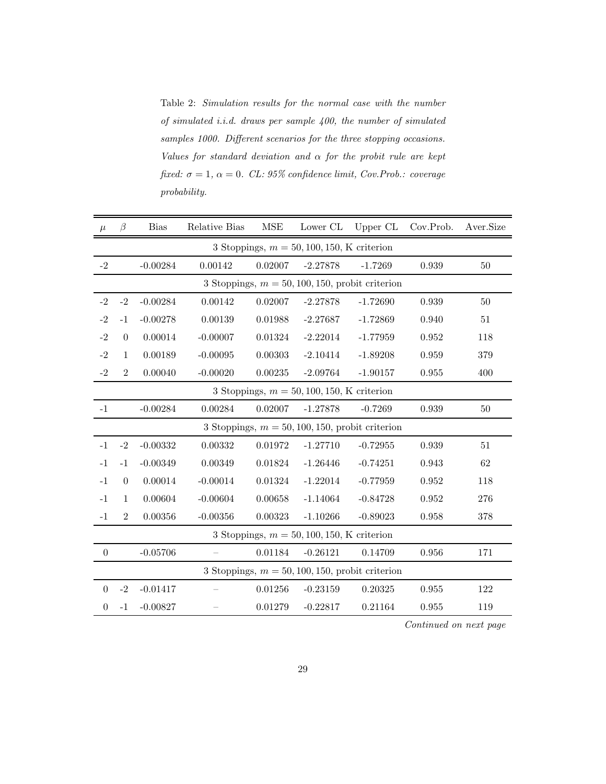Table 2: Simulation results for the normal case with the number of simulated i.i.d. draws per sample 400, the number of simulated samples 1000. Different scenarios for the three stopping occasions. Values for standard deviation and  $\alpha$  for the probit rule are kept fixed:  $\sigma = 1$ ,  $\alpha = 0$ . CL: 95% confidence limit, Cov. Prob.: coverage probability.

| $\mu$            | B                | <b>Bias</b> | Relative Bias | <b>MSE</b>    | Lower CL                                     | Upper CL                                           | Cov.Prob. | Aver.Size |
|------------------|------------------|-------------|---------------|---------------|----------------------------------------------|----------------------------------------------------|-----------|-----------|
|                  |                  |             |               |               | 3 Stoppings, $m = 50, 100, 150, K$ criterion |                                                    |           |           |
| $-2$             |                  | $-0.00284$  | 0.00142       | 0.02007       | $-2.27878$                                   | $-1.7269$                                          | 0.939     | 50        |
|                  |                  |             |               |               |                                              | 3 Stoppings, $m = 50, 100, 150$ , probit criterion |           |           |
| $-2$             | $-2$             | $-0.00284$  | 0.00142       | 0.02007       | $-2.27878$                                   | $-1.72690$                                         | 0.939     | 50        |
| $-2$             | $-1$             | $-0.00278$  | 0.00139       | 0.01988       | $-2.27687$                                   | $-1.72869$                                         | 0.940     | $51\,$    |
| $-2$             | $\boldsymbol{0}$ | 0.00014     | $-0.00007$    | 0.01324       | $-2.22014$                                   | $-1.77959$                                         | 0.952     | 118       |
| $-2$             | $\mathbf{1}$     | 0.00189     | $-0.00095$    | 0.00303       | $-2.10414$                                   | $-1.89208$                                         | 0.959     | 379       |
| $-2$             | $\overline{2}$   | 0.00040     | $-0.00020$    | $\,0.00235\,$ | $-2.09764$                                   | $-1.90157$                                         | 0.955     | 400       |
|                  |                  |             |               |               | 3 Stoppings, $m = 50, 100, 150, K$ criterion |                                                    |           |           |
| $-1$             |                  | $-0.00284$  | 0.00284       | 0.02007       | $-1.27878$                                   | $-0.7269$                                          | 0.939     | 50        |
|                  |                  |             |               |               |                                              | 3 Stoppings, $m = 50, 100, 150$ , probit criterion |           |           |
| $-1$             | $-2$             | $-0.00332$  | 0.00332       | 0.01972       | $-1.27710$                                   | $-0.72955$                                         | 0.939     | 51        |
| $-1$             | $-1$             | $-0.00349$  | 0.00349       | 0.01824       | $-1.26446$                                   | $-0.74251$                                         | 0.943     | 62        |
| $-1$             | $\theta$         | 0.00014     | $-0.00014$    | 0.01324       | $-1.22014$                                   | $-0.77959$                                         | 0.952     | 118       |
| $-1$             | $\mathbf{1}$     | 0.00604     | $-0.00604$    | 0.00658       | $-1.14064$                                   | $-0.84728$                                         | 0.952     | 276       |
| $-1$             | $\overline{2}$   | 0.00356     | $-0.00356$    | 0.00323       | $-1.10266$                                   | $-0.89023$                                         | 0.958     | 378       |
|                  |                  |             |               |               | 3 Stoppings, $m = 50, 100, 150, K$ criterion |                                                    |           |           |
| $\boldsymbol{0}$ |                  | $-0.05706$  |               | 0.01184       | $-0.26121$                                   | 0.14709                                            | 0.956     | 171       |
|                  |                  |             |               |               |                                              | 3 Stoppings, $m = 50, 100, 150$ , probit criterion |           |           |
| $\boldsymbol{0}$ | $-2$             | $-0.01417$  |               | 0.01256       | $-0.23159$                                   | 0.20325                                            | 0.955     | 122       |
| $\boldsymbol{0}$ | $-1$             | $-0.00827$  |               | 0.01279       | $-0.22817$                                   | 0.21164                                            | 0.955     | 119       |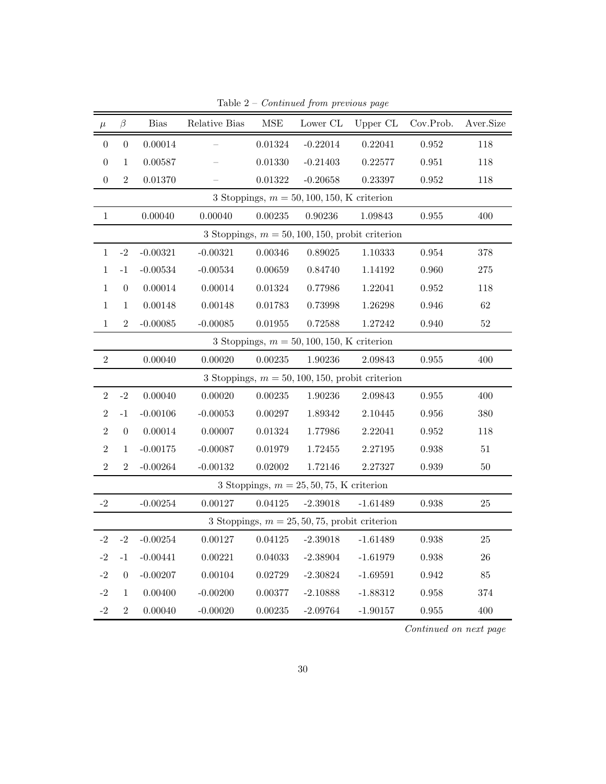| $\mu$             | $\beta$          | <b>Bias</b> | Relative Bias | $\operatorname{MSE}$ | Lower CL                                         | Upper CL                                           | Cov.Prob.   | Aver.Size |
|-------------------|------------------|-------------|---------------|----------------------|--------------------------------------------------|----------------------------------------------------|-------------|-----------|
| $\boldsymbol{0}$  | $\boldsymbol{0}$ | 0.00014     |               | 0.01324              | $-0.22014$                                       | 0.22041                                            | $\,0.952\,$ | 118       |
| $\boldsymbol{0}$  | $\mathbf 1$      | 0.00587     |               | 0.01330              | $-0.21403$                                       | 0.22577                                            | 0.951       | 118       |
| $\boldsymbol{0}$  | $\,2$            | 0.01370     |               | 0.01322              | $-0.20658$                                       | 0.23397                                            | $\,0.952\,$ | 118       |
|                   |                  |             |               |                      | 3 Stoppings, $m = 50, 100, 150, K$ criterion     |                                                    |             |           |
| $\mathbf{1}$      |                  | 0.00040     | 0.00040       | 0.00235              | 0.90236                                          | 1.09843                                            | $\,0.955\,$ | 400       |
|                   |                  |             |               |                      |                                                  | 3 Stoppings, $m = 50, 100, 150$ , probit criterion |             |           |
| $\mathbf{1}$      | $-2$             | $-0.00321$  | $-0.00321$    | 0.00346              | 0.89025                                          | 1.10333                                            | 0.954       | 378       |
| 1                 | $^{\rm -1}$      | $-0.00534$  | $-0.00534$    | 0.00659              | 0.84740                                          | 1.14192                                            | 0.960       | $275\,$   |
| $\mathbf{1}$      | $\boldsymbol{0}$ | 0.00014     | 0.00014       | 0.01324              | 0.77986                                          | 1.22041                                            | 0.952       | 118       |
| $\mathbf{1}$      | $\mathbf{1}$     | 0.00148     | 0.00148       | 0.01783              | 0.73998                                          | 1.26298                                            | 0.946       | $62\,$    |
| $\,1$             | $\,2$            | $-0.00085$  | $-0.00085$    | 0.01955              | 0.72588                                          | 1.27242                                            | 0.940       | $52\,$    |
|                   |                  |             |               |                      | 3 Stoppings, $m = 50, 100, 150, K$ criterion     |                                                    |             |           |
| $\,2$             |                  | 0.00040     | 0.00020       | 0.00235              | 1.90236                                          | 2.09843                                            | 0.955       | 400       |
|                   |                  |             |               |                      |                                                  | 3 Stoppings, $m = 50, 100, 150$ , probit criterion |             |           |
| $\overline{2}$    | $-2$             | 0.00040     | 0.00020       | 0.00235              | 1.90236                                          | 2.09843                                            | 0.955       | 400       |
| $\overline{2}$    | $^{\rm -1}$      | $-0.00106$  | $-0.00053$    | 0.00297              | 1.89342                                          | 2.10445                                            | 0.956       | 380       |
| $\overline{2}$    | $\boldsymbol{0}$ | 0.00014     | 0.00007       | 0.01324              | 1.77986                                          | 2.22041                                            | 0.952       | 118       |
| $\sqrt{2}$        | $\mathbf 1$      | $-0.00175$  | $-0.00087$    | 0.01979              | 1.72455                                          | 2.27195                                            | 0.938       | $51\,$    |
| $\overline{2}$    | $\overline{2}$   | $-0.00264$  | $-0.00132$    | 0.02002              | 1.72146                                          | 2.27327                                            | 0.939       | $50\,$    |
|                   |                  |             |               |                      | 3 Stoppings, $m = 25, 50, 75$ , K criterion      |                                                    |             |           |
| $-2$              |                  | $-0.00254$  | 0.00127       | 0.04125              | $-2.39018$                                       | $-1.61489$                                         | 0.938       | 25        |
|                   |                  |             |               |                      | 3 Stoppings, $m = 25, 50, 75$ , probit criterion |                                                    |             |           |
| $-2$              | $-2$             | $-0.00254$  | 0.00127       | 0.04125              | $-2.39018$                                       | $-1.61489$                                         | 0.938       | 25        |
| $-2$              | $^{\rm -1}$      | $-0.00441$  | 0.00221       | 0.04033              | $-2.38904$                                       | $-1.61979$                                         | 0.938       | $26\,$    |
| $-2$              | $\boldsymbol{0}$ | $-0.00207$  | 0.00104       | 0.02729              | $-2.30824$                                       | $-1.69591$                                         | 0.942       | $85\,$    |
| $-2$              | $\mathbf{1}$     | 0.00400     | $-0.00200$    | 0.00377              | $-2.10888$                                       | $-1.88312$                                         | 0.958       | 374       |
| $\textnormal{-}2$ | $\overline{2}$   | 0.00040     | $-0.00020$    | 0.00235              | $-2.09764$                                       | $-1.90157$                                         | 0.955       | 400       |

Table  $2$  – *Continued from previous page*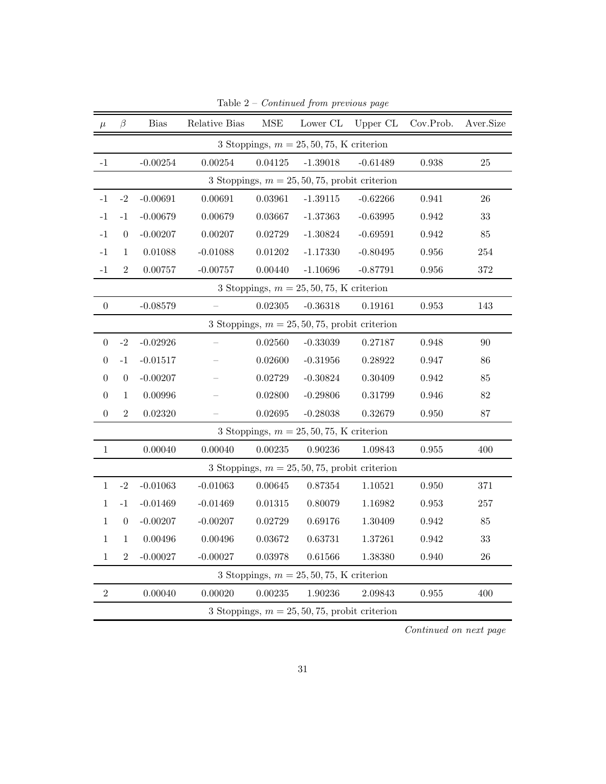| $\mu$            | β                | <b>Bias</b> | Relative Bias | $\operatorname{MSE}$ | Lower CL                                         | Upper CL   | Cov.Prob.   | Aver.Size |
|------------------|------------------|-------------|---------------|----------------------|--------------------------------------------------|------------|-------------|-----------|
|                  |                  |             |               |                      | 3 Stoppings, $m = 25, 50, 75$ , K criterion      |            |             |           |
| $-1$             |                  | $-0.00254$  | 0.00254       | 0.04125              | $-1.39018$                                       | $-0.61489$ | 0.938       | 25        |
|                  |                  |             |               |                      | 3 Stoppings, $m = 25, 50, 75$ , probit criterion |            |             |           |
| $-1$             | $-2$             | $-0.00691$  | 0.00691       | 0.03961              | $-1.39115$                                       | $-0.62266$ | 0.941       | 26        |
| $-1$             | $-1$             | $-0.00679$  | 0.00679       | 0.03667              | $-1.37363$                                       | $-0.63995$ | 0.942       | 33        |
| $-1$             | $\theta$         | $-0.00207$  | 0.00207       | 0.02729              | $-1.30824$                                       | $-0.69591$ | 0.942       | 85        |
| $^{\rm -1}$      | $\mathbf{1}$     | 0.01088     | $-0.01088$    | 0.01202              | $-1.17330$                                       | $-0.80495$ | $\,0.956\,$ | 254       |
| $-1$             | $\overline{2}$   | 0.00757     | $-0.00757$    | 0.00440              | $-1.10696$                                       | $-0.87791$ | 0.956       | 372       |
|                  |                  |             |               |                      | 3 Stoppings, $m = 25, 50, 75$ , K criterion      |            |             |           |
| $\boldsymbol{0}$ |                  | $-0.08579$  |               | 0.02305              | $-0.36318$                                       | 0.19161    | $\,0.953\,$ | 143       |
|                  |                  |             |               |                      | 3 Stoppings, $m = 25, 50, 75$ , probit criterion |            |             |           |
| $\overline{0}$   | $-2$             | $-0.02926$  |               | 0.02560              | $-0.33039$                                       | 0.27187    | 0.948       | 90        |
| $\theta$         | $-1$             | $-0.01517$  |               | 0.02600              | $-0.31956$                                       | 0.28922    | 0.947       | 86        |
| $\overline{0}$   | $\boldsymbol{0}$ | $-0.00207$  |               | 0.02729              | $-0.30824$                                       | 0.30409    | 0.942       | 85        |
| $\theta$         | 1                | 0.00996     |               | 0.02800              | $-0.29806$                                       | 0.31799    | 0.946       | 82        |
| $\boldsymbol{0}$ | $\overline{2}$   | 0.02320     |               | 0.02695              | $-0.28038$                                       | 0.32679    | $0.950\,$   | 87        |
|                  |                  |             |               |                      | 3 Stoppings, $m = 25, 50, 75$ , K criterion      |            |             |           |
| $\,1$            |                  | 0.00040     | 0.00040       | 0.00235              | 0.90236                                          | 1.09843    | $\,0.955\,$ | 400       |
|                  |                  |             |               |                      | 3 Stoppings, $m = 25, 50, 75$ , probit criterion |            |             |           |
| $\mathbf{1}$     | $-2$             | $-0.01063$  | $-0.01063$    | 0.00645              | 0.87354                                          | 1.10521    | 0.950       | 371       |
| 1                | $-1$             | $-0.01469$  | $-0.01469$    | 0.01315              | 0.80079                                          | 1.16982    | 0.953       | 257       |
| $\mathbf{1}$     | $\boldsymbol{0}$ | $-0.00207$  | $-0.00207$    | 0.02729              | 0.69176                                          | 1.30409    | 0.942       | 85        |
| 1                | 1                | 0.00496     | 0.00496       | 0.03672              | 0.63731                                          | 1.37261    | 0.942       | 33        |
| $1\,$            | $\overline{2}$   | $-0.00027$  | $-0.00027$    | 0.03978              | 0.61566                                          | 1.38380    | 0.940       | 26        |
|                  |                  |             |               |                      | 3 Stoppings, $m = 25, 50, 75$ , K criterion      |            |             |           |
| $\sqrt{2}$       |                  | 0.00040     | 0.00020       | 0.00235              | 1.90236                                          | 2.09843    | $\,0.955\,$ | 400       |
|                  |                  |             |               |                      | 3 Stoppings, $m = 25, 50, 75$ , probit criterion |            |             |           |

Table 2 –  $Continued\ from\ previous\ page$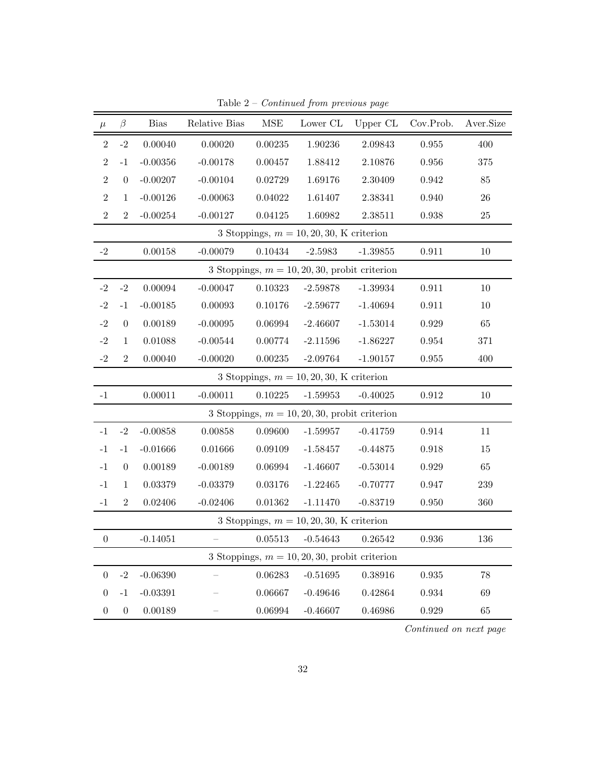| $\mu$            | $\beta$          | <b>Bias</b> | Relative Bias | <b>MSE</b> | Lower $\operatorname{CL}$                        | Upper CL    | Cov.Prob.   | Aver.Size |
|------------------|------------------|-------------|---------------|------------|--------------------------------------------------|-------------|-------------|-----------|
| $\overline{2}$   | $-2$             | 0.00040     | 0.00020       | 0.00235    | 1.90236                                          | 2.09843     | 0.955       | 400       |
| $\overline{2}$   | $-1$             | $-0.00356$  | $-0.00178$    | 0.00457    | 1.88412                                          | 2.10876     | 0.956       | 375       |
| $\overline{2}$   | $\boldsymbol{0}$ | $-0.00207$  | $-0.00104$    | 0.02729    | 1.69176                                          | $2.30409\,$ | 0.942       | 85        |
| $\overline{2}$   | $\mathbf{1}$     | $-0.00126$  | $-0.00063$    | 0.04022    | 1.61407                                          | 2.38341     | 0.940       | 26        |
| $\overline{2}$   | $\overline{2}$   | $-0.00254$  | $-0.00127$    | 0.04125    | 1.60982                                          | 2.38511     | 0.938       | 25        |
|                  |                  |             |               |            | 3 Stoppings, $m = 10, 20, 30, K$ criterion       |             |             |           |
| $-2$             |                  | 0.00158     | $-0.00079$    | 0.10434    | $-2.5983$                                        | $-1.39855$  | 0.911       | $10\,$    |
|                  |                  |             |               |            | 3 Stoppings, $m = 10, 20, 30$ , probit criterion |             |             |           |
| $-2$             | $-2$             | 0.00094     | $-0.00047$    | 0.10323    | $-2.59878$                                       | $-1.39934$  | 0.911       | $10\,$    |
| $-2$             | $-1$             | $-0.00185$  | 0.00093       | 0.10176    | $-2.59677$                                       | $-1.40694$  | 0.911       | $10\,$    |
| $^{\rm -2}$      | $\boldsymbol{0}$ | 0.00189     | $-0.00095$    | 0.06994    | $-2.46607$                                       | $-1.53014$  | 0.929       | 65        |
| $-2$             | $\mathbf{1}$     | 0.01088     | $-0.00544$    | 0.00774    | $-2.11596$                                       | $-1.86227$  | $\,0.954\,$ | 371       |
| $-2$             | $\overline{2}$   | 0.00040     | $-0.00020$    | 0.00235    | $-2.09764$                                       | $-1.90157$  | $\,0.955\,$ | 400       |
|                  |                  |             |               |            | 3 Stoppings, $m = 10, 20, 30$ , K criterion      |             |             |           |
| $^{\rm -1}$      |                  | 0.00011     | $-0.00011$    | 0.10225    | $-1.59953$                                       | $-0.40025$  | $\rm 0.912$ | $10\,$    |
|                  |                  |             |               |            | 3 Stoppings, $m = 10, 20, 30$ , probit criterion |             |             |           |
| $-1$             | $-2$             | $-0.00858$  | 0.00858       | 0.09600    | $-1.59957$                                       | $-0.41759$  | 0.914       | 11        |
| $-1$             | $-1$             | $-0.01666$  | 0.01666       | 0.09109    | $-1.58457$                                       | $-0.44875$  | 0.918       | 15        |
| $-1$             | $\boldsymbol{0}$ | 0.00189     | $-0.00189$    | 0.06994    | $-1.46607$                                       | $-0.53014$  | 0.929       | 65        |
| $-1$             | $\mathbf{1}$     | 0.03379     | $-0.03379$    | 0.03176    | $-1.22465$                                       | $-0.70777$  | 0.947       | 239       |
| $-1$             | $\overline{2}$   | 0.02406     | $-0.02406$    | 0.01362    | $-1.11470$                                       | $-0.83719$  | 0.950       | 360       |
|                  |                  |             |               |            | 3 Stoppings, $m = 10, 20, 30, K$ criterion       |             |             |           |
| $\boldsymbol{0}$ |                  | $-0.14051$  |               | 0.05513    | $-0.54643$                                       | 0.26542     | 0.936       | 136       |
|                  |                  |             |               |            | 3 Stoppings, $m = 10, 20, 30$ , probit criterion |             |             |           |
| $\boldsymbol{0}$ | $-2$             | $-0.06390$  |               | 0.06283    | $-0.51695$                                       | 0.38916     | $\,0.935\,$ | $78\,$    |
| $\boldsymbol{0}$ | $-1$             | $-0.03391$  |               | 0.06667    | $-0.49646$                                       | 0.42864     | 0.934       | 69        |
| $\boldsymbol{0}$ | $\boldsymbol{0}$ | 0.00189     |               | 0.06994    | $-0.46607$                                       | 0.46986     | 0.929       | 65        |

Table  $2$  –  $Continued$  from previous page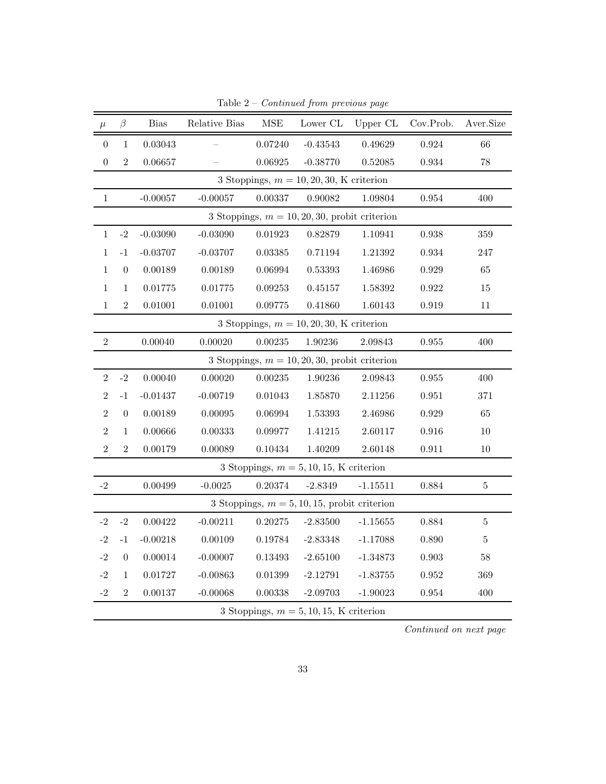| $\mu$            | $\beta$          | $\mathrm{Bias}$ | Relative Bias | $\operatorname{MSE}$ | Lower CL                                         | Upper CL   | Cov.Prob.   | Aver.Size |
|------------------|------------------|-----------------|---------------|----------------------|--------------------------------------------------|------------|-------------|-----------|
| $\boldsymbol{0}$ | $\mathbf{1}$     | 0.03043         |               | 0.07240              | $-0.43543$                                       | 0.49629    | 0.924       | 66        |
| $\boldsymbol{0}$ | $\overline{2}$   | 0.06657         |               | 0.06925              | $-0.38770$                                       | 0.52085    | 0.934       | 78        |
|                  |                  |                 |               |                      | 3 Stoppings, $m = 10, 20, 30, K$ criterion       |            |             |           |
| $1\,$            |                  | $-0.00057$      | $-0.00057$    | 0.00337              | 0.90082                                          | 1.09804    | 0.954       | 400       |
|                  |                  |                 |               |                      | 3 Stoppings, $m = 10, 20, 30$ , probit criterion |            |             |           |
| $\mathbf{1}$     | $-2$             | $-0.03090$      | $-0.03090$    | 0.01923              | 0.82879                                          | 1.10941    | 0.938       | $359\,$   |
| $\mathbf{1}$     | $^{\rm -1}$      | $-0.03707$      | $-0.03707$    | 0.03385              | 0.71194                                          | 1.21392    | 0.934       | 247       |
| 1                | $\boldsymbol{0}$ | 0.00189         | 0.00189       | 0.06994              | 0.53393                                          | 1.46986    | 0.929       | 65        |
| 1                | 1                | $0.01775\,$     | 0.01775       | 0.09253              | 0.45157                                          | 1.58392    | 0.922       | $15\,$    |
| $\mathbf{1}$     | $\overline{2}$   | 0.01001         | 0.01001       | 0.09775              | 0.41860                                          | 1.60143    | 0.919       | 11        |
|                  |                  |                 |               |                      | 3 Stoppings, $m = 10, 20, 30$ , K criterion      |            |             |           |
| $\overline{2}$   |                  | 0.00040         | 0.00020       | 0.00235              | $1.90236\,$                                      | 2.09843    | $\,0.955\,$ | 400       |
|                  |                  |                 |               |                      | 3 Stoppings, $m = 10, 20, 30$ , probit criterion |            |             |           |
| $\overline{2}$   | $\text{-}2$      | 0.00040         | 0.00020       | 0.00235              | 1.90236                                          | 2.09843    | $\,0.955\,$ | 400       |
| $\sqrt{2}$       | $^{\rm -1}$      | $-0.01437$      | $-0.00719$    | 0.01043              | 1.85870                                          | 2.11256    | 0.951       | 371       |
| $\overline{2}$   | $\boldsymbol{0}$ | 0.00189         | 0.00095       | 0.06994              | 1.53393                                          | 2.46986    | 0.929       | 65        |
| $\overline{2}$   | 1                | 0.00666         | 0.00333       | 0.09977              | 1.41215                                          | 2.60117    | 0.916       | 10        |
| $\overline{2}$   | $\overline{2}$   | 0.00179         | 0.00089       | 0.10434              | 1.40209                                          | 2.60148    | 0.911       | 10        |
|                  |                  |                 |               |                      | 3 Stoppings, $m = 5, 10, 15, K$ criterion        |            |             |           |
| $-2$             |                  | 0.00499         | $-0.0025$     | 0.20374              | $-2.8349$                                        | $-1.15511$ | 0.884       | $\bf 5$   |
|                  |                  |                 |               |                      | 3 Stoppings, $m = 5, 10, 15$ , probit criterion  |            |             |           |
| $-2$             | $-2$             | 0.00422         | $-0.00211$    | 0.20275              | $-2.83500$                                       | $-1.15655$ | 0.884       | $\bf 5$   |
| $-2$             | $-1$             | $-0.00218$      | 0.00109       | 0.19784              | $-2.83348$                                       | $-1.17088$ | 0.890       | $\bf 5$   |
| $-2$             | $\boldsymbol{0}$ | 0.00014         | $-0.00007$    | 0.13493              | $-2.65100$                                       | $-1.34873$ | $\,0.903\,$ | $58\,$    |
| $-2$             | $\mathbf{1}$     | 0.01727         | $-0.00863$    | 0.01399              | $-2.12791$                                       | $-1.83755$ | 0.952       | 369       |
| $^{\rm -2}$      | $\overline{2}$   | 0.00137         | $-0.00068$    | 0.00338              | $-2.09703$                                       | $-1.90023$ | 0.954       | 400       |
|                  |                  |                 |               |                      | 3 Stoppings, $m = 5, 10, 15, K$ criterion        |            |             |           |

Table  $2$  –  $Continued$  from previous page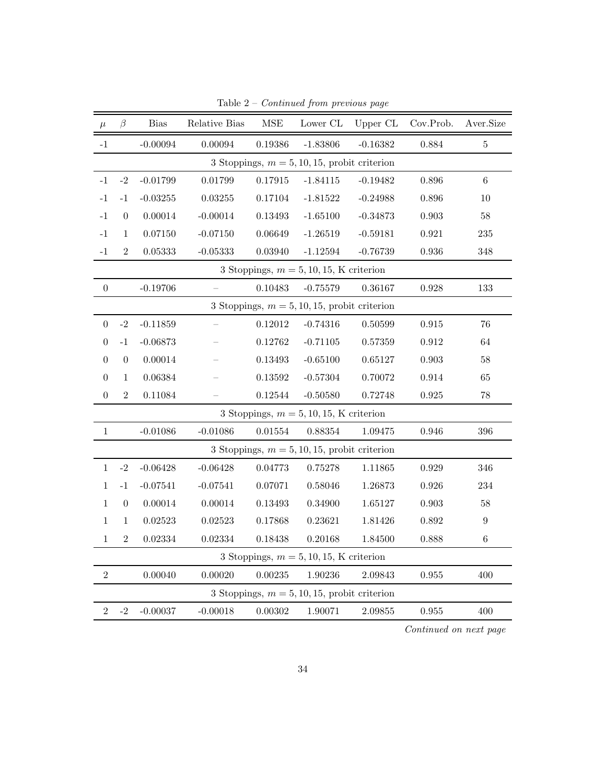| $\mu$            | β                | <b>Bias</b>   | Relative Bias | $\operatorname{MSE}$ | Lower CL                                        | Upper CL   | Cov.Prob.   | Aver.Size        |
|------------------|------------------|---------------|---------------|----------------------|-------------------------------------------------|------------|-------------|------------------|
| $-1$             |                  | $-0.00094$    | 0.00094       | 0.19386              | $-1.83806$                                      | $-0.16382$ | 0.884       | $\overline{5}$   |
|                  |                  |               |               |                      | 3 Stoppings, $m = 5, 10, 15$ , probit criterion |            |             |                  |
| $-1$             | $-2$             | $-0.01799$    | 0.01799       | 0.17915              | $-1.84115$                                      | $-0.19482$ | 0.896       | $\,6\,$          |
| $-1$             | $-1$             | $-0.03255$    | 0.03255       | 0.17104              | $-1.81522$                                      | $-0.24988$ | 0.896       | 10               |
| $-1$             | $\boldsymbol{0}$ | 0.00014       | $-0.00014$    | 0.13493              | $-1.65100$                                      | $-0.34873$ | $\,0.903\,$ | $58\,$           |
| $-1$             | $\mathbf 1$      | 0.07150       | $-0.07150$    | 0.06649              | $-1.26519$                                      | $-0.59181$ | 0.921       | 235              |
| $^{\rm -1}$      | $\overline{2}$   | 0.05333       | $-0.05333$    | 0.03940              | $-1.12594$                                      | $-0.76739$ | 0.936       | 348              |
|                  |                  |               |               |                      | 3 Stoppings, $m = 5, 10, 15, K$ criterion       |            |             |                  |
| $\boldsymbol{0}$ |                  | $-0.19706$    |               | 0.10483              | $-0.75579$                                      | 0.36167    | 0.928       | 133              |
|                  |                  |               |               |                      | 3 Stoppings, $m = 5, 10, 15$ , probit criterion |            |             |                  |
| $\boldsymbol{0}$ | $\text{-}2$      | $-0.11859$    |               | 0.12012              | $-0.74316$                                      | 0.50599    | $\,0.915\,$ | $76\,$           |
| $\boldsymbol{0}$ | $^{\rm -1}$      | $-0.06873$    |               | 0.12762              | $-0.71105$                                      | 0.57359    | $\rm 0.912$ | 64               |
| $\boldsymbol{0}$ | $\boldsymbol{0}$ | 0.00014       |               | 0.13493              | $-0.65100$                                      | 0.65127    | $\,0.903\,$ | $58\,$           |
| $\boldsymbol{0}$ | $\mathbf 1$      | 0.06384       |               | 0.13592              | $-0.57304$                                      | 0.70072    | 0.914       | 65               |
| $\boldsymbol{0}$ | $\overline{2}$   | 0.11084       |               | 0.12544              | $-0.50580$                                      | 0.72748    | 0.925       | $78\,$           |
|                  |                  |               |               |                      | 3 Stoppings, $m = 5, 10, 15, K$ criterion       |            |             |                  |
| $1\,$            |                  | $-0.01086$    | $-0.01086$    | 0.01554              | 0.88354                                         | 1.09475    | 0.946       | 396              |
|                  |                  |               |               |                      | 3 Stoppings, $m = 5, 10, 15$ , probit criterion |            |             |                  |
| $\mathbf{1}$     | $-2$             | $-0.06428$    | $-0.06428$    | 0.04773              | 0.75278                                         | 1.11865    | 0.929       | 346              |
| 1                | $-1$             | $-0.07541$    | $-0.07541$    | 0.07071              | 0.58046                                         | 1.26873    | 0.926       | 234              |
| 1                | $\boldsymbol{0}$ | 0.00014       | 0.00014       | 0.13493              | 0.34900                                         | 1.65127    | 0.903       | $58\,$           |
| $\mathbf{1}$     | 1                | $\,0.02523\,$ | 0.02523       | 0.17868              | 0.23621                                         | 1.81426    | 0.892       | $\boldsymbol{9}$ |
| $\mathbf{1}$     | $\overline{2}$   | 0.02334       | 0.02334       | 0.18438              | 0.20168                                         | 1.84500    | 0.888       | $\,6$            |
|                  |                  |               |               |                      | 3 Stoppings, $m = 5, 10, 15, K$ criterion       |            |             |                  |
| $\sqrt{2}$       |                  | 0.00040       | 0.00020       | $\, 0.00235\,$       | $1.90236\,$                                     | 2.09843    | $\,0.955\,$ | 400              |
|                  |                  |               |               |                      | 3 Stoppings, $m = 5, 10, 15$ , probit criterion |            |             |                  |
| $\overline{2}$   | $^{\rm -2}$      | $-0.00037$    | $-0.00018$    | 0.00302              | 1.90071                                         | 2.09855    | 0.955       | 400              |

Table 2 –  $Continued\ from\ previous\ page$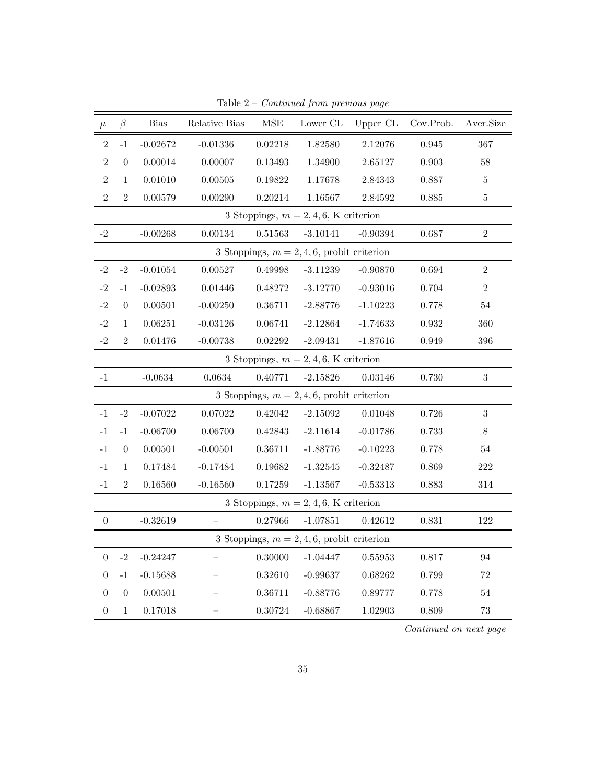| $\mu$            | $\beta$          | <b>Bias</b> | Relative Bias | $\operatorname{MSE}$ | Lower CL                                      | Upper CL    | Cov.Prob. | Aver.Size        |
|------------------|------------------|-------------|---------------|----------------------|-----------------------------------------------|-------------|-----------|------------------|
| $\,2$            | $-1$             | $-0.02672$  | $-0.01336$    | 0.02218              | 1.82580                                       | 2.12076     | 0.945     | 367              |
| $\overline{2}$   | $\boldsymbol{0}$ | 0.00014     | 0.00007       | 0.13493              | 1.34900                                       | 2.65127     | 0.903     | $58\,$           |
| $\mathbf{2}$     | $\mathbf{1}$     | 0.01010     | 0.00505       | 0.19822              | 1.17678                                       | 2.84343     | 0.887     | $\bf 5$          |
| $\overline{2}$   | $\overline{2}$   | 0.00579     | 0.00290       | 0.20214              | 1.16567                                       | 2.84592     | 0.885     | $\bf 5$          |
|                  |                  |             |               |                      | 3 Stoppings, $m = 2, 4, 6$ , K criterion      |             |           |                  |
| $-2$             |                  | $-0.00268$  | 0.00134       | $0.51563\,$          | $-3.10141$                                    | $-0.90394$  | 0.687     | $\overline{2}$   |
|                  |                  |             |               |                      | 3 Stoppings, $m = 2, 4, 6$ , probit criterion |             |           |                  |
| $-2$             | $\textbf{-}2$    | $-0.01054$  | 0.00527       | 0.49998              | $-3.11239$                                    | $-0.90870$  | 0.694     | $\,2$            |
| $-2$             | $-1$             | $-0.02893$  | 0.01446       | 0.48272              | $-3.12770$                                    | $-0.93016$  | 0.704     | $\,2$            |
| $-2$             | $\boldsymbol{0}$ | 0.00501     | $-0.00250$    | 0.36711              | $-2.88776$                                    | $-1.10223$  | 0.778     | $54\,$           |
| $^{\rm -2}$      | $\mathbf{1}$     | 0.06251     | $-0.03126$    | 0.06741              | $-2.12864$                                    | $-1.74633$  | 0.932     | 360              |
| $-2$             | $\overline{2}$   | 0.01476     | $-0.00738$    | 0.02292              | $-2.09431$                                    | $-1.87616$  | 0.949     | 396              |
|                  |                  |             |               |                      | 3 Stoppings, $m = 2, 4, 6$ , K criterion      |             |           |                  |
| $^{\rm -1}$      |                  | $-0.0634$   | 0.0634        | 0.40771              | $-2.15826$                                    | 0.03146     | 0.730     | $\sqrt{3}$       |
|                  |                  |             |               |                      | 3 Stoppings, $m = 2, 4, 6$ , probit criterion |             |           |                  |
| $-1$             | $-2$             | $-0.07022$  | 0.07022       | 0.42042              | $-2.15092$                                    | 0.01048     | 0.726     | $\boldsymbol{3}$ |
| $-1$             | $^{\rm -1}$      | $-0.06700$  | 0.06700       | 0.42843              | $-2.11614$                                    | $-0.01786$  | 0.733     | $8\,$            |
| $-1$             | $\boldsymbol{0}$ | 0.00501     | $-0.00501$    | 0.36711              | $-1.88776$                                    | $-0.10223$  | 0.778     | $54\,$           |
| $^{\rm -1}$      | $\mathbf{1}$     | 0.17484     | $-0.17484$    | 0.19682              | $-1.32545$                                    | $-0.32487$  | 0.869     | 222              |
| $-1$             | $\,2$            | 0.16560     | $-0.16560$    | 0.17259              | $-1.13567$                                    | $-0.53313$  | 0.883     | 314              |
|                  |                  |             |               |                      | 3 Stoppings, $m = 2, 4, 6$ , K criterion      |             |           |                  |
| $\boldsymbol{0}$ |                  | $-0.32619$  |               | 0.27966              | $-1.07851$                                    | 0.42612     | 0.831     | 122              |
|                  |                  |             |               |                      | 3 Stoppings, $m = 2, 4, 6$ , probit criterion |             |           |                  |
| $\boldsymbol{0}$ | $-2$             | $-0.24247$  |               | 0.30000              | $-1.04447$                                    | $0.55953\,$ | 0.817     | 94               |
| $\overline{0}$   | $^{\rm -1}$      | $-0.15688$  |               | 0.32610              | $-0.99637$                                    | 0.68262     | 0.799     | $72\,$           |
| $\overline{0}$   | $\boldsymbol{0}$ | 0.00501     |               | 0.36711              | $-0.88776$                                    | 0.89777     | 0.778     | $54\,$           |
| $\boldsymbol{0}$ | $\mathbf{1}$     | 0.17018     |               | 0.30724              | $-0.68867$                                    | 1.02903     | 0.809     | $73\,$           |

Table  $2$  –  $Continued$  from previous page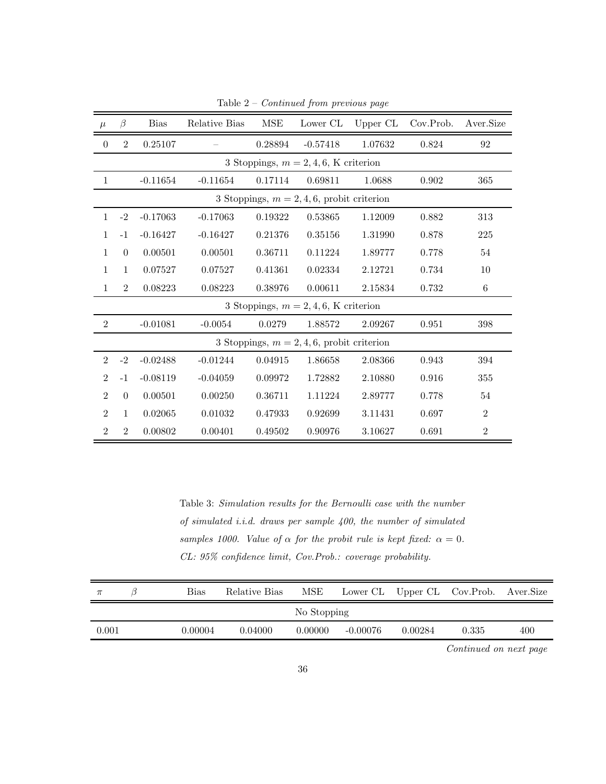| $\mu$          | $\beta$                                  | <b>Bias</b> | Relative Bias | <b>MSE</b> | Lower CL                                      | Upper CL | Cov.Prob. | Aver.Size      |  |  |  |
|----------------|------------------------------------------|-------------|---------------|------------|-----------------------------------------------|----------|-----------|----------------|--|--|--|
| $\theta$       | $\overline{2}$                           | 0.25107     |               | 0.28894    | $-0.57418$                                    | 1.07632  | 0.824     | 92             |  |  |  |
|                | 3 Stoppings, $m = 2, 4, 6$ , K criterion |             |               |            |                                               |          |           |                |  |  |  |
| 1              |                                          | $-0.11654$  | $-0.11654$    | 0.17114    | 0.69811                                       | 1.0688   | 0.902     | 365            |  |  |  |
|                |                                          |             |               |            | 3 Stoppings, $m = 2, 4, 6$ , probit criterion |          |           |                |  |  |  |
| $\mathbf{1}$   | $-2$                                     | $-0.17063$  | $-0.17063$    | 0.19322    | 0.53865                                       | 1.12009  | 0.882     | 313            |  |  |  |
| 1              | $-1$                                     | $-0.16427$  | $-0.16427$    | 0.21376    | 0.35156                                       | 1.31990  | 0.878     | 225            |  |  |  |
| $\mathbf{1}$   | $\overline{0}$                           | 0.00501     | 0.00501       | 0.36711    | 0.11224                                       | 1.89777  | 0.778     | 54             |  |  |  |
| $\mathbf{1}$   | $\mathbf{1}$                             | 0.07527     | 0.07527       | 0.41361    | 0.02334                                       | 2.12721  | 0.734     | 10             |  |  |  |
| $\mathbf{1}$   | $\overline{2}$                           | 0.08223     | 0.08223       | 0.38976    | 0.00611                                       | 2.15834  | 0.732     | 6              |  |  |  |
|                |                                          |             |               |            | 3 Stoppings, $m = 2, 4, 6$ , K criterion      |          |           |                |  |  |  |
| $\overline{2}$ |                                          | $-0.01081$  | $-0.0054$     | 0.0279     | 1.88572                                       | 2.09267  | 0.951     | 398            |  |  |  |
|                |                                          |             |               |            | 3 Stoppings, $m = 2, 4, 6$ , probit criterion |          |           |                |  |  |  |
| $\overline{2}$ | $-2$                                     | $-0.02488$  | $-0.01244$    | 0.04915    | 1.86658                                       | 2.08366  | 0.943     | 394            |  |  |  |
| $\overline{2}$ | $-1$                                     | $-0.08119$  | $-0.04059$    | 0.09972    | 1.72882                                       | 2.10880  | 0.916     | 355            |  |  |  |
| $\overline{2}$ | $\Omega$                                 | 0.00501     | 0.00250       | 0.36711    | 1.11224                                       | 2.89777  | 0.778     | 54             |  |  |  |
| $\overline{2}$ | $\mathbf{1}$                             | 0.02065     | 0.01032       | 0.47933    | 0.92699                                       | 3.11431  | 0.697     | $\overline{2}$ |  |  |  |
| $\overline{2}$ | $\overline{2}$                           | 0.00802     | 0.00401       | 0.49502    | 0.90976                                       | 3.10627  | 0.691     | $\overline{2}$ |  |  |  |

Table 2 – Continued from previous page

Table 3: Simulation results for the Bernoulli case with the number of simulated i.i.d. draws per sample 400, the number of simulated samples 1000. Value of  $\alpha$  for the probit rule is kept fixed:  $\alpha = 0$ . CL: 95% confidence limit, Cov.Prob.: coverage probability.

| $\pi$ | Bias    | Relative Bias | MSE         |          |         | Lower CL Upper CL Cov. Prob. Aver. Size |     |
|-------|---------|---------------|-------------|----------|---------|-----------------------------------------|-----|
|       |         |               | No Stopping |          |         |                                         |     |
| 0.001 | 0.00004 | 0.04000       | 0.00000     | -0.00076 | 0.00284 | 0.335                                   | 400 |
|       |         |               |             |          |         |                                         |     |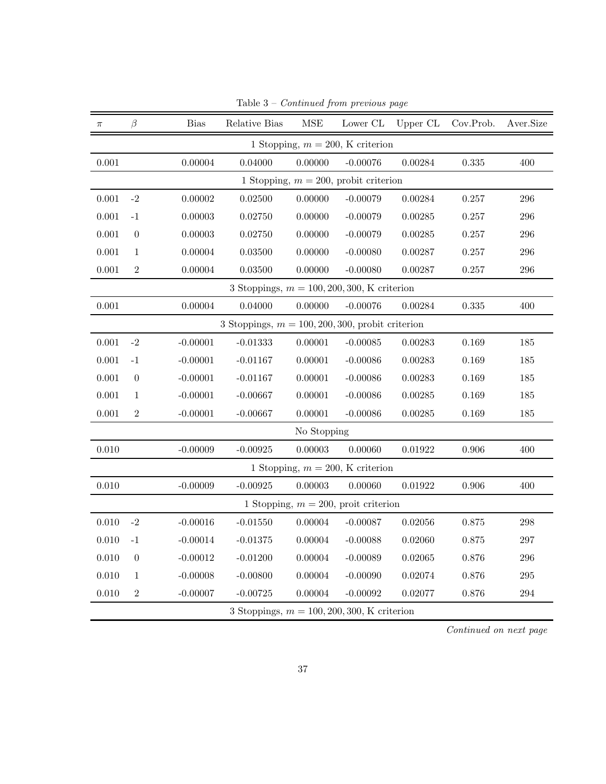| $\pi$                                         | $\beta$                                             | <b>Bias</b> | Relative Bias                                 | <b>MSE</b>  | Lower CL                                 | Upper CL | Cov.Prob. | Aver.Size |  |  |  |
|-----------------------------------------------|-----------------------------------------------------|-------------|-----------------------------------------------|-------------|------------------------------------------|----------|-----------|-----------|--|--|--|
|                                               |                                                     |             |                                               |             | 1 Stopping, $m = 200$ , K criterion      |          |           |           |  |  |  |
| 0.001                                         |                                                     | 0.00004     | 0.04000                                       | 0.00000     | $-0.00076$                               | 0.00284  | 0.335     | 400       |  |  |  |
|                                               |                                                     |             |                                               |             | 1 Stopping, $m = 200$ , probit criterion |          |           |           |  |  |  |
| 0.001                                         | $-2$                                                | 0.257       | 296                                           |             |                                          |          |           |           |  |  |  |
| 0.001                                         | $-1$                                                | 0.00003     | 0.02750                                       | 0.00000     | $-0.00079$                               | 0.00285  | 0.257     | 296       |  |  |  |
| 0.001                                         | $\overline{0}$                                      | 0.00003     | 0.02750                                       | 0.00000     | $-0.00079$                               | 0.00285  | 0.257     | 296       |  |  |  |
| 0.001                                         | $\mathbf{1}$                                        | 0.00004     | 0.03500                                       | 0.00000     | $-0.00080$                               | 0.00287  | 0.257     | 296       |  |  |  |
| 0.001                                         | $\overline{2}$                                      | 0.00004     | 0.03500                                       | 0.00000     | $-0.00080$                               | 0.00287  | 0.257     | $\,296$   |  |  |  |
| 3 Stoppings, $m = 100, 200, 300, K$ criterion |                                                     |             |                                               |             |                                          |          |           |           |  |  |  |
| $0.001\,$                                     |                                                     | 0.00004     | 0.04000                                       | 0.00000     | $-0.00076$                               | 0.00284  | 0.335     | 400       |  |  |  |
|                                               | 3 Stoppings, $m = 100, 200, 300$ , probit criterion |             |                                               |             |                                          |          |           |           |  |  |  |
| $0.001\,$                                     | $-2$                                                | $-0.00001$  | $-0.01333$                                    | 0.00001     | $-0.00085$                               | 0.00283  | 0.169     | 185       |  |  |  |
| 0.001                                         | $-1$                                                | $-0.00001$  | $-0.01167$                                    | 0.00001     | $-0.00086$                               | 0.00283  | 0.169     | 185       |  |  |  |
| 0.001                                         | $\theta$                                            | $-0.00001$  | $-0.01167$                                    | 0.00001     | $-0.00086$                               | 0.00283  | 0.169     | 185       |  |  |  |
| 0.001                                         | $\mathbf{1}$                                        | $-0.00001$  | $-0.00667$                                    | 0.00001     | $-0.00086$                               | 0.00285  | 0.169     | 185       |  |  |  |
| 0.001                                         | $\overline{2}$                                      | $-0.00001$  | $-0.00667$                                    | 0.00001     | $-0.00086$                               | 0.00285  | 0.169     | 185       |  |  |  |
|                                               |                                                     |             |                                               | No Stopping |                                          |          |           |           |  |  |  |
| 0.010                                         |                                                     | $-0.00009$  | $-0.00925$                                    | 0.00003     | 0.00060                                  | 0.01922  | 0.906     | 400       |  |  |  |
|                                               |                                                     |             |                                               |             | 1 Stopping, $m = 200$ , K criterion      |          |           |           |  |  |  |
| 0.010                                         |                                                     | $-0.00009$  | $-0.00925$                                    | 0.00003     | 0.00060                                  | 0.01922  | 0.906     | 400       |  |  |  |
|                                               |                                                     |             |                                               |             | 1 Stopping, $m = 200$ , proit criterion  |          |           |           |  |  |  |
| 0.010                                         | $-2$                                                | $-0.00016$  | $-0.01550$                                    | 0.00004     | $-0.00087$                               | 0.02056  | 0.875     | 298       |  |  |  |
| 0.010                                         | $-1$                                                | $-0.00014$  | $-0.01375$                                    | 0.00004     | $-0.00088$                               | 0.02060  | 0.875     | 297       |  |  |  |
| 0.010                                         | $\overline{0}$                                      | $-0.00012$  | $-0.01200$                                    | 0.00004     | $-0.00089$                               | 0.02065  | 0.876     | $\,296$   |  |  |  |
| 0.010                                         | $\mathbf{1}$                                        | $-0.00008$  | $-0.00800$                                    | 0.00004     | $-0.00090$                               | 0.02074  | 0.876     | $\,295$   |  |  |  |
| 0.010                                         | $\overline{2}$                                      | $-0.00007$  | $-0.00725$                                    | 0.00004     | $-0.00092$                               | 0.02077  | 0.876     | $\,294$   |  |  |  |
|                                               |                                                     |             | 3 Stoppings, $m = 100, 200, 300, K$ criterion |             |                                          |          |           |           |  |  |  |

Table 3 – Continued from previous page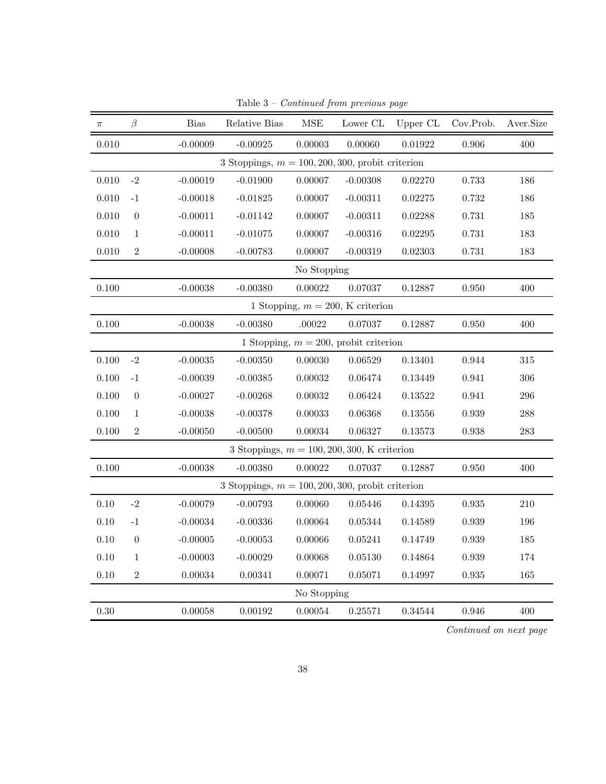| $\pi$    | β              | <b>Bias</b>   | Relative Bias                                       | <b>MSE</b>  | Lower $\operatorname{CL}$                | Upper CL | Cov.Prob. | Aver.Size |
|----------|----------------|---------------|-----------------------------------------------------|-------------|------------------------------------------|----------|-----------|-----------|
| 0.010    |                | $-0.00009$    | $-0.00925$                                          | 0.00003     | 0.00060                                  | 0.01922  | 0.906     | 400       |
|          |                |               | 3 Stoppings, $m = 100, 200, 300$ , probit criterion |             |                                          |          |           |           |
| 0.010    | $-2$           | $-0.00019$    | $-0.01900$                                          | 0.00007     | $-0.00308$                               | 0.02270  | 0.733     | 186       |
| 0.010    | $-1$           | $-0.00018$    | $-0.01825$                                          | 0.00007     | $-0.00311$                               | 0.02275  | 0.732     | 186       |
| 0.010    | $\theta$       | $-0.00011$    | $-0.01142$                                          | 0.00007     | $-0.00311$                               | 0.02288  | 0.731     | 185       |
| 0.010    | $\mathbf{1}$   | $-0.00011$    | $-0.01075$                                          | 0.00007     | $-0.00316$                               | 0.02295  | 0.731     | 183       |
| 0.010    | $\overline{2}$ | $-0.00008$    | $-0.00783$                                          | 0.00007     | $-0.00319$                               | 0.02303  | 0.731     | 183       |
|          |                |               |                                                     | No Stopping |                                          |          |           |           |
| 0.100    |                | $-0.00038$    | $-0.00380$                                          | 0.00022     | 0.07037                                  | 0.12887  | 0.950     | 400       |
|          |                |               |                                                     |             | 1 Stopping, $m = 200$ , K criterion      |          |           |           |
| 0.100    |                | $-0.00038$    | $-0.00380$                                          | .00022      | 0.07037                                  | 0.12887  | 0.950     | 400       |
|          |                |               |                                                     |             | 1 Stopping, $m = 200$ , probit criterion |          |           |           |
| 0.100    | $-2$           | $-0.00035$    | $-0.00350$                                          | 0.00030     | 0.06529                                  | 0.13401  | 0.944     | 315       |
| 0.100    | $-1$           | $-0.00039$    | $-0.00385$                                          | 0.00032     | 0.06474                                  | 0.13449  | 0.941     | 306       |
| 0.100    | $\theta$       | $-0.00027$    | $-0.00268$                                          | 0.00032     | 0.06424                                  | 0.13522  | 0.941     | 296       |
| 0.100    | $\mathbf{1}$   | $-0.00038$    | $-0.00378$                                          | 0.00033     | 0.06368                                  | 0.13556  | 0.939     | 288       |
| 0.100    | $\overline{2}$ | $-0.00050$    | $-0.00500$                                          | 0.00034     | 0.06327                                  | 0.13573  | 0.938     | 283       |
|          |                |               | 3 Stoppings, $m = 100, 200, 300, K$ criterion       |             |                                          |          |           |           |
| 0.100    |                | $-0.00038$    | $-0.00380$                                          | 0.00022     | 0.07037                                  | 0.12887  | 0.950     | 400       |
|          |                |               | 3 Stoppings, $m = 100, 200, 300$ , probit criterion |             |                                          |          |           |           |
| $0.10\,$ | $-2$           | $-0.00079$    | $-0.00793$                                          | 0.00060     | 0.05446                                  | 0.14395  | 0.935     | 210       |
| $0.10\,$ | $-1$           | $-0.00034$    | $-0.00336$                                          | 0.00064     | 0.05344                                  | 0.14589  | 0.939     | 196       |
| 0.10     | $\theta$       | $-0.00005$    | $-0.00053$                                          | 0.00066     | 0.05241                                  | 0.14749  | 0.939     | 185       |
| 0.10     | $\mathbf{1}$   | $-0.00003$    | $-0.00029$                                          | 0.00068     | 0.05130                                  | 0.14864  | 0.939     | 174       |
| 0.10     | $\overline{2}$ | $\,0.00034\,$ | $\, 0.00341 \,$                                     | 0.00071     | 0.05071                                  | 0.14997  | 0.935     | 165       |
|          |                |               |                                                     | No Stopping |                                          |          |           |           |
| 0.30     |                | 0.00058       | 0.00192                                             | 0.00054     | 0.25571                                  | 0.34544  | 0.946     | 400       |

Table  $3$  –  $Continued$  from previous page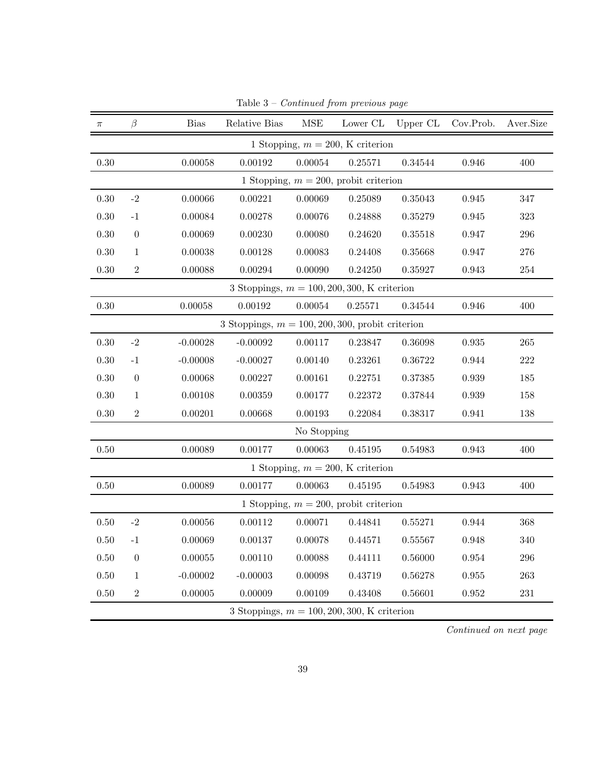| $\pi$    | β                                                   | <b>Bias</b> | Relative Bias                                 | MSE         | Lower CL                                 | Upper CL | Cov.Prob.   | Aver.Size |  |  |  |
|----------|-----------------------------------------------------|-------------|-----------------------------------------------|-------------|------------------------------------------|----------|-------------|-----------|--|--|--|
|          |                                                     |             |                                               |             | 1 Stopping, $m = 200$ , K criterion      |          |             |           |  |  |  |
| 0.30     |                                                     | 0.00058     | 0.00192                                       | 0.00054     | 0.25571                                  | 0.34544  | 0.946       | 400       |  |  |  |
|          |                                                     |             |                                               |             | 1 Stopping, $m = 200$ , probit criterion |          |             |           |  |  |  |
| $0.30\,$ | $-2$                                                | 0.00066     | 0.00221                                       | 0.00069     | 0.25089                                  | 0.35043  | 0.945       | 347       |  |  |  |
| 0.30     | $-1$                                                | 0.00084     | 0.00278                                       | 0.00076     | 0.24888                                  | 0.35279  | 0.945       | 323       |  |  |  |
| $0.30\,$ | $\theta$                                            | 0.00069     | 0.00230                                       | 0.00080     | 0.24620                                  | 0.35518  | 0.947       | $\,296$   |  |  |  |
| $0.30\,$ | $\mathbf{1}$                                        | 0.00038     | 0.00128                                       | 0.00083     | 0.24408                                  | 0.35668  | 0.947       | 276       |  |  |  |
| $0.30\,$ | $\sqrt{2}$                                          | 0.00088     | 0.00294                                       | 0.00090     | 0.24250                                  | 0.35927  | 0.943       | $254\,$   |  |  |  |
|          | 3 Stoppings, $m = 100, 200, 300, K$ criterion       |             |                                               |             |                                          |          |             |           |  |  |  |
| $0.30\,$ |                                                     | 0.00058     | 0.00192                                       | 0.00054     | 0.25571                                  | 0.34544  | 0.946       | 400       |  |  |  |
|          | 3 Stoppings, $m = 100, 200, 300$ , probit criterion |             |                                               |             |                                          |          |             |           |  |  |  |
| 0.30     | $-2$                                                | $-0.00028$  | $-0.00092$                                    | 0.00117     | 0.23847                                  | 0.36098  | 0.935       | 265       |  |  |  |
| $0.30\,$ | $-1$                                                | $-0.00008$  | $-0.00027$                                    | 0.00140     | 0.23261                                  | 0.36722  | 0.944       | $222\,$   |  |  |  |
| 0.30     | $\boldsymbol{0}$                                    | 0.00068     | 0.00227                                       | 0.00161     | 0.22751                                  | 0.37385  | 0.939       | 185       |  |  |  |
| $0.30\,$ | $\mathbf{1}$                                        | 0.00108     | 0.00359                                       | 0.00177     | 0.22372                                  | 0.37844  | 0.939       | 158       |  |  |  |
| $0.30\,$ | $\sqrt{2}$                                          | 0.00201     | 0.00668                                       | 0.00193     | 0.22084                                  | 0.38317  | 0.941       | 138       |  |  |  |
|          |                                                     |             |                                               | No Stopping |                                          |          |             |           |  |  |  |
| $0.50\,$ |                                                     | 0.00089     | 0.00177                                       | 0.00063     | 0.45195                                  | 0.54983  | 0.943       | 400       |  |  |  |
|          |                                                     |             |                                               |             | 1 Stopping, $m = 200$ , K criterion      |          |             |           |  |  |  |
| 0.50     |                                                     | 0.00089     | 0.00177                                       | 0.00063     | 0.45195                                  | 0.54983  | 0.943       | 400       |  |  |  |
|          |                                                     |             |                                               |             | 1 Stopping, $m = 200$ , probit criterion |          |             |           |  |  |  |
| $0.50\,$ | $-2$                                                | 0.00056     | 0.00112                                       | 0.00071     | 0.44841                                  | 0.55271  | 0.944       | 368       |  |  |  |
| 0.50     | $-1$                                                | 0.00069     | 0.00137                                       | 0.00078     | 0.44571                                  | 0.55567  | 0.948       | 340       |  |  |  |
| $0.50\,$ | $\boldsymbol{0}$                                    | 0.00055     | 0.00110                                       | 0.00088     | 0.44111                                  | 0.56000  | $\,0.954\,$ | $\,296$   |  |  |  |
| $0.50\,$ | $\mathbf{1}$                                        | $-0.00002$  | $-0.00003$                                    | 0.00098     | 0.43719                                  | 0.56278  | 0.955       | 263       |  |  |  |
| $0.50\,$ | $\overline{2}$                                      | 0.00005     | 0.00009                                       | 0.00109     | 0.43408                                  | 0.56601  | 0.952       | $231\,$   |  |  |  |
|          |                                                     |             | 3 Stoppings, $m = 100, 200, 300, K$ criterion |             |                                          |          |             |           |  |  |  |

Table 3 – Continued from previous page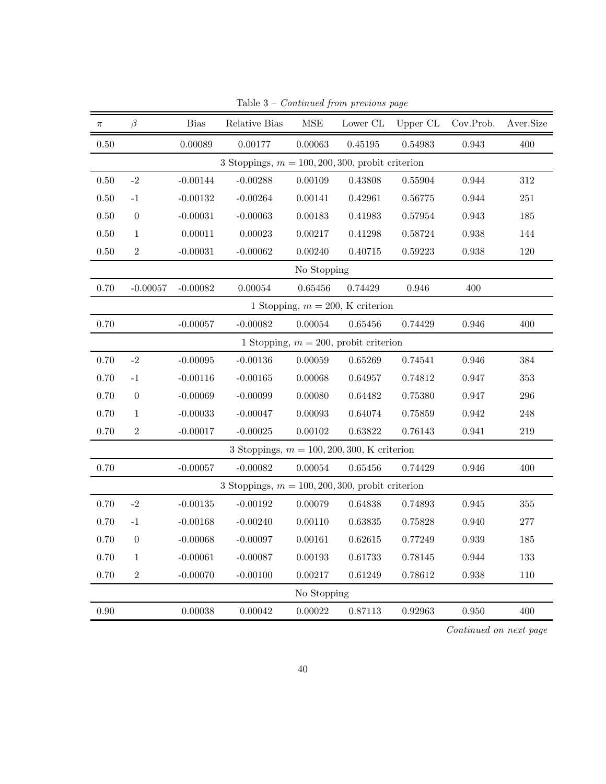| $\pi$    | $\beta$          | <b>Bias</b> | Relative Bias                                       | $\operatorname{MSE}$ | Lower $\operatorname{CL}$                | Upper CL | Cov.Prob. | Aver.Size |
|----------|------------------|-------------|-----------------------------------------------------|----------------------|------------------------------------------|----------|-----------|-----------|
| 0.50     |                  | 0.00089     | 0.00177                                             | 0.00063              | 0.45195                                  | 0.54983  | 0.943     | 400       |
|          |                  |             | 3 Stoppings, $m = 100, 200, 300$ , probit criterion |                      |                                          |          |           |           |
| $0.50\,$ | $-2$             | $-0.00144$  | $-0.00288$                                          | 0.00109              | 0.43808                                  | 0.55904  | 0.944     | 312       |
| $0.50\,$ | $-1$             | $-0.00132$  | $-0.00264$                                          | 0.00141              | 0.42961                                  | 0.56775  | 0.944     | $251\,$   |
| $0.50\,$ | $\boldsymbol{0}$ | $-0.00031$  | $-0.00063$                                          | 0.00183              | 0.41983                                  | 0.57954  | 0.943     | 185       |
| 0.50     | $\mathbf{1}$     | 0.00011     | 0.00023                                             | 0.00217              | 0.41298                                  | 0.58724  | 0.938     | 144       |
| $0.50\,$ | $\sqrt{2}$       | $-0.00031$  | $-0.00062$                                          | 0.00240              | 0.40715                                  | 0.59223  | 0.938     | 120       |
|          |                  |             |                                                     | No Stopping          |                                          |          |           |           |
| 0.70     | $-0.00057$       | $-0.00082$  | 0.00054                                             | 0.65456              | 0.74429                                  | 0.946    | 400       |           |
|          |                  |             |                                                     |                      | 1 Stopping, $m = 200$ , K criterion      |          |           |           |
| 0.70     |                  | $-0.00057$  | $-0.00082$                                          | 0.00054              | 0.65456                                  | 0.74429  | 0.946     | 400       |
|          |                  |             |                                                     |                      | 1 Stopping, $m = 200$ , probit criterion |          |           |           |
| 0.70     | $-2$             | $-0.00095$  | $-0.00136$                                          | 0.00059              | 0.65269                                  | 0.74541  | 0.946     | 384       |
| 0.70     | $-1$             | $-0.00116$  | $-0.00165$                                          | 0.00068              | 0.64957                                  | 0.74812  | 0.947     | 353       |
| 0.70     | $\theta$         | $-0.00069$  | $-0.00099$                                          | 0.00080              | 0.64482                                  | 0.75380  | 0.947     | 296       |
| 0.70     | $\mathbf{1}$     | $-0.00033$  | $-0.00047$                                          | 0.00093              | 0.64074                                  | 0.75859  | 0.942     | 248       |
| 0.70     | $\overline{2}$   | $-0.00017$  | $-0.00025$                                          | 0.00102              | 0.63822                                  | 0.76143  | 0.941     | 219       |
|          |                  |             | 3 Stoppings, $m = 100, 200, 300, K$ criterion       |                      |                                          |          |           |           |
| 0.70     |                  | $-0.00057$  | $-0.00082$                                          | 0.00054              | 0.65456                                  | 0.74429  | 0.946     | 400       |
|          |                  |             | 3 Stoppings, $m = 100, 200, 300$ , probit criterion |                      |                                          |          |           |           |
| 0.70     | $-2$             | $-0.00135$  | $-0.00192$                                          | 0.00079              | 0.64838                                  | 0.74893  | 0.945     | $355\,$   |
| 0.70     | $-1$             | $-0.00168$  | $-0.00240$                                          | 0.00110              | 0.63835                                  | 0.75828  | 0.940     | 277       |
| 0.70     | $\theta$         | $-0.00068$  | $-0.00097$                                          | 0.00161              | 0.62615                                  | 0.77249  | 0.939     | 185       |
| 0.70     | $\mathbf{1}$     | $-0.00061$  | $-0.00087$                                          | 0.00193              | 0.61733                                  | 0.78145  | 0.944     | 133       |
| 0.70     | $\overline{2}$   | $-0.00070$  | $-0.00100$                                          | 0.00217              | 0.61249                                  | 0.78612  | 0.938     | 110       |
|          |                  |             |                                                     | No Stopping          |                                          |          |           |           |
| 0.90     |                  | 0.00038     | 0.00042                                             | 0.00022              | 0.87113                                  | 0.92963  | 0.950     | 400       |

Table  $3$  –  $Continued$  from previous page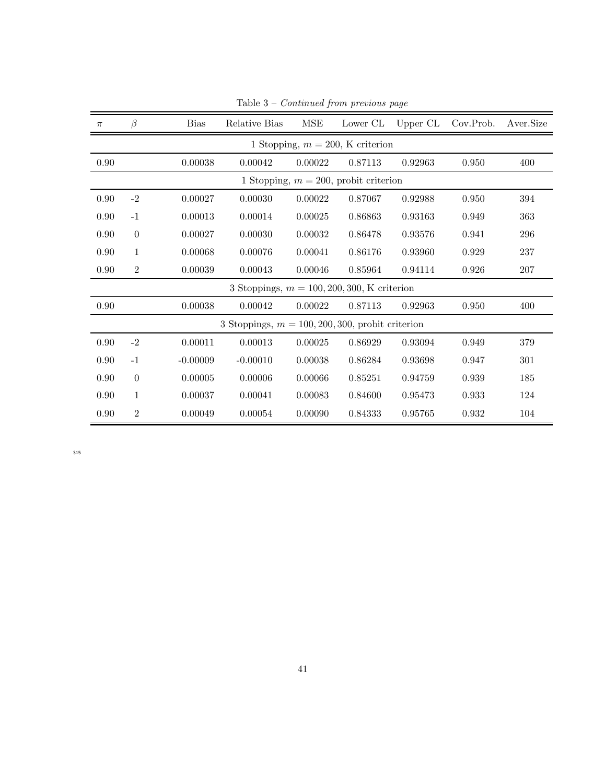| $\pi$ | $\beta$        | <b>Bias</b> | Relative Bias                                       | MSE     | Lower CL                                 | Upper CL | Cov.Prob. | Aver.Size |
|-------|----------------|-------------|-----------------------------------------------------|---------|------------------------------------------|----------|-----------|-----------|
|       |                |             |                                                     |         | 1 Stopping, $m = 200$ , K criterion      |          |           |           |
| 0.90  |                | 0.00038     | 0.00042                                             | 0.00022 | 0.87113                                  | 0.92963  | 0.950     | 400       |
|       |                |             |                                                     |         | 1 Stopping, $m = 200$ , probit criterion |          |           |           |
| 0.90  | $-2$           | 0.00027     | 0.00030                                             | 0.00022 | 0.87067                                  | 0.92988  | 0.950     | 394       |
| 0.90  | $-1$           | 0.00013     | 0.00014                                             | 0.00025 | 0.86863                                  | 0.93163  | 0.949     | 363       |
| 0.90  | $\theta$       | 0.00027     | 0.00030                                             | 0.00032 | 0.86478                                  | 0.93576  | 0.941     | 296       |
| 0.90  | $\mathbf{1}$   | 0.00068     | 0.00076                                             | 0.00041 | 0.86176                                  | 0.93960  | 0.929     | 237       |
| 0.90  | $\overline{2}$ | 0.00039     | 0.00043                                             | 0.00046 | 0.85964                                  | 0.94114  | 0.926     | 207       |
|       |                |             | 3 Stoppings, $m = 100, 200, 300, K$ criterion       |         |                                          |          |           |           |
| 0.90  |                | 0.00038     | 0.00042                                             | 0.00022 | 0.87113                                  | 0.92963  | 0.950     | 400       |
|       |                |             | 3 Stoppings, $m = 100, 200, 300$ , probit criterion |         |                                          |          |           |           |
| 0.90  | $-2$           | 0.00011     | 0.00013                                             | 0.00025 | 0.86929                                  | 0.93094  | 0.949     | 379       |
| 0.90  | $-1$           | $-0.00009$  | $-0.00010$                                          | 0.00038 | 0.86284                                  | 0.93698  | 0.947     | 301       |
| 0.90  | $\theta$       | 0.00005     | 0.00006                                             | 0.00066 | 0.85251                                  | 0.94759  | 0.939     | 185       |
| 0.90  | $\mathbf{1}$   | 0.00037     | 0.00041                                             | 0.00083 | 0.84600                                  | 0.95473  | 0.933     | 124       |
| 0.90  | $\overline{2}$ | 0.00049     | 0.00054                                             | 0.00090 | 0.84333                                  | 0.95765  | 0.932     | 104       |

Table 3 – Continued from previous page

315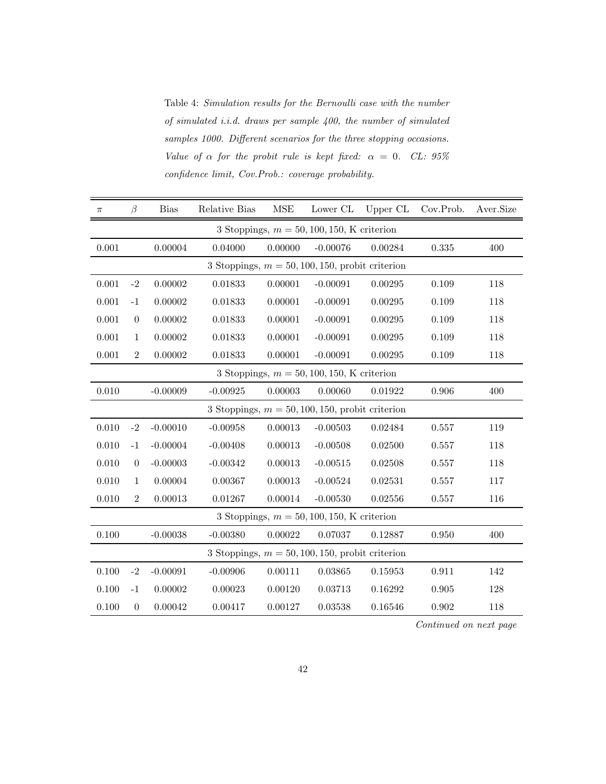Table 4: Simulation results for the Bernoulli case with the number of simulated i.i.d. draws per sample 400, the number of simulated samples 1000. Different scenarios for the three stopping occasions. Value of  $\alpha$  for the probit rule is kept fixed:  $\alpha = 0$ . CL: 95% confidence limit, Cov.Prob.: coverage probability.

| $\pi$ | $\beta$                                            | <b>Bias</b> | Relative Bias                                      | <b>MSE</b> | Lower CL                                      | Upper CL | Cov.Prob. | Aver.Size |  |  |
|-------|----------------------------------------------------|-------------|----------------------------------------------------|------------|-----------------------------------------------|----------|-----------|-----------|--|--|
|       |                                                    |             |                                                    |            | 3 Stoppings, $m = 50, 100, 150$ , K criterion |          |           |           |  |  |
| 0.001 |                                                    | 0.00004     | 0.04000                                            | 0.00000    | $-0.00076$                                    | 0.00284  | 0.335     | 400       |  |  |
|       |                                                    |             | 3 Stoppings, $m = 50, 100, 150$ , probit criterion |            |                                               |          |           |           |  |  |
| 0.001 | $-2$                                               | 0.00002     | 0.01833                                            | 0.00001    | $-0.00091$                                    | 0.00295  | 0.109     | 118       |  |  |
| 0.001 | $-1$                                               | 0.00002     | 0.01833                                            | 0.00001    | $-0.00091$                                    | 0.00295  | 0.109     | 118       |  |  |
| 0.001 | $\theta$                                           | 0.00002     | 0.01833                                            | 0.00001    | $-0.00091$                                    | 0.00295  | 0.109     | 118       |  |  |
| 0.001 | $\mathbf{1}$                                       | 0.00002     | 0.01833                                            | 0.00001    | $-0.00091$                                    | 0.00295  | 0.109     | 118       |  |  |
| 0.001 | $\sqrt{2}$                                         | 0.00002     | 0.01833                                            | 0.00001    | $-0.00091$                                    | 0.00295  | 0.109     | 118       |  |  |
|       |                                                    |             |                                                    |            | 3 Stoppings, $m = 50, 100, 150, K$ criterion  |          |           |           |  |  |
| 0.010 |                                                    | $-0.00009$  | $-0.00925$                                         | 0.00003    | 0.00060                                       | 0.01922  | 0.906     | 400       |  |  |
|       |                                                    |             | 3 Stoppings, $m = 50, 100, 150$ , probit criterion |            |                                               |          |           |           |  |  |
| 0.010 | $-2$                                               | $-0.00010$  | $-0.00958$                                         | 0.00013    | $-0.00503$                                    | 0.02484  | 0.557     | 119       |  |  |
| 0.010 | $-1$                                               | $-0.00004$  | $-0.00408$                                         | 0.00013    | $-0.00508$                                    | 0.02500  | 0.557     | 118       |  |  |
| 0.010 | $\theta$                                           | $-0.00003$  | $-0.00342$                                         | 0.00013    | $-0.00515$                                    | 0.02508  | 0.557     | 118       |  |  |
| 0.010 | $\mathbf{1}$                                       | 0.00004     | 0.00367                                            | 0.00013    | $-0.00524$                                    | 0.02531  | 0.557     | 117       |  |  |
| 0.010 | $\overline{2}$                                     | 0.00013     | 0.01267                                            | 0.00014    | $-0.00530$                                    | 0.02556  | 0.557     | 116       |  |  |
|       |                                                    |             |                                                    |            | 3 Stoppings, $m = 50, 100, 150$ , K criterion |          |           |           |  |  |
| 0.100 |                                                    | $-0.00038$  | $-0.00380$                                         | 0.00022    | 0.07037                                       | 0.12887  | 0.950     | 400       |  |  |
|       | 3 Stoppings, $m = 50, 100, 150$ , probit criterion |             |                                                    |            |                                               |          |           |           |  |  |
| 0.100 | $-2$                                               | $-0.00091$  | $-0.00906$                                         | 0.00111    | 0.03865                                       | 0.15953  | 0.911     | 142       |  |  |
| 0.100 | $-1$                                               | $0.00002\,$ | 0.00023                                            | 0.00120    | 0.03713                                       | 0.16292  | 0.905     | 128       |  |  |
| 0.100 | $\boldsymbol{0}$                                   | 0.00042     | 0.00417                                            | 0.00127    | 0.03538                                       | 0.16546  | 0.902     | 118       |  |  |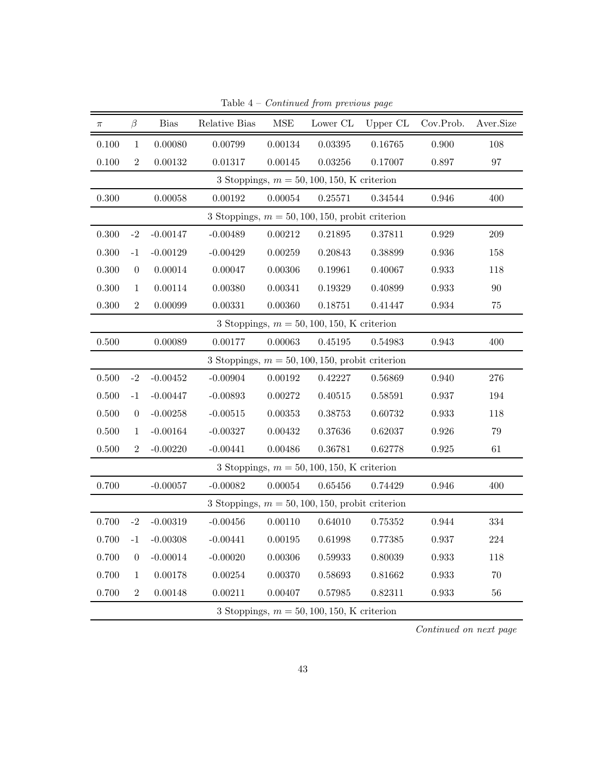| $\pi$ | β                | <b>Bias</b> | Relative Bias | MSE         | Lower CL                                           | Upper CL | Cov.Prob.   | Aver.Size |
|-------|------------------|-------------|---------------|-------------|----------------------------------------------------|----------|-------------|-----------|
| 0.100 | $\mathbf{1}$     | 0.00080     | 0.00799       | 0.00134     | 0.03395                                            | 0.16765  | 0.900       | 108       |
| 0.100 | $\sqrt{2}$       | 0.00132     | 0.01317       | 0.00145     | 0.03256                                            | 0.17007  | 0.897       | $\rm 97$  |
|       |                  |             |               |             | 3 Stoppings, $m = 50, 100, 150$ , K criterion      |          |             |           |
| 0.300 |                  | 0.00058     | $\,0.00192\,$ | 0.00054     | 0.25571                                            | 0.34544  | 0.946       | 400       |
|       |                  |             |               |             | 3 Stoppings, $m = 50, 100, 150$ , probit criterion |          |             |           |
| 0.300 | $-2$             | $-0.00147$  | $-0.00489$    | $0.00212\,$ | 0.21895                                            | 0.37811  | 0.929       | $\,209$   |
| 0.300 | $-1$             | $-0.00129$  | $-0.00429$    | 0.00259     | 0.20843                                            | 0.38899  | 0.936       | 158       |
| 0.300 | $\boldsymbol{0}$ | 0.00014     | 0.00047       | 0.00306     | 0.19961                                            | 0.40067  | 0.933       | 118       |
| 0.300 | $\mathbf{1}$     | 0.00114     | 0.00380       | 0.00341     | 0.19329                                            | 0.40899  | 0.933       | 90        |
| 0.300 | $\sqrt{2}$       | 0.00099     | 0.00331       | 0.00360     | 0.18751                                            | 0.41447  | 0.934       | $75\,$    |
|       |                  |             |               |             | 3 Stoppings, $m = 50, 100, 150, K$ criterion       |          |             |           |
| 0.500 |                  | 0.00089     | 0.00177       | 0.00063     | 0.45195                                            | 0.54983  | 0.943       | 400       |
|       |                  |             |               |             | 3 Stoppings, $m = 50, 100, 150$ , probit criterion |          |             |           |
| 0.500 | $-2$             | $-0.00452$  | $-0.00904$    | 0.00192     | 0.42227                                            | 0.56869  | 0.940       | $276\,$   |
| 0.500 | $-1$             | $-0.00447$  | $-0.00893$    | 0.00272     | 0.40515                                            | 0.58591  | 0.937       | 194       |
| 0.500 | $\overline{0}$   | $-0.00258$  | $-0.00515$    | 0.00353     | 0.38753                                            | 0.60732  | 0.933       | 118       |
| 0.500 | $\mathbf{1}$     | $-0.00164$  | $-0.00327$    | 0.00432     | 0.37636                                            | 0.62037  | 0.926       | 79        |
| 0.500 | $\overline{2}$   | $-0.00220$  | $-0.00441$    | 0.00486     | 0.36781                                            | 0.62778  | 0.925       | $61\,$    |
|       |                  |             |               |             | 3 Stoppings, $m = 50, 100, 150$ , K criterion      |          |             |           |
| 0.700 |                  | $-0.00057$  | $-0.00082$    | 0.00054     | $0.65456\,$                                        | 0.74429  | $\,0.946\,$ | 400       |
|       |                  |             |               |             | 3 Stoppings, $m = 50, 100, 150$ , probit criterion |          |             |           |
| 0.700 | $-2$             | $-0.00319$  | $-0.00456$    | 0.00110     | 0.64010                                            | 0.75352  | 0.944       | $334\,$   |
| 0.700 | $-1$             | $-0.00308$  | $-0.00441$    | 0.00195     | 0.61998                                            | 0.77385  | 0.937       | $224\,$   |
| 0.700 | $\overline{0}$   | $-0.00014$  | $-0.00020$    | 0.00306     | 0.59933                                            | 0.80039  | 0.933       | $118\,$   |
| 0.700 | $\mathbf{1}$     | 0.00178     | 0.00254       | 0.00370     | 0.58693                                            | 0.81662  | 0.933       | 70        |
| 0.700 | $\sqrt{2}$       | 0.00148     | 0.00211       | 0.00407     | 0.57985                                            | 0.82311  | 0.933       | 56        |
|       |                  |             |               |             | 3 Stoppings, $m = 50, 100, 150, K$ criterion       |          |             |           |

Table  $4$  –  $Continued$  from previous page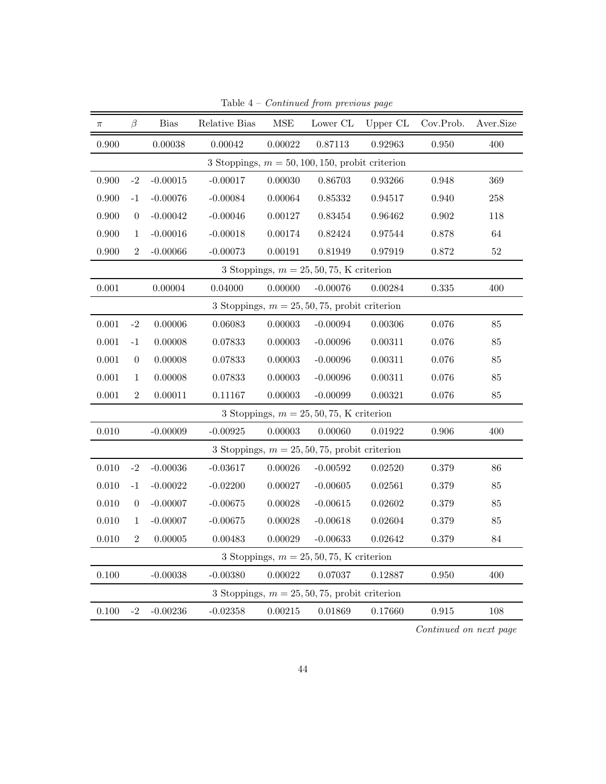| $\pi$ | $\beta$                                    | <b>Bias</b> | Relative Bias                                      | $\operatorname{MSE}$ | Lower CL                                         | Upper CL | Cov.Prob. | Aver.Size |  |
|-------|--------------------------------------------|-------------|----------------------------------------------------|----------------------|--------------------------------------------------|----------|-----------|-----------|--|
| 0.900 |                                            | 0.00038     | 0.00042                                            | 0.00022              | 0.87113                                          | 0.92963  | 0.950     | 400       |  |
|       |                                            |             | 3 Stoppings, $m = 50, 100, 150$ , probit criterion |                      |                                                  |          |           |           |  |
| 0.900 | $-2$                                       | $-0.00015$  | $-0.00017$                                         | 0.00030              | 0.86703                                          | 0.93266  | 0.948     | 369       |  |
| 0.900 | $-1$                                       | $-0.00076$  | $-0.00084$                                         | $\,0.00064\,$        | 0.85332                                          | 0.94517  | 0.940     | $258\,$   |  |
| 0.900 | $\boldsymbol{0}$                           | $-0.00042$  | $-0.00046$                                         | 0.00127              | $\phantom{-}0.83454$                             | 0.96462  | 0.902     | 118       |  |
| 0.900 | $\mathbf{1}$                               | $-0.00016$  | $-0.00018$                                         | 0.00174              | 0.82424                                          | 0.97544  | 0.878     | 64        |  |
| 0.900 | $\sqrt{2}$                                 | $-0.00066$  | $-0.00073$                                         | 0.00191              | 0.81949                                          | 0.97919  | 0.872     | $52\,$    |  |
|       |                                            |             |                                                    |                      | 3 Stoppings, $m = 25, 50, 75$ , K criterion      |          |           |           |  |
| 0.001 |                                            | 0.00004     | 0.04000                                            | 0.00000              | $-0.00076$                                       | 0.00284  | $0.335\,$ | 400       |  |
|       |                                            |             |                                                    |                      | 3 Stoppings, $m = 25, 50, 75$ , probit criterion |          |           |           |  |
| 0.001 | $-2$                                       | 0.00006     | 0.06083                                            | 0.00003              | $-0.00094$                                       | 0.00306  | 0.076     | 85        |  |
| 0.001 | $-1$                                       | 0.00008     | 0.07833                                            | 0.00003              | $-0.00096$                                       | 0.00311  | 0.076     | 85        |  |
| 0.001 | $\overline{0}$                             | 0.00008     | 0.07833                                            | 0.00003              | $-0.00096$                                       | 0.00311  | 0.076     | 85        |  |
| 0.001 | $\mathbf{1}$                               | 0.00008     | 0.07833                                            | 0.00003              | $-0.00096$                                       | 0.00311  | 0.076     | $85\,$    |  |
| 0.001 | $\,2$                                      | 0.00011     | 0.11167                                            | 0.00003              | $-0.00099$                                       | 0.00321  | 0.076     | $85\,$    |  |
|       |                                            |             |                                                    |                      | 3 Stoppings, $m = 25, 50, 75, K$ criterion       |          |           |           |  |
| 0.010 |                                            | $-0.00009$  | $-0.00925$                                         | 0.00003              | 0.00060                                          | 0.01922  | 0.906     | 400       |  |
|       |                                            |             |                                                    |                      | 3 Stoppings, $m = 25, 50, 75$ , probit criterion |          |           |           |  |
| 0.010 | $-2$                                       | $-0.00036$  | $-0.03617$                                         | 0.00026              | $-0.00592$                                       | 0.02520  | 0.379     | $86\,$    |  |
| 0.010 | $-1$                                       | $-0.00022$  | $-0.02200$                                         | 0.00027              | $-0.00605$                                       | 0.02561  | 0.379     | 85        |  |
| 0.010 | $\theta$                                   | $-0.00007$  | $-0.00675$                                         | 0.00028              | $-0.00615$                                       | 0.02602  | 0.379     | 85        |  |
| 0.010 | $\mathbf{1}$                               | $-0.00007$  | $-0.00675$                                         | 0.00028              | $-0.00618$                                       | 0.02604  | 0.379     | 85        |  |
| 0.010 | $\overline{2}$                             | 0.00005     | 0.00483                                            | 0.00029              | $-0.00633$                                       | 0.02642  | 0.379     | $84\,$    |  |
|       | 3 Stoppings, $m = 25, 50, 75, K$ criterion |             |                                                    |                      |                                                  |          |           |           |  |
| 0.100 |                                            | $-0.00038$  | $-0.00380$                                         | 0.00022              | 0.07037                                          | 0.12887  | 0.950     | 400       |  |
|       |                                            |             |                                                    |                      | 3 Stoppings, $m = 25, 50, 75$ , probit criterion |          |           |           |  |
| 0.100 | $-2$                                       | $-0.00236$  | $-0.02358$                                         | 0.00215              | 0.01869                                          | 0.17660  | 0.915     | 108       |  |

Table  $4$  –  $Continued$  from previous page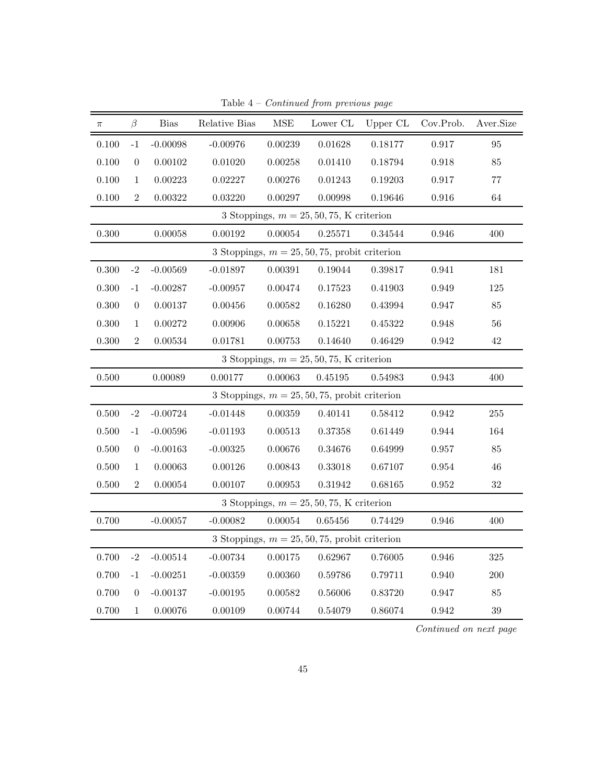| $\pi$     | $\beta$        | <b>Bias</b>    | Relative Bias | $\operatorname{MSE}$ | Lower CL                                         | Upper CL | Cov.Prob.   | Aver.Size |
|-----------|----------------|----------------|---------------|----------------------|--------------------------------------------------|----------|-------------|-----------|
| 0.100     | $-1$           | $-0.00098$     | $-0.00976$    | 0.00239              | 0.01628                                          | 0.18177  | 0.917       | $95\,$    |
| 0.100     | $\theta$       | 0.00102        | 0.01020       | 0.00258              | 0.01410                                          | 0.18794  | 0.918       | 85        |
| 0.100     | $\mathbf{1}$   | 0.00223        | 0.02227       | 0.00276              | 0.01243                                          | 0.19203  | 0.917       | $77\,$    |
| 0.100     | $\overline{2}$ | 0.00322        | 0.03220       | 0.00297              | 0.00998                                          | 0.19646  | 0.916       | 64        |
|           |                |                |               |                      | 3 Stoppings, $m = 25, 50, 75, K$ criterion       |          |             |           |
| 0.300     |                | 0.00058        | 0.00192       | 0.00054              | 0.25571                                          | 0.34544  | $\,0.946\,$ | 400       |
|           |                |                |               |                      | 3 Stoppings, $m = 25, 50, 75$ , probit criterion |          |             |           |
| 0.300     | $-2$           | $-0.00569$     | $-0.01897$    | 0.00391              | 0.19044                                          | 0.39817  | 0.941       | 181       |
| 0.300     | $-1$           | $-0.00287$     | $-0.00957$    | 0.00474              | 0.17523                                          | 0.41903  | 0.949       | 125       |
| 0.300     | $\overline{0}$ | 0.00137        | 0.00456       | 0.00582              | 0.16280                                          | 0.43994  | 0.947       | $85\,$    |
| 0.300     | $\mathbf{1}$   | 0.00272        | 0.00906       | 0.00658              | 0.15221                                          | 0.45322  | 0.948       | $56\,$    |
| $0.300\,$ | $\overline{2}$ | $\, 0.00534\,$ | 0.01781       | 0.00753              | 0.14640                                          | 0.46429  | 0.942       | 42        |
|           |                |                |               |                      | 3 Stoppings, $m = 25, 50, 75, K$ criterion       |          |             |           |
| 0.500     |                | 0.00089        | 0.00177       | 0.00063              | 0.45195                                          | 0.54983  | 0.943       | 400       |
|           |                |                |               |                      | 3 Stoppings, $m = 25, 50, 75$ , probit criterion |          |             |           |
| 0.500     | $-2$           | $-0.00724$     | $-0.01448$    | 0.00359              | 0.40141                                          | 0.58412  | 0.942       | $255\,$   |
| 0.500     | $-1$           | $-0.00596$     | $-0.01193$    | 0.00513              | 0.37358                                          | 0.61449  | $\,0.944\,$ | 164       |
| 0.500     | $\theta$       | $-0.00163$     | $-0.00325$    | 0.00676              | 0.34676                                          | 0.64999  | 0.957       | 85        |
| 0.500     | $\mathbf{1}$   | 0.00063        | 0.00126       | 0.00843              | 0.33018                                          | 0.67107  | 0.954       | 46        |
| 0.500     | $\overline{2}$ | 0.00054        | 0.00107       | 0.00953              | 0.31942                                          | 0.68165  | $\,0.952\,$ | $32\,$    |
|           |                |                |               |                      | 3 Stoppings, $m = 25, 50, 75, K$ criterion       |          |             |           |
| 0.700     |                | $-0.00057$     | $-0.00082$    | 0.00054              | 0.65456                                          | 0.74429  | $\,0.946\,$ | 400       |
|           |                |                |               |                      | 3 Stoppings, $m = 25, 50, 75$ , probit criterion |          |             |           |
| 0.700     | $-2$           | $-0.00514$     | $-0.00734$    | 0.00175              | 0.62967                                          | 0.76005  | 0.946       | $325\,$   |
| 0.700     | $-1$           | $-0.00251$     | $-0.00359$    | 0.00360              | 0.59786                                          | 0.79711  | 0.940       | 200       |
| 0.700     | $\theta$       | $-0.00137$     | $-0.00195$    | 0.00582              | 0.56006                                          | 0.83720  | 0.947       | $85\,$    |
| 0.700     | $\mathbf{1}$   | 0.00076        | 0.00109       | 0.00744              | 0.54079                                          | 0.86074  | $\,0.942\,$ | $39\,$    |

Table  $4$  –  $Continued$  from previous page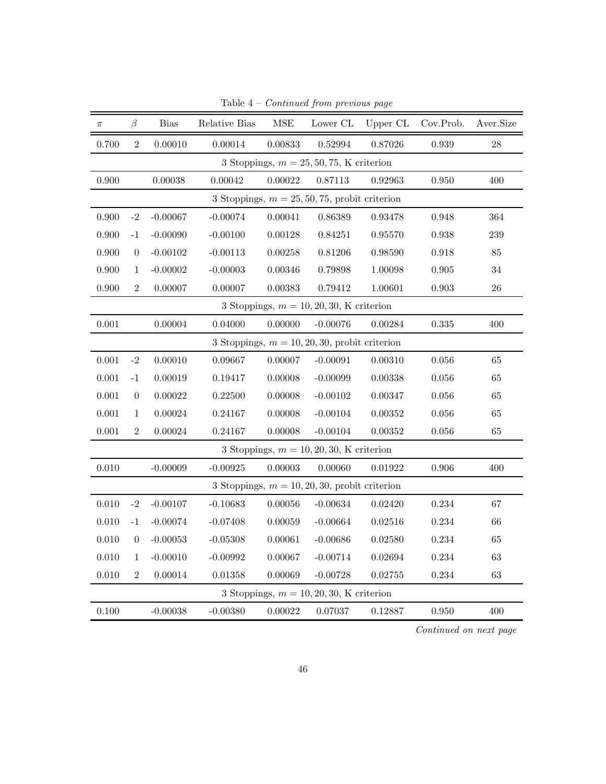| $\pi$ | $\beta$        | <b>Bias</b> | Relative Bias | $\operatorname{MSE}$ | Lower CL                                         | Upper CL | Cov.Prob. | Aver.Size |
|-------|----------------|-------------|---------------|----------------------|--------------------------------------------------|----------|-----------|-----------|
| 0.700 | $\overline{2}$ | 0.00010     | 0.00014       | 0.00833              | 0.52994                                          | 0.87026  | 0.939     | 28        |
|       |                |             |               |                      | 3 Stoppings, $m = 25, 50, 75, K$ criterion       |          |           |           |
| 0.900 |                | 0.00038     | 0.00042       | 0.00022              | 0.87113                                          | 0.92963  | 0.950     | 400       |
|       |                |             |               |                      | 3 Stoppings, $m = 25, 50, 75$ , probit criterion |          |           |           |
| 0.900 | $-2$           | $-0.00067$  | $-0.00074$    | 0.00041              | 0.86389                                          | 0.93478  | 0.948     | 364       |
| 0.900 | $-1$           | $-0.00090$  | $-0.00100$    | 0.00128              | 0.84251                                          | 0.95570  | 0.938     | 239       |
| 0.900 | $\overline{0}$ | $-0.00102$  | $-0.00113$    | 0.00258              | 0.81206                                          | 0.98590  | 0.918     | 85        |
| 0.900 | $\mathbf{1}$   | $-0.00002$  | $-0.00003$    | 0.00346              | 0.79898                                          | 1.00098  | 0.905     | 34        |
| 0.900 | $\overline{2}$ | 0.00007     | 0.00007       | 0.00383              | 0.79412                                          | 1.00601  | 0.903     | 26        |
|       |                |             |               |                      | 3 Stoppings, $m = 10, 20, 30, K$ criterion       |          |           |           |
| 0.001 |                | 0.00004     | 0.04000       | 0.00000              | $-0.00076$                                       | 0.00284  | 0.335     | 400       |
|       |                |             |               |                      | 3 Stoppings, $m = 10, 20, 30$ , probit criterion |          |           |           |
| 0.001 | $-2$           | 0.00010     | 0.09667       | 0.00007              | $-0.00091$                                       | 0.00310  | 0.056     | 65        |
| 0.001 | $-1$           | 0.00019     | 0.19417       | 0.00008              | $-0.00099$                                       | 0.00338  | 0.056     | 65        |
| 0.001 | $\theta$       | 0.00022     | 0.22500       | 0.00008              | $-0.00102$                                       | 0.00347  | 0.056     | 65        |
| 0.001 | $\mathbf{1}$   | 0.00024     | 0.24167       | 0.00008              | $-0.00104$                                       | 0.00352  | 0.056     | 65        |
| 0.001 | $\overline{2}$ | 0.00024     | 0.24167       | 0.00008              | $-0.00104$                                       | 0.00352  | 0.056     | 65        |
|       |                |             |               |                      | 3 Stoppings, $m = 10, 20, 30, K$ criterion       |          |           |           |
| 0.010 |                | $-0.00009$  | $-0.00925$    | 0.00003              | 0.00060                                          | 0.01922  | 0.906     | 400       |
|       |                |             |               |                      | 3 Stoppings, $m = 10, 20, 30$ , probit criterion |          |           |           |
| 0.010 | $-2$           | $-0.00107$  | $-0.10683$    | 0.00056              | $-0.00634$                                       | 0.02420  | 0.234     | 67        |
| 0.010 | $-1$           | $-0.00074$  | $-0.07408$    | 0.00059              | $-0.00664$                                       | 0.02516  | 0.234     | 66        |
| 0.010 | $\overline{0}$ | $-0.00053$  | $-0.05308$    | 0.00061              | $-0.00686$                                       | 0.02580  | 0.234     | 65        |
| 0.010 | $\mathbf{1}$   | $-0.00010$  | $-0.00992$    | 0.00067              | $-0.00714$                                       | 0.02694  | 0.234     | 63        |
| 0.010 | $\overline{2}$ | 0.00014     | 0.01358       | 0.00069              | $-0.00728$                                       | 0.02755  | 0.234     | 63        |
|       |                |             |               |                      | 3 Stoppings, $m = 10, 20, 30, K$ criterion       |          |           |           |
| 0.100 |                | $-0.00038$  | $-0.00380$    | 0.00022              | 0.07037                                          | 0.12887  | 0.950     | 400       |

Table  $4$  –  $Continued$  from previous page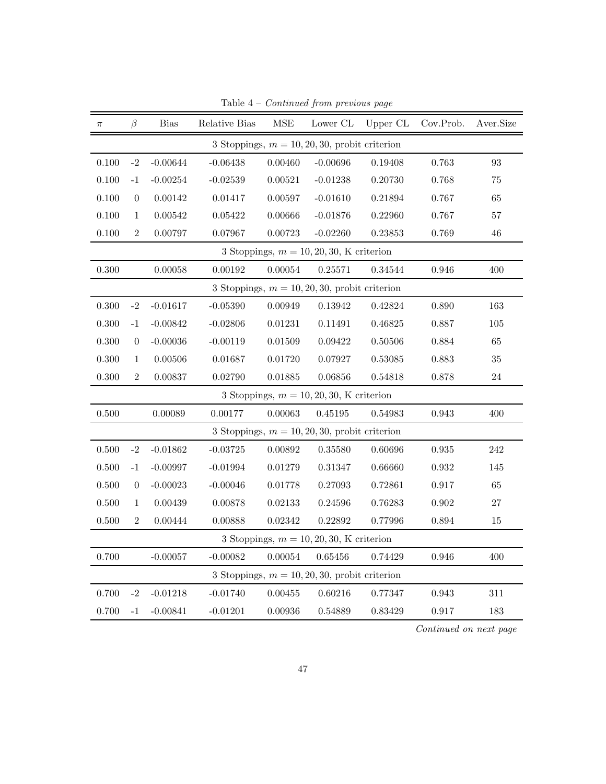| $\pi$     | β              | <b>Bias</b>   | Relative Bias | <b>MSE</b> | Lower CL                                         | Upper CL | Cov.Prob.   | Aver.Size         |
|-----------|----------------|---------------|---------------|------------|--------------------------------------------------|----------|-------------|-------------------|
|           |                |               |               |            | 3 Stoppings, $m = 10, 20, 30$ , probit criterion |          |             |                   |
| 0.100     | $-2$           | $-0.00644$    | $-0.06438$    | 0.00460    | $-0.00696$                                       | 0.19408  | 0.763       | $\boldsymbol{93}$ |
| 0.100     | $-1$           | $-0.00254$    | $-0.02539$    | 0.00521    | $-0.01238$                                       | 0.20730  | 0.768       | 75                |
| 0.100     | $\overline{0}$ | $\,0.00142\,$ | 0.01417       | 0.00597    | $-0.01610$                                       | 0.21894  | 0.767       | 65                |
| 0.100     | $\mathbf{1}$   | 0.00542       | 0.05422       | 0.00666    | $-0.01876$                                       | 0.22960  | 0.767       | 57                |
| 0.100     | $\overline{2}$ | 0.00797       | 0.07967       | 0.00723    | $-0.02260$                                       | 0.23853  | 0.769       | 46                |
|           |                |               |               |            | 3 Stoppings, $m = 10, 20, 30, K$ criterion       |          |             |                   |
| 0.300     |                | 0.00058       | 0.00192       | 0.00054    | 0.25571                                          | 0.34544  | 0.946       | 400               |
|           |                |               |               |            | 3 Stoppings, $m = 10, 20, 30$ , probit criterion |          |             |                   |
| 0.300     | $-2$           | $-0.01617$    | $-0.05390$    | 0.00949    | 0.13942                                          | 0.42824  | 0.890       | 163               |
| 0.300     | $-1$           | $-0.00842$    | $-0.02806$    | 0.01231    | 0.11491                                          | 0.46825  | 0.887       | 105               |
| 0.300     | $\theta$       | $-0.00036$    | $-0.00119$    | 0.01509    | 0.09422                                          | 0.50506  | 0.884       | $65\,$            |
| 0.300     | $\mathbf{1}$   | 0.00506       | 0.01687       | 0.01720    | 0.07927                                          | 0.53085  | 0.883       | $35\,$            |
| 0.300     | $\sqrt{2}$     | 0.00837       | 0.02790       | 0.01885    | 0.06856                                          | 0.54818  | 0.878       | 24                |
|           |                |               |               |            | 3 Stoppings, $m = 10, 20, 30, K$ criterion       |          |             |                   |
| 0.500     |                | 0.00089       | 0.00177       | 0.00063    | 0.45195                                          | 0.54983  | 0.943       | 400               |
|           |                |               |               |            | 3 Stoppings, $m = 10, 20, 30$ , probit criterion |          |             |                   |
| $0.500\,$ | $-2$           | $-0.01862$    | $-0.03725$    | 0.00892    | 0.35580                                          | 0.60696  | 0.935       | 242               |
| 0.500     | $-1$           | $-0.00997$    | $-0.01994$    | 0.01279    | 0.31347                                          | 0.66660  | 0.932       | 145               |
| 0.500     | $\overline{0}$ | $-0.00023$    | $-0.00046$    | 0.01778    | 0.27093                                          | 0.72861  | 0.917       | 65                |
| 0.500     | $\mathbf{1}$   | 0.00439       | 0.00878       | 0.02133    | 0.24596                                          | 0.76283  | 0.902       | 27                |
| 0.500     | $\sqrt{2}$     | 0.00444       | 0.00888       | 0.02342    | 0.22892                                          | 0.77996  | $\,0.894\,$ | $15\,$            |
|           |                |               |               |            | 3 Stoppings, $m = 10, 20, 30, K$ criterion       |          |             |                   |
| 0.700     |                | $-0.00057$    | $-0.00082$    | 0.00054    | 0.65456                                          | 0.74429  | $\,0.946\,$ | 400               |
|           |                |               |               |            | 3 Stoppings, $m = 10, 20, 30$ , probit criterion |          |             |                   |
| 0.700     | $-2$           | $-0.01218$    | $-0.01740$    | 0.00455    | 0.60216                                          | 0.77347  | 0.943       | $311\,$           |
| 0.700     | $-1$           | $-0.00841$    | $-0.01201$    | 0.00936    | 0.54889                                          | 0.83429  | $0.917\,$   | 183               |

Table  $4$  –  $Continued$  from previous page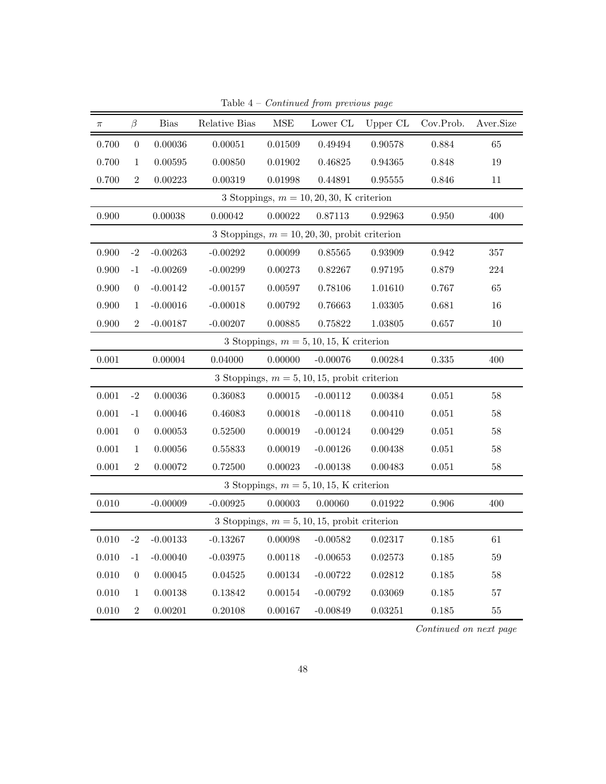| $\pi$ | $\beta$          | <b>Bias</b> | Relative Bias | $\operatorname{MSE}$ | Lower CL                                         | Upper CL | Cov.Prob.   | Aver.Size |
|-------|------------------|-------------|---------------|----------------------|--------------------------------------------------|----------|-------------|-----------|
| 0.700 | $\boldsymbol{0}$ | 0.00036     | 0.00051       | 0.01509              | 0.49494                                          | 0.90578  | 0.884       | 65        |
| 0.700 | $\mathbf{1}$     | 0.00595     | 0.00850       | 0.01902              | 0.46825                                          | 0.94365  | $0.848\,$   | 19        |
| 0.700 | $\overline{2}$   | 0.00223     | 0.00319       | 0.01998              | 0.44891                                          | 0.95555  | 0.846       | 11        |
|       |                  |             |               |                      | 3 Stoppings, $m = 10, 20, 30, K$ criterion       |          |             |           |
| 0.900 |                  | 0.00038     | 0.00042       | 0.00022              | 0.87113                                          | 0.92963  | $0.950\,$   | 400       |
|       |                  |             |               |                      | 3 Stoppings, $m = 10, 20, 30$ , probit criterion |          |             |           |
| 0.900 | $-2$             | $-0.00263$  | $-0.00292$    | 0.00099              | 0.85565                                          | 0.93909  | $\,0.942\,$ | $357\,$   |
| 0.900 | $-1$             | $-0.00269$  | $-0.00299$    | 0.00273              | 0.82267                                          | 0.97195  | 0.879       | $224\,$   |
| 0.900 | $\overline{0}$   | $-0.00142$  | $-0.00157$    | 0.00597              | 0.78106                                          | 1.01610  | 0.767       | 65        |
| 0.900 | $\mathbf{1}$     | $-0.00016$  | $-0.00018$    | 0.00792              | 0.76663                                          | 1.03305  | 0.681       | 16        |
| 0.900 | $\overline{2}$   | $-0.00187$  | $-0.00207$    | 0.00885              | 0.75822                                          | 1.03805  | 0.657       | 10        |
|       |                  |             |               |                      | 3 Stoppings, $m = 5, 10, 15, K$ criterion        |          |             |           |
| 0.001 |                  | 0.00004     | 0.04000       | 0.00000              | $-0.00076$                                       | 0.00284  | 0.335       | 400       |
|       |                  |             |               |                      | 3 Stoppings, $m = 5, 10, 15$ , probit criterion  |          |             |           |
| 0.001 | $-2$             | 0.00036     | 0.36083       | 0.00015              | $-0.00112$                                       | 0.00384  | 0.051       | 58        |
| 0.001 | $^{\rm -1}$      | 0.00046     | 0.46083       | 0.00018              | $-0.00118$                                       | 0.00410  | 0.051       | $58\,$    |
| 0.001 | $\overline{0}$   | 0.00053     | 0.52500       | 0.00019              | $-0.00124$                                       | 0.00429  | 0.051       | $58\,$    |
| 0.001 | $\mathbf 1$      | 0.00056     | 0.55833       | 0.00019              | $-0.00126$                                       | 0.00438  | 0.051       | $58\,$    |
| 0.001 | $\overline{2}$   | 0.00072     | 0.72500       | 0.00023              | $-0.00138$                                       | 0.00483  | 0.051       | 58        |
|       |                  |             |               |                      | 3 Stoppings, $m = 5, 10, 15, K$ criterion        |          |             |           |
| 0.010 |                  | $-0.00009$  | $-0.00925$    | 0.00003              | 0.00060                                          | 0.01922  | 0.906       | 400       |
|       |                  |             |               |                      | 3 Stoppings, $m = 5, 10, 15$ , probit criterion  |          |             |           |
| 0.010 | $-2$             | $-0.00133$  | $-0.13267$    | 0.00098              | $-0.00582$                                       | 0.02317  | 0.185       | 61        |
| 0.010 | $-1$             | $-0.00040$  | $-0.03975$    | 0.00118              | $-0.00653$                                       | 0.02573  | 0.185       | $59\,$    |
| 0.010 | $\theta$         | 0.00045     | 0.04525       | 0.00134              | $-0.00722$                                       | 0.02812  | $0.185\,$   | $58\,$    |
| 0.010 | $\mathbf{1}$     | 0.00138     | 0.13842       | 0.00154              | $-0.00792$                                       | 0.03069  | 0.185       | $57\,$    |
| 0.010 | $\overline{2}$   | 0.00201     | 0.20108       | 0.00167              | $-0.00849$                                       | 0.03251  | 0.185       | $55\,$    |

Table  $4$  –  $Continued$  from previous page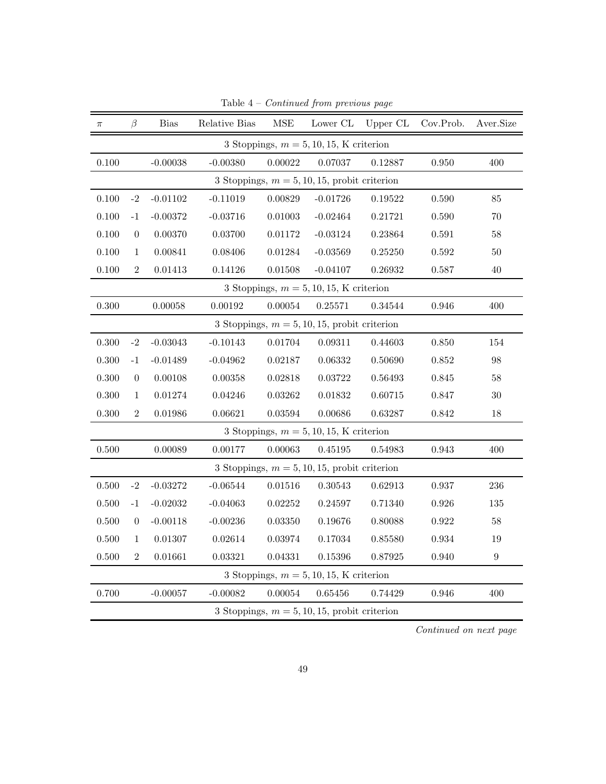| $\pi$     | $\beta$        | <b>Bias</b> | Relative Bias | $\operatorname{MSE}$ | Lower CL                                        | Upper CL | Cov.Prob.   | Aver.Size        |
|-----------|----------------|-------------|---------------|----------------------|-------------------------------------------------|----------|-------------|------------------|
|           |                |             |               |                      | 3 Stoppings, $m = 5, 10, 15, K$ criterion       |          |             |                  |
| 0.100     |                | $-0.00038$  | $-0.00380$    | 0.00022              | 0.07037                                         | 0.12887  | 0.950       | 400              |
|           |                |             |               |                      | 3 Stoppings, $m = 5, 10, 15$ , probit criterion |          |             |                  |
| 0.100     | $-2$           | $-0.01102$  | $-0.11019$    | 0.00829              | $-0.01726$                                      | 0.19522  | 0.590       | 85               |
| 0.100     | $-1$           | $-0.00372$  | $-0.03716$    | 0.01003              | $-0.02464$                                      | 0.21721  | 0.590       | 70               |
| 0.100     | $\overline{0}$ | 0.00370     | 0.03700       | 0.01172              | $-0.03124$                                      | 0.23864  | 0.591       | $58\,$           |
| 0.100     | $\mathbf{1}$   | 0.00841     | 0.08406       | 0.01284              | $-0.03569$                                      | 0.25250  | $\,0.592\,$ | 50               |
| 0.100     | $\sqrt{2}$     | 0.01413     | 0.14126       | 0.01508              | $-0.04107$                                      | 0.26932  | 0.587       | 40               |
|           |                |             |               |                      | 3 Stoppings, $m = 5, 10, 15, K$ criterion       |          |             |                  |
| 0.300     |                | 0.00058     | 0.00192       | 0.00054              | 0.25571                                         | 0.34544  | 0.946       | 400              |
|           |                |             |               |                      | 3 Stoppings, $m = 5, 10, 15$ , probit criterion |          |             |                  |
| 0.300     | $-2$           | $-0.03043$  | $-0.10143$    | 0.01704              | 0.09311                                         | 0.44603  | 0.850       | 154              |
| 0.300     | $-1$           | $-0.01489$  | $-0.04962$    | 0.02187              | 0.06332                                         | 0.50690  | 0.852       | 98               |
| 0.300     | $\overline{0}$ | 0.00108     | 0.00358       | 0.02818              | 0.03722                                         | 0.56493  | 0.845       | $58\,$           |
| 0.300     | $\mathbf{1}$   | $0.01274\,$ | 0.04246       | 0.03262              | 0.01832                                         | 0.60715  | 0.847       | $30\,$           |
| 0.300     | $\overline{2}$ | 0.01986     | 0.06621       | $\,0.03594\,$        | 0.00686                                         | 0.63287  | 0.842       | 18               |
|           |                |             |               |                      | 3 Stoppings, $m = 5, 10, 15, K$ criterion       |          |             |                  |
| 0.500     |                | 0.00089     | 0.00177       | 0.00063              | 0.45195                                         | 0.54983  | $\,0.943\,$ | 400              |
|           |                |             |               |                      | 3 Stoppings, $m = 5, 10, 15$ , probit criterion |          |             |                  |
| $0.500\,$ | $-2$           | $-0.03272$  | $-0.06544$    | 0.01516              | 0.30543                                         | 0.62913  | 0.937       | $\,236$          |
| 0.500     | $-1$           | $-0.02032$  | $-0.04063$    | 0.02252              | 0.24597                                         | 0.71340  | 0.926       | 135              |
| 0.500     | $\overline{0}$ | $-0.00118$  | $-0.00236$    | 0.03350              | 0.19676                                         | 0.80088  | 0.922       | $58\,$           |
| 0.500     | $\mathbf{1}$   | 0.01307     | 0.02614       | 0.03974              | $0.17034\,$                                     | 0.85580  | 0.934       | 19               |
| 0.500     | $\overline{2}$ | 0.01661     | 0.03321       | 0.04331              | 0.15396                                         | 0.87925  | 0.940       | $\boldsymbol{9}$ |
|           |                |             |               |                      | 3 Stoppings, $m = 5, 10, 15, K$ criterion       |          |             |                  |
| 0.700     |                | $-0.00057$  | $-0.00082$    | 0.00054              | 0.65456                                         | 0.74429  | 0.946       | 400              |
|           |                |             |               |                      | 3 Stoppings, $m = 5, 10, 15$ , probit criterion |          |             |                  |

Table 4 – Continued from previous page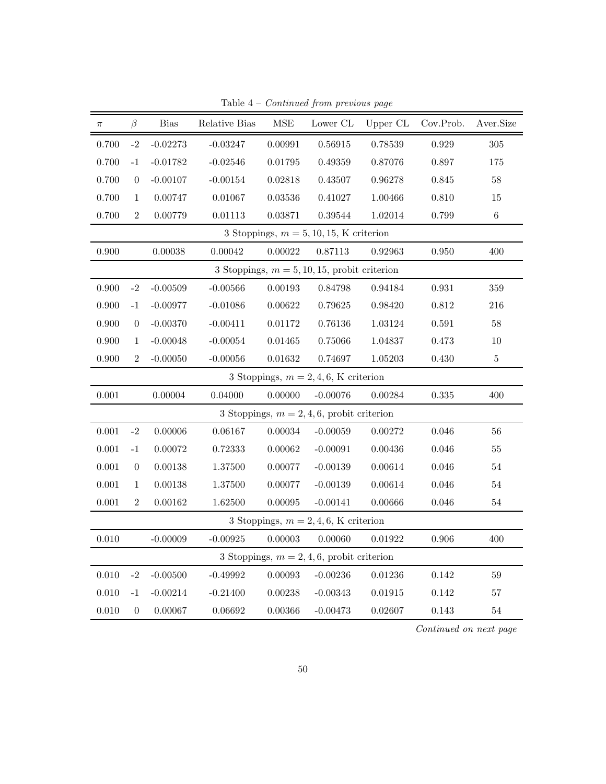| $\pi$ | $\beta$          | <b>Bias</b> | Relative Bias | $\operatorname{MSE}$ | Lower CL                                        | Upper CL | Cov.Prob.   | Aver.Size |
|-------|------------------|-------------|---------------|----------------------|-------------------------------------------------|----------|-------------|-----------|
| 0.700 | $-2$             | $-0.02273$  | $-0.03247$    | 0.00991              | 0.56915                                         | 0.78539  | 0.929       | $305\,$   |
| 0.700 | $-1$             | $-0.01782$  | $-0.02546$    | 0.01795              | 0.49359                                         | 0.87076  | 0.897       | 175       |
| 0.700 | $\boldsymbol{0}$ | $-0.00107$  | $-0.00154$    | 0.02818              | 0.43507                                         | 0.96278  | 0.845       | $58\,$    |
| 0.700 | $\mathbf{1}$     | 0.00747     | 0.01067       | $\, 0.03536\,$       | 0.41027                                         | 1.00466  | 0.810       | 15        |
| 0.700 | $\overline{2}$   | 0.00779     | 0.01113       | 0.03871              | 0.39544                                         | 1.02014  | 0.799       | $\,6\,$   |
|       |                  |             |               |                      | 3 Stoppings, $m = 5, 10, 15, K$ criterion       |          |             |           |
| 0.900 |                  | 0.00038     | 0.00042       | 0.00022              | 0.87113                                         | 0.92963  | 0.950       | 400       |
|       |                  |             |               |                      | 3 Stoppings, $m = 5, 10, 15$ , probit criterion |          |             |           |
| 0.900 | $-2$             | $-0.00509$  | $-0.00566$    | 0.00193              | 0.84798                                         | 0.94184  | $\,0.931\,$ | $359\,$   |
| 0.900 | $-1$             | $-0.00977$  | $-0.01086$    | 0.00622              | 0.79625                                         | 0.98420  | 0.812       | 216       |
| 0.900 | $\theta$         | $-0.00370$  | $-0.00411$    | 0.01172              | 0.76136                                         | 1.03124  | 0.591       | 58        |
| 0.900 | $\mathbf{1}$     | $-0.00048$  | $-0.00054$    | 0.01465              | 0.75066                                         | 1.04837  | 0.473       | 10        |
| 0.900 | $\overline{2}$   | $-0.00050$  | $-0.00056$    | $\,0.01632\,$        | 0.74697                                         | 1.05203  | 0.430       | $\bf 5$   |
|       |                  |             |               |                      | 3 Stoppings, $m = 2, 4, 6$ , K criterion        |          |             |           |
| 0.001 |                  | 0.00004     | 0.04000       | 0.00000              | $-0.00076$                                      | 0.00284  | 0.335       | 400       |
|       |                  |             |               |                      | 3 Stoppings, $m = 2, 4, 6$ , probit criterion   |          |             |           |
| 0.001 | $-2$             | 0.00006     | 0.06167       | 0.00034              | $-0.00059$                                      | 0.00272  | 0.046       | 56        |
| 0.001 | $-1$             | 0.00072     | 0.72333       | 0.00062              | $-0.00091$                                      | 0.00436  | 0.046       | $55\,$    |
| 0.001 | $\boldsymbol{0}$ | 0.00138     | 1.37500       | 0.00077              | $-0.00139$                                      | 0.00614  | $0.046\,$   | $54\,$    |
| 0.001 | $\mathbf{1}$     | 0.00138     | 1.37500       | 0.00077              | $-0.00139$                                      | 0.00614  | 0.046       | $54\,$    |
| 0.001 | $\overline{2}$   | 0.00162     | 1.62500       | 0.00095              | $-0.00141$                                      | 0.00666  | 0.046       | $54\,$    |
|       |                  |             |               |                      | 3 Stoppings, $m = 2, 4, 6$ , K criterion        |          |             |           |
| 0.010 |                  | $-0.00009$  | $-0.00925$    | 0.00003              | 0.00060                                         | 0.01922  | 0.906       | 400       |
|       |                  |             |               |                      | 3 Stoppings, $m = 2, 4, 6$ , probit criterion   |          |             |           |
| 0.010 | $-2$             | $-0.00500$  | $-0.49992$    | 0.00093              | $-0.00236$                                      | 0.01236  | 0.142       | 59        |
| 0.010 | $-1$             | $-0.00214$  | $-0.21400$    | 0.00238              | $-0.00343$                                      | 0.01915  | 0.142       | 57        |
| 0.010 | $\boldsymbol{0}$ | 0.00067     | 0.06692       | 0.00366              | $-0.00473$                                      | 0.02607  | 0.143       | $54\,$    |

Table  $4$  –  $Continued$  from previous page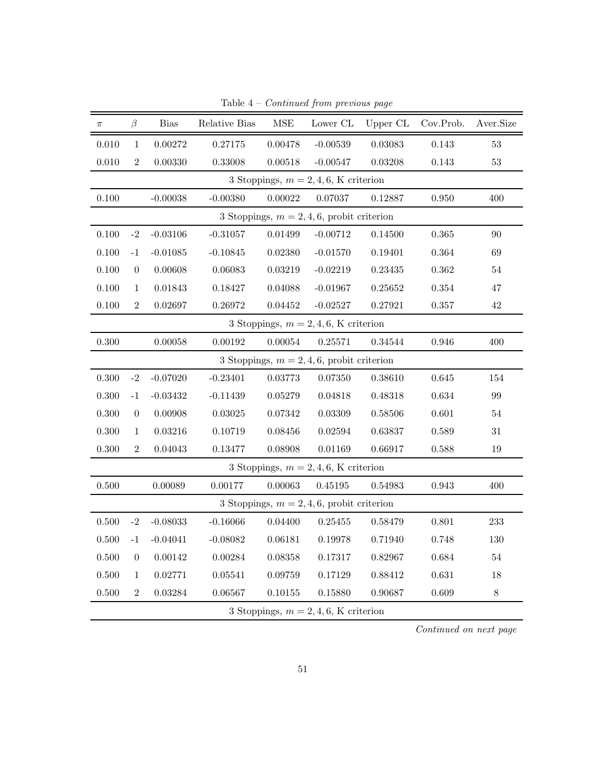| $\pi$                                         | β                | <b>Bias</b> | Relative Bias | MSE         | Lower CL                                      | Upper CL | Cov.Prob. | Aver.Size |
|-----------------------------------------------|------------------|-------------|---------------|-------------|-----------------------------------------------|----------|-----------|-----------|
| 0.010                                         | $\mathbf{1}$     | $0.00272\,$ | 0.27175       | 0.00478     | $-0.00539$                                    | 0.03083  | 0.143     | $53\,$    |
| 0.010                                         | $\sqrt{2}$       | 0.00330     | 0.33008       | 0.00518     | $-0.00547$                                    | 0.03208  | 0.143     | $53\,$    |
|                                               |                  |             |               |             | 3 Stoppings, $m = 2, 4, 6$ , K criterion      |          |           |           |
| 0.100                                         |                  | $-0.00038$  | $-0.00380$    | 0.00022     | 0.07037                                       | 0.12887  | 0.950     | 400       |
|                                               |                  |             |               |             | 3 Stoppings, $m = 2, 4, 6$ , probit criterion |          |           |           |
| 0.100                                         | $-2$             | $-0.03106$  | $-0.31057$    | $0.01499\,$ | $-0.00712$                                    | 0.14500  | 0.365     | 90        |
| 0.100                                         | $-1$             | $-0.01085$  | $-0.10845$    | 0.02380     | $-0.01570$                                    | 0.19401  | 0.364     | 69        |
| 0.100                                         | $\boldsymbol{0}$ | 0.00608     | $\,0.06083\,$ | 0.03219     | $-0.02219$                                    | 0.23435  | 0.362     | $54\,$    |
| 0.100                                         | $\mathbf{1}$     | 0.01843     | 0.18427       | 0.04088     | $-0.01967$                                    | 0.25652  | 0.354     | 47        |
| 0.100                                         | $\sqrt{2}$       | 0.02697     | 0.26972       | 0.04452     | $-0.02527$                                    | 0.27921  | 0.357     | $42\,$    |
|                                               |                  |             |               |             | 3 Stoppings, $m = 2, 4, 6$ , K criterion      |          |           |           |
| 0.300                                         |                  | 0.00058     | 0.00192       | 0.00054     | 0.25571                                       | 0.34544  | 0.946     | 400       |
| 3 Stoppings, $m = 2, 4, 6$ , probit criterion |                  |             |               |             |                                               |          |           |           |
| 0.300                                         | $-2$             | $-0.07020$  | $-0.23401$    | 0.03773     | 0.07350                                       | 0.38610  | 0.645     | 154       |
| 0.300                                         | $-1$             | $-0.03432$  | $-0.11439$    | 0.05279     | 0.04818                                       | 0.48318  | 0.634     | 99        |
| 0.300                                         | $\overline{0}$   | 0.00908     | 0.03025       | 0.07342     | 0.03309                                       | 0.58506  | 0.601     | $54\,$    |
| 0.300                                         | $\mathbf{1}$     | 0.03216     | 0.10719       | 0.08456     | 0.02594                                       | 0.63837  | 0.589     | 31        |
| 0.300                                         | $\sqrt{2}$       | 0.04043     | 0.13477       | 0.08908     | 0.01169                                       | 0.66917  | 0.588     | $19\,$    |
|                                               |                  |             |               |             | 3 Stoppings, $m = 2, 4, 6$ , K criterion      |          |           |           |
| 0.500                                         |                  | 0.00089     | 0.00177       | 0.00063     | 0.45195                                       | 0.54983  | 0.943     | 400       |
|                                               |                  |             |               |             | 3 Stoppings, $m = 2, 4, 6$ , probit criterion |          |           |           |
| $0.500\,$                                     | $-2$             | $-0.08033$  | $-0.16066$    | 0.04400     | 0.25455                                       | 0.58479  | 0.801     | $\bf 233$ |
| 0.500                                         | $-1$             | $-0.04041$  | $-0.08082$    | 0.06181     | 0.19978                                       | 0.71940  | 0.748     | 130       |
| 0.500                                         | $\overline{0}$   | 0.00142     | 0.00284       | 0.08358     | 0.17317                                       | 0.82967  | 0.684     | 54        |
| 0.500                                         | $\mathbf{1}$     | 0.02771     | 0.05541       | 0.09759     | 0.17129                                       | 0.88412  | 0.631     | 18        |
| 0.500                                         | $\sqrt{2}$       | 0.03284     | 0.06567       | 0.10155     | 0.15880                                       | 0.90687  | 0.609     | $8\,$     |
|                                               |                  |             |               |             | 3 Stoppings, $m = 2, 4, 6$ , K criterion      |          |           |           |

Table  $4$  –  $Continued$  from previous page